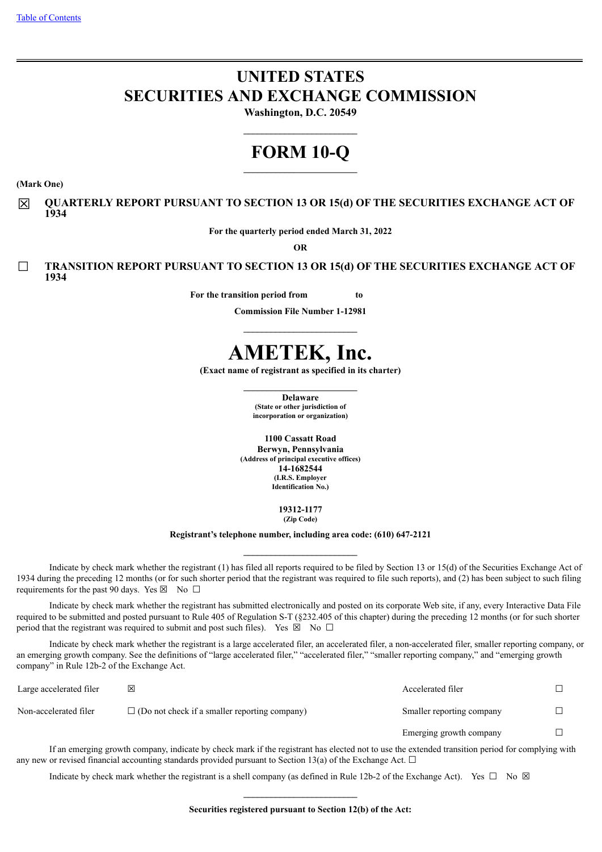# **UNITED STATES SECURITIES AND EXCHANGE COMMISSION**

**Washington, D.C. 20549**

## **FORM 10-Q \_\_\_\_\_\_\_\_\_\_\_\_\_\_\_\_\_\_\_\_\_\_\_\_\_**

**(Mark One)**

☒ **QUARTERLY REPORT PURSUANT TO SECTION 13 OR 15(d) OF THE SECURITIES EXCHANGE ACT OF 1934**

**For the quarterly period ended March 31, 2022**

**OR**

☐ **TRANSITION REPORT PURSUANT TO SECTION 13 OR 15(d) OF THE SECURITIES EXCHANGE ACT OF 1934**

**For the transition period from to**

**Commission File Number 1-12981**

# **AMETEK, Inc.**

**\_\_\_\_\_\_\_\_\_\_\_\_\_\_\_\_\_\_\_\_\_\_\_\_\_**

**(Exact name of registrant as specified in its charter)**

**Delaware (State or other jurisdiction of**

**incorporation or organization)**

**1100 Cassatt Road Berwyn, Pennsylvania (Address of principal executive offices) 14-1682544 (I.R.S. Employer Identification No.)**

> **19312-1177 (Zip Code)**

**Registrant's telephone number, including area code: (610) 647-2121**

Indicate by check mark whether the registrant (1) has filed all reports required to be filed by Section 13 or 15(d) of the Securities Exchange Act of 1934 during the preceding 12 months (or for such shorter period that the registrant was required to file such reports), and (2) has been subject to such filing requirements for the past 90 days. Yes  $\boxtimes$  No  $\Box$ 

Indicate by check mark whether the registrant has submitted electronically and posted on its corporate Web site, if any, every Interactive Data File required to be submitted and posted pursuant to Rule 405 of Regulation S-T (§232.405 of this chapter) during the preceding 12 months (or for such shorter period that the registrant was required to submit and post such files). Yes  $\boxtimes$  No  $\Box$ 

Indicate by check mark whether the registrant is a large accelerated filer, an accelerated filer, a non-accelerated filer, smaller reporting company, or an emerging growth company. See the definitions of "large accelerated filer," "accelerated filer," "smaller reporting company," and "emerging growth company" in Rule 12b-2 of the Exchange Act.

| Large accelerated filer | 図                                                    | Accelerated filer         |  |
|-------------------------|------------------------------------------------------|---------------------------|--|
| Non-accelerated filer   | $\Box$ (Do not check if a smaller reporting company) | Smaller reporting company |  |
|                         |                                                      | Emerging growth company   |  |

If an emerging growth company, indicate by check mark if the registrant has elected not to use the extended transition period for complying with any new or revised financial accounting standards provided pursuant to Section 13(a) of the Exchange Act.  $\Box$ 

Indicate by check mark whether the registrant is a shell company (as defined in Rule 12b-2 of the Exchange Act). Yes  $\Box$  No  $\boxtimes$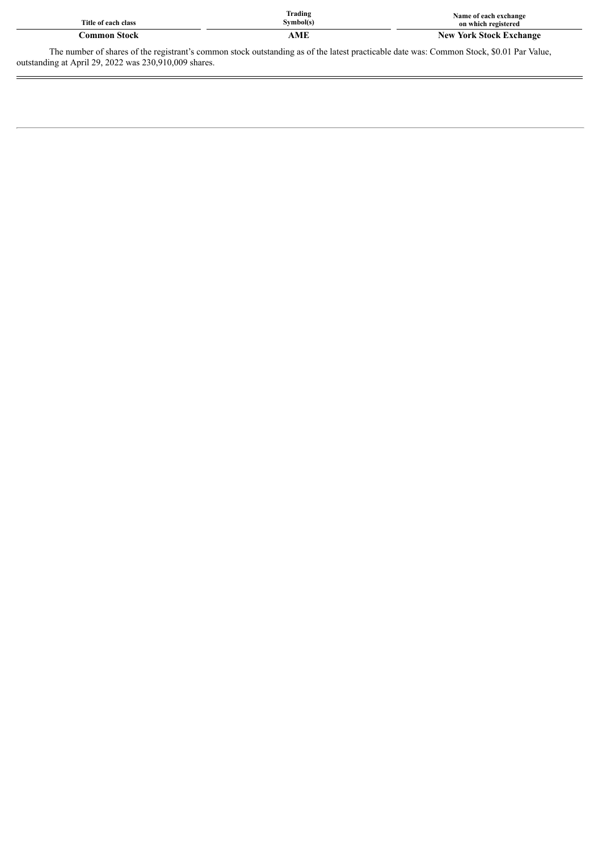| Title of each class | Trading<br>Symbol(s) | Name of each exchange<br>on which registered |
|---------------------|----------------------|----------------------------------------------|
| :<br>Common Stock   | AME                  | <b>New York Stock Exchange</b>               |

<span id="page-1-0"></span>The number of shares of the registrant's common stock outstanding as of the latest practicable date was: Common Stock, \$0.01 Par Value, outstanding at April 29, 2022 was 230,910,009 shares.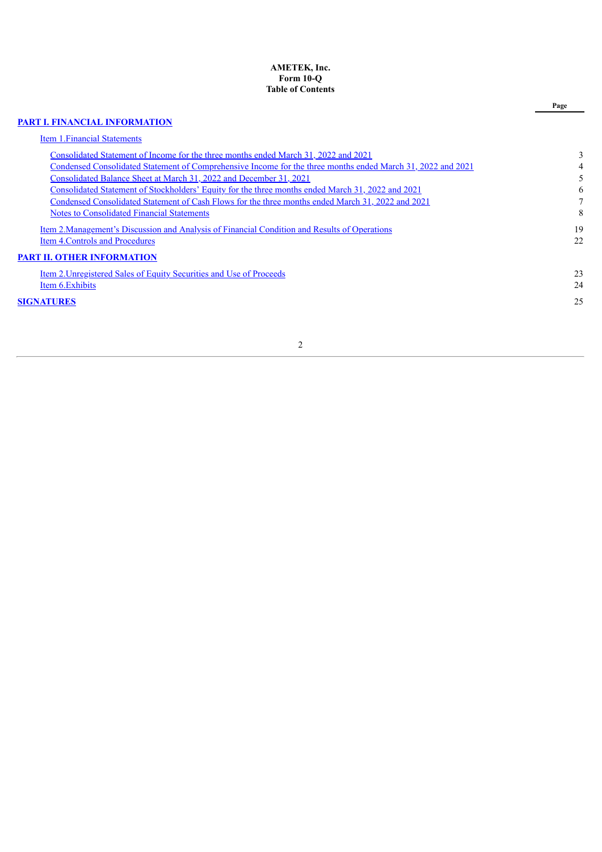## **AMETEK, Inc. Form 10-Q Table of Contents**

<span id="page-2-0"></span>

|                                                                                                             | Page |
|-------------------------------------------------------------------------------------------------------------|------|
| <b>PART I. FINANCIAL INFORMATION</b>                                                                        |      |
| <b>Item 1. Financial Statements</b>                                                                         |      |
| Consolidated Statement of Income for the three months ended March 31, 2022 and 2021                         | 3    |
| Condensed Consolidated Statement of Comprehensive Income for the three months ended March 31, 2022 and 2021 |      |
| Consolidated Balance Sheet at March 31, 2022 and December 31, 2021                                          |      |
| Consolidated Statement of Stockholders' Equity for the three months ended March 31, 2022 and 2021           | 6    |
| Condensed Consolidated Statement of Cash Flows for the three months ended March 31, 2022 and 2021           |      |
| <b>Notes to Consolidated Financial Statements</b>                                                           | 8    |
| <u>Item 2. Management's Discussion and Analysis of Financial Condition and Results of Operations</u>        | 19   |
| <b>Item 4. Controls and Procedures</b>                                                                      | 22   |
| <b>PART II. OTHER INFORMATION</b>                                                                           |      |
| <u>Item 2. Unregistered Sales of Equity Securities and Use of Proceeds</u>                                  | 23   |
| Item 6. Exhibits                                                                                            | 24   |
| <b>SIGNATURES</b>                                                                                           | 25   |
|                                                                                                             |      |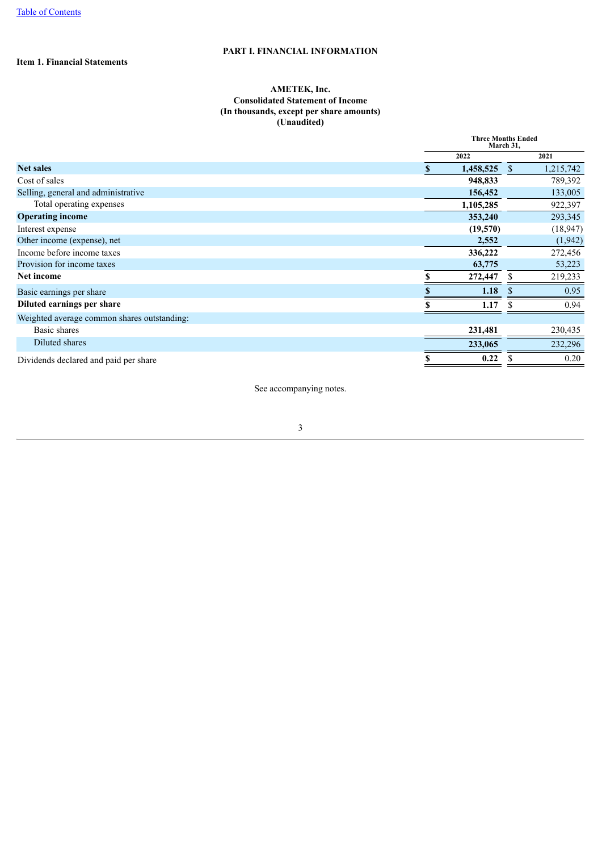## **PART I. FINANCIAL INFORMATION**

## <span id="page-3-1"></span><span id="page-3-0"></span>**Item 1. Financial Statements**

## **AMETEK, Inc. Consolidated Statement of Income (In thousands, except per share amounts) (Unaudited)**

|                                             |     | <b>Three Months Ended</b><br>March 31, |           |
|---------------------------------------------|-----|----------------------------------------|-----------|
|                                             |     | 2022                                   | 2021      |
| <b>Net sales</b>                            | SS. | 1,458,525<br><sup>S</sup>              | 1,215,742 |
| Cost of sales                               |     | 948,833                                | 789,392   |
| Selling, general and administrative         |     | 156,452                                | 133,005   |
| Total operating expenses                    |     | 1,105,285                              | 922,397   |
| <b>Operating income</b>                     |     | 353,240                                | 293,345   |
| Interest expense                            |     | (19,570)                               | (18, 947) |
| Other income (expense), net                 |     | 2,552                                  | (1,942)   |
| Income before income taxes                  |     | 336,222                                | 272,456   |
| Provision for income taxes                  |     | 63,775                                 | 53,223    |
| Net income                                  |     | 272,447                                | 219,233   |
| Basic earnings per share                    |     | 1.18                                   | 0.95      |
| Diluted earnings per share                  |     | 1.17                                   | 0.94      |
| Weighted average common shares outstanding: |     |                                        |           |
| Basic shares                                |     | 231,481                                | 230,435   |
| Diluted shares                              |     | 233,065                                | 232,296   |
| Dividends declared and paid per share       |     | 0.22                                   | 0.20      |

<span id="page-3-2"></span>See accompanying notes.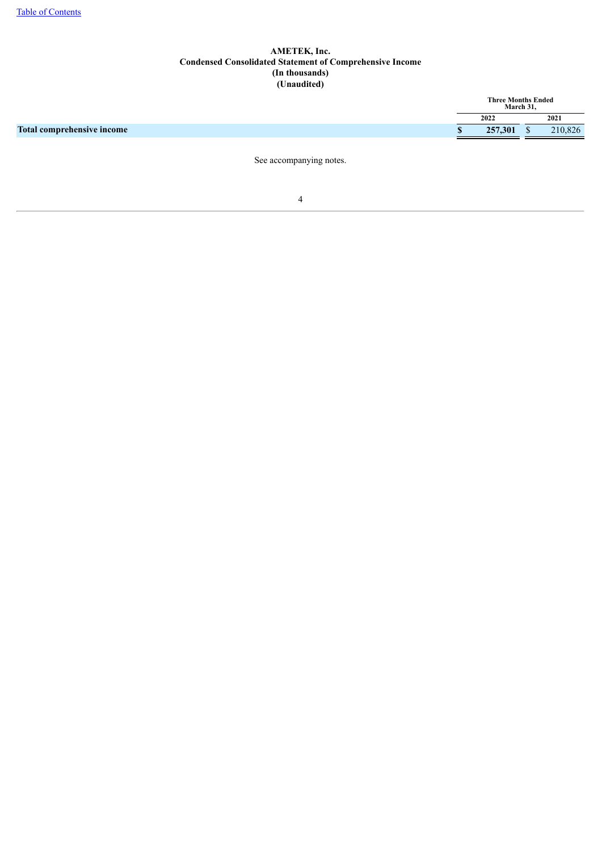## **AMETEK, Inc. Condensed Consolidated Statement of Comprehensive Income (In thousands) (Unaudited)**

<span id="page-4-0"></span>

|                                   | <b>Three Months Ended</b><br>March 31. |         |
|-----------------------------------|----------------------------------------|---------|
|                                   | 2022                                   | 2021    |
| <b>Total comprehensive income</b> | 257,301                                | 210,826 |
|                                   |                                        |         |

See accompanying notes.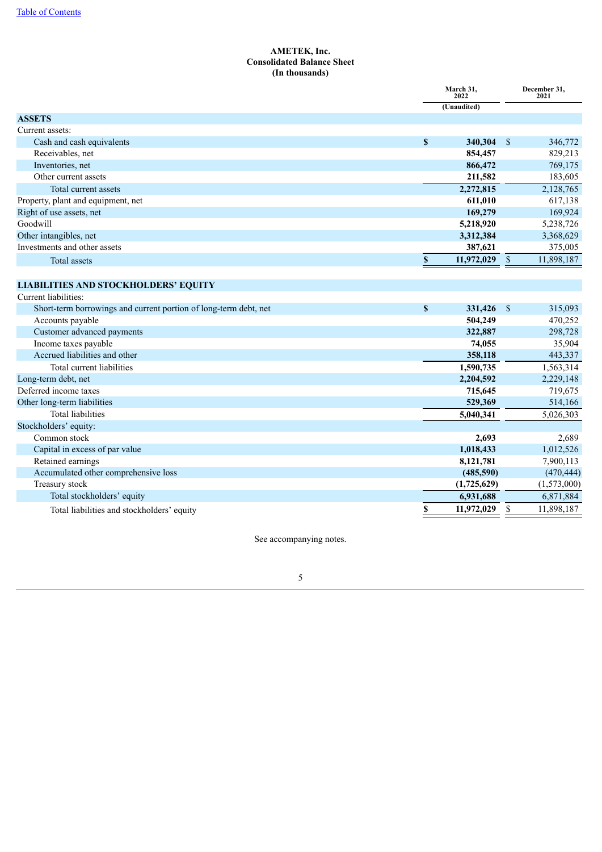## **AMETEK, Inc. Consolidated Balance Sheet (In thousands)**

|                                                                  |             | March 31.<br>2022 |              | December 31,<br>2021 |
|------------------------------------------------------------------|-------------|-------------------|--------------|----------------------|
|                                                                  |             | (Unaudited)       |              |                      |
| <b>ASSETS</b>                                                    |             |                   |              |                      |
| Current assets:                                                  |             |                   |              |                      |
| Cash and cash equivalents                                        | S           | 340,304           | $\mathbf{s}$ | 346,772              |
| Receivables, net                                                 |             | 854,457           |              | 829,213              |
| Inventories, net                                                 |             | 866,472           |              | 769,175              |
| Other current assets                                             |             | 211,582           |              | 183,605              |
| Total current assets                                             |             | 2,272,815         |              | 2,128,765            |
| Property, plant and equipment, net                               |             | 611,010           |              | 617,138              |
| Right of use assets, net                                         |             | 169,279           |              | 169,924              |
| Goodwill                                                         |             | 5,218,920         |              | 5,238,726            |
| Other intangibles, net                                           |             | 3,312,384         |              | 3,368,629            |
| Investments and other assets                                     |             | 387,621           |              | 375,005              |
| <b>Total</b> assets                                              | $\mathbb S$ | 11,972,029        | $\mathbb{S}$ | 11,898,187           |
|                                                                  |             |                   |              |                      |
| <b>LIABILITIES AND STOCKHOLDERS' EQUITY</b>                      |             |                   |              |                      |
| Current liabilities:                                             |             |                   |              |                      |
| Short-term borrowings and current portion of long-term debt, net | $\mathbf S$ | 331,426 \$        |              | 315,093              |
| Accounts payable                                                 |             | 504,249           |              | 470,252              |
| Customer advanced payments                                       |             | 322,887           |              | 298,728              |
| Income taxes payable                                             |             | 74,055            |              | 35,904               |
| Accrued liabilities and other                                    |             | 358,118           |              | 443,337              |
| Total current liabilities                                        |             | 1,590,735         |              | 1,563,314            |
| Long-term debt, net                                              |             | 2,204,592         |              | 2,229,148            |
| Deferred income taxes                                            |             | 715,645           |              | 719,675              |
| Other long-term liabilities                                      |             | 529,369           |              | 514,166              |
| <b>Total liabilities</b>                                         |             | 5,040,341         |              | 5,026,303            |
| Stockholders' equity:                                            |             |                   |              |                      |
| Common stock                                                     |             | 2,693             |              | 2,689                |
| Capital in excess of par value                                   |             | 1,018,433         |              | 1,012,526            |
| Retained earnings                                                |             | 8,121,781         |              | 7,900,113            |
| Accumulated other comprehensive loss                             |             | (485,590)         |              | (470, 444)           |
| Treasury stock                                                   |             | (1,725,629)       |              | (1,573,000)          |
| Total stockholders' equity                                       |             | 6,931,688         |              | 6,871,884            |
| Total liabilities and stockholders' equity                       | \$          | 11,972,029        | \$           | 11,898,187           |

<span id="page-5-0"></span>See accompanying notes.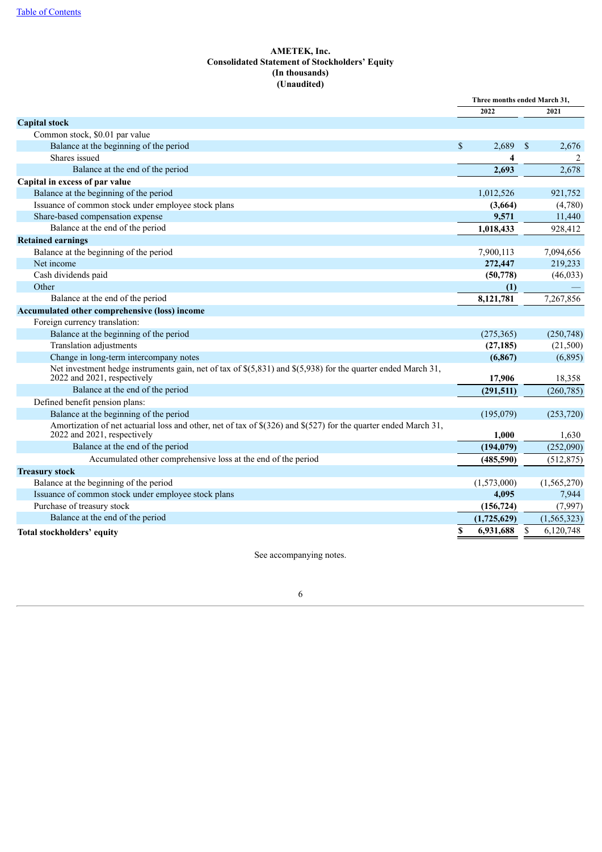## **AMETEK, Inc. Consolidated Statement of Stockholders' Equity (In thousands) (Unaudited)**

|                                                                                                                                                    |                 | Three months ended March 31. |
|----------------------------------------------------------------------------------------------------------------------------------------------------|-----------------|------------------------------|
|                                                                                                                                                    | 2022            | 2021                         |
| <b>Capital stock</b>                                                                                                                               |                 |                              |
| Common stock, \$0.01 par value                                                                                                                     |                 |                              |
| Balance at the beginning of the period                                                                                                             | \$<br>2,689     | $\sqrt{3}$<br>2,676          |
| Shares issued                                                                                                                                      | 4               | 2                            |
| Balance at the end of the period                                                                                                                   | 2,693           | 2,678                        |
| Capital in excess of par value                                                                                                                     |                 |                              |
| Balance at the beginning of the period                                                                                                             | 1,012,526       | 921,752                      |
| Issuance of common stock under employee stock plans                                                                                                | (3,664)         | (4,780)                      |
| Share-based compensation expense                                                                                                                   | 9,571           | 11,440                       |
| Balance at the end of the period                                                                                                                   | 1,018,433       | 928,412                      |
| <b>Retained earnings</b>                                                                                                                           |                 |                              |
| Balance at the beginning of the period                                                                                                             | 7,900,113       | 7,094,656                    |
| Net income                                                                                                                                         | 272,447         | 219,233                      |
| Cash dividends paid                                                                                                                                | (50, 778)       | (46, 033)                    |
| Other                                                                                                                                              | (1)             |                              |
| Balance at the end of the period                                                                                                                   | 8,121,781       | 7,267,856                    |
| Accumulated other comprehensive (loss) income                                                                                                      |                 |                              |
| Foreign currency translation:                                                                                                                      |                 |                              |
| Balance at the beginning of the period                                                                                                             | (275, 365)      | (250,748)                    |
| Translation adjustments                                                                                                                            | (27, 185)       | (21,500)                     |
| Change in long-term intercompany notes                                                                                                             | (6, 867)        | (6,895)                      |
| Net investment hedge instruments gain, net of tax of $\$(5,831)$ and $\$(5,938)$ for the quarter ended March 31,<br>2022 and 2021, respectively    | 17,906          | 18,358                       |
| Balance at the end of the period                                                                                                                   | (291, 511)      | (260, 785)                   |
| Defined benefit pension plans:                                                                                                                     |                 |                              |
| Balance at the beginning of the period                                                                                                             | (195,079)       | (253,720)                    |
| Amortization of net actuarial loss and other, net of tax of $\S(326)$ and $\S(527)$ for the quarter ended March 31,<br>2022 and 2021, respectively | 1,000           | 1,630                        |
| Balance at the end of the period                                                                                                                   | (194, 079)      | (252,090)                    |
| Accumulated other comprehensive loss at the end of the period                                                                                      | (485,590)       | (512, 875)                   |
| <b>Treasury stock</b>                                                                                                                              |                 |                              |
| Balance at the beginning of the period                                                                                                             | (1,573,000)     | (1, 565, 270)                |
| Issuance of common stock under employee stock plans                                                                                                | 4,095           | 7,944                        |
| Purchase of treasury stock                                                                                                                         | (156, 724)      | (7,997)                      |
| Balance at the end of the period                                                                                                                   | (1,725,629)     | (1, 565, 323)                |
| Total stockholders' equity                                                                                                                         | \$<br>6,931,688 | 6,120,748<br>S               |
|                                                                                                                                                    |                 |                              |

<span id="page-6-0"></span>See accompanying notes.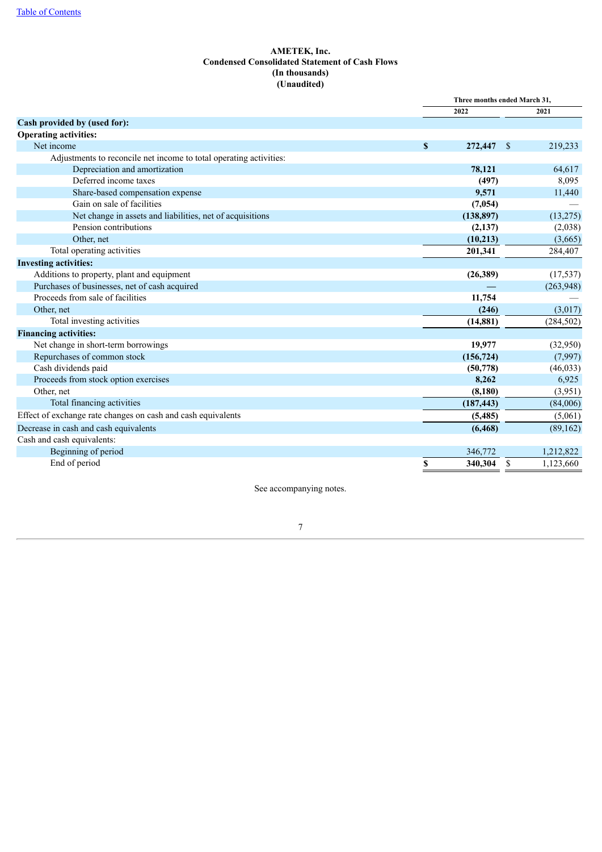## **AMETEK, Inc. Condensed Consolidated Statement of Cash Flows (In thousands) (Unaudited)**

|                                                                    | Three months ended March 31, |            |               |            |
|--------------------------------------------------------------------|------------------------------|------------|---------------|------------|
|                                                                    |                              | 2022       |               | 2021       |
| Cash provided by (used for):                                       |                              |            |               |            |
| <b>Operating activities:</b>                                       |                              |            |               |            |
| Net income                                                         | $\mathbf{s}$                 | 272,447    | -\$           | 219,233    |
| Adjustments to reconcile net income to total operating activities: |                              |            |               |            |
| Depreciation and amortization                                      |                              | 78,121     |               | 64,617     |
| Deferred income taxes                                              |                              | (497)      |               | 8,095      |
| Share-based compensation expense                                   |                              | 9,571      |               | 11,440     |
| Gain on sale of facilities                                         |                              | (7,054)    |               |            |
| Net change in assets and liabilities, net of acquisitions          |                              | (138, 897) |               | (13, 275)  |
| Pension contributions                                              |                              | (2,137)    |               | (2,038)    |
| Other, net                                                         |                              | (10,213)   |               | (3,665)    |
| Total operating activities                                         |                              | 201,341    |               | 284,407    |
| <b>Investing activities:</b>                                       |                              |            |               |            |
| Additions to property, plant and equipment                         |                              | (26, 389)  |               | (17, 537)  |
| Purchases of businesses, net of cash acquired                      |                              |            |               | (263,948)  |
| Proceeds from sale of facilities                                   |                              | 11,754     |               |            |
| Other, net                                                         |                              | (246)      |               | (3,017)    |
| Total investing activities                                         |                              | (14, 881)  |               | (284, 502) |
| <b>Financing activities:</b>                                       |                              |            |               |            |
| Net change in short-term borrowings                                |                              | 19,977     |               | (32,950)   |
| Repurchases of common stock                                        |                              | (156, 724) |               | (7,997)    |
| Cash dividends paid                                                |                              | (50, 778)  |               | (46, 033)  |
| Proceeds from stock option exercises                               |                              | 8,262      |               | 6,925      |
| Other, net                                                         |                              | (8,180)    |               | (3,951)    |
| Total financing activities                                         |                              | (187, 443) |               | (84,006)   |
| Effect of exchange rate changes on cash and cash equivalents       |                              | (5, 485)   |               | (5,061)    |
| Decrease in cash and cash equivalents                              |                              | (6, 468)   |               | (89,162)   |
| Cash and cash equivalents:                                         |                              |            |               |            |
| Beginning of period                                                |                              | 346,772    |               | 1,212,822  |
| End of period                                                      | \$                           | 340,304    | <sup>\$</sup> | 1,123,660  |

<span id="page-7-0"></span>See accompanying notes.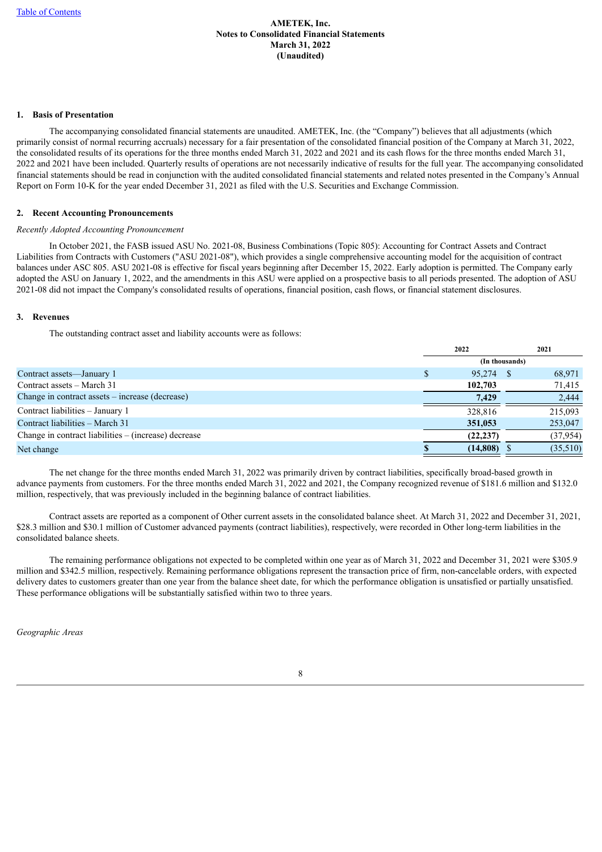#### **1. Basis of Presentation**

The accompanying consolidated financial statements are unaudited. AMETEK, Inc. (the "Company") believes that all adjustments (which primarily consist of normal recurring accruals) necessary for a fair presentation of the consolidated financial position of the Company at March 31, 2022, the consolidated results of its operations for the three months ended March 31, 2022 and 2021 and its cash flows for the three months ended March 31, 2022 and 2021 have been included. Quarterly results of operations are not necessarily indicative of results for the full year. The accompanying consolidated financial statements should be read in conjunction with the audited consolidated financial statements and related notes presented in the Company's Annual Report on Form 10-K for the year ended December 31, 2021 as filed with the U.S. Securities and Exchange Commission.

#### **2. Recent Accounting Pronouncements**

#### *Recently Adopted Accounting Pronouncement*

In October 2021, the FASB issued ASU No. 2021-08, Business Combinations (Topic 805): Accounting for Contract Assets and Contract Liabilities from Contracts with Customers ("ASU 2021-08"), which provides a single comprehensive accounting model for the acquisition of contract balances under ASC 805. ASU 2021-08 is effective for fiscal years beginning after December 15, 2022. Early adoption is permitted. The Company early adopted the ASU on January 1, 2022, and the amendments in this ASU were applied on a prospective basis to all periods presented. The adoption of ASU 2021-08 did not impact the Company's consolidated results of operations, financial position, cash flows, or financial statement disclosures.

#### **3. Revenues**

The outstanding contract asset and liability accounts were as follows:

| (In thousands)<br>68,971<br>95,274<br>\$<br>Contract assets—January 1<br>Contract assets – March 31<br>71,415<br>102,703<br>Change in contract assets – increase (decrease)<br>2,444<br>7.429<br>Contract liabilities - January 1<br>215.093<br>328,816<br>Contract liabilities – March 31<br>253,047<br>351,053<br>Change in contract liabilities – (increase) decrease<br>(37, 954)<br>(22, 237)<br>(35,510)<br>(14,808)<br>Net change |  | 2022 | 2021 |
|------------------------------------------------------------------------------------------------------------------------------------------------------------------------------------------------------------------------------------------------------------------------------------------------------------------------------------------------------------------------------------------------------------------------------------------|--|------|------|
|                                                                                                                                                                                                                                                                                                                                                                                                                                          |  |      |      |
|                                                                                                                                                                                                                                                                                                                                                                                                                                          |  |      |      |
|                                                                                                                                                                                                                                                                                                                                                                                                                                          |  |      |      |
|                                                                                                                                                                                                                                                                                                                                                                                                                                          |  |      |      |
|                                                                                                                                                                                                                                                                                                                                                                                                                                          |  |      |      |
|                                                                                                                                                                                                                                                                                                                                                                                                                                          |  |      |      |
|                                                                                                                                                                                                                                                                                                                                                                                                                                          |  |      |      |
|                                                                                                                                                                                                                                                                                                                                                                                                                                          |  |      |      |

The net change for the three months ended March 31, 2022 was primarily driven by contract liabilities, specifically broad-based growth in advance payments from customers. For the three months ended March 31, 2022 and 2021, the Company recognized revenue of \$181.6 million and \$132.0 million, respectively, that was previously included in the beginning balance of contract liabilities.

Contract assets are reported as a component of Other current assets in the consolidated balance sheet. At March 31, 2022 and December 31, 2021, \$28.3 million and \$30.1 million of Customer advanced payments (contract liabilities), respectively, were recorded in Other long-term liabilities in the consolidated balance sheets.

The remaining performance obligations not expected to be completed within one year as of March 31, 2022 and December 31, 2021 were \$305.9 million and \$342.5 million, respectively. Remaining performance obligations represent the transaction price of firm, non-cancelable orders, with expected delivery dates to customers greater than one year from the balance sheet date, for which the performance obligation is unsatisfied or partially unsatisfied. These performance obligations will be substantially satisfied within two to three years.

*Geographic Areas*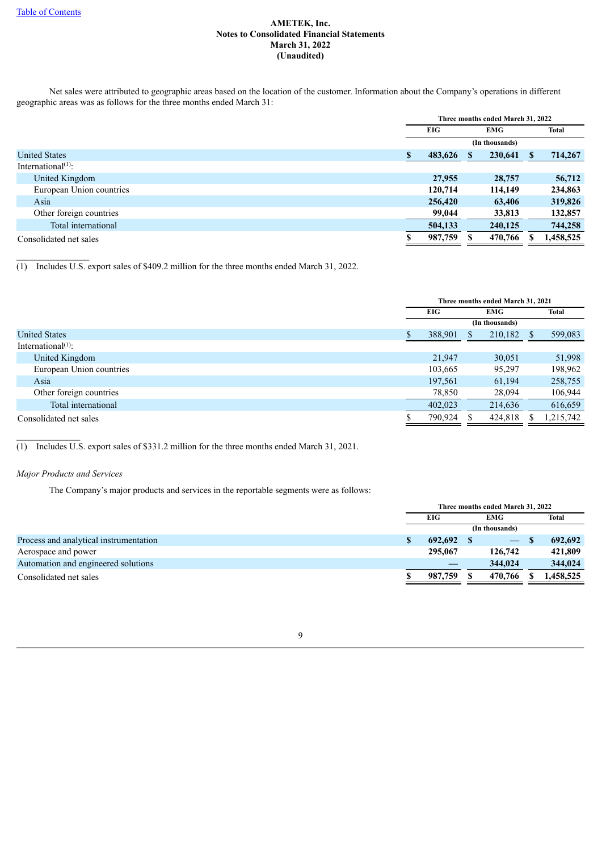Net sales were attributed to geographic areas based on the location of the customer. Information about the Company's operations in different geographic areas was as follows for the three months ended March 31:

|                                             | Three months ended March 31, 2022 |         |    |                |     |              |  |
|---------------------------------------------|-----------------------------------|---------|----|----------------|-----|--------------|--|
|                                             | EIG<br><b>EMG</b>                 |         |    |                |     | <b>Total</b> |  |
|                                             |                                   |         |    | (In thousands) |     |              |  |
| <b>United States</b>                        |                                   | 483,626 | -S | 230,641        | - 8 | 714,267      |  |
| International <sup><math>(1)</math></sup> : |                                   |         |    |                |     |              |  |
| United Kingdom                              |                                   | 27,955  |    | 28,757         |     | 56,712       |  |
| European Union countries                    |                                   | 120,714 |    | 114,149        |     | 234,863      |  |
| Asia                                        |                                   | 256,420 |    | 63,406         |     | 319,826      |  |
| Other foreign countries                     |                                   | 99,044  |    | 33,813         |     | 132,857      |  |
| Total international                         |                                   | 504,133 |    | 240,125        |     | 744,258      |  |
| Consolidated net sales                      |                                   | 987,759 |    | 470,766        |     | 1,458,525    |  |
|                                             |                                   |         |    |                |     |              |  |

(1) Includes U.S. export sales of \$409.2 million for the three months ended March 31, 2022.

|                                             | Three months ended March 31, 2021 |         |  |           |  |  |  |
|---------------------------------------------|-----------------------------------|---------|--|-----------|--|--|--|
|                                             | <b>EMG</b><br><b>EIG</b>          |         |  |           |  |  |  |
|                                             | (In thousands)                    |         |  |           |  |  |  |
| <b>United States</b>                        | 388,901                           | 210,182 |  | 599,083   |  |  |  |
| International <sup><math>(1)</math></sup> : |                                   |         |  |           |  |  |  |
| United Kingdom                              | 21,947                            | 30,051  |  | 51,998    |  |  |  |
| European Union countries                    | 103,665                           | 95,297  |  | 198,962   |  |  |  |
| Asia                                        | 197,561                           | 61,194  |  | 258,755   |  |  |  |
| Other foreign countries                     | 78,850                            | 28,094  |  | 106,944   |  |  |  |
| Total international                         | 402.023                           | 214,636 |  | 616,659   |  |  |  |
| Consolidated net sales                      | 790,924                           | 424,818 |  | 1,215,742 |  |  |  |

 $\mathcal{L}_\text{max}$ (1) Includes U.S. export sales of \$331.2 million for the three months ended March 31, 2021.

#### *Major Products and Services*

The Company's major products and services in the reportable segments were as follows:

| Three months ended March 31, 2022 |         |  |           |  |                          |  |
|-----------------------------------|---------|--|-----------|--|--------------------------|--|
| <b>EIG</b><br><b>EMG</b>          |         |  | Total     |  |                          |  |
| (In thousands)                    |         |  |           |  |                          |  |
|                                   |         |  |           |  | 692.692                  |  |
|                                   | 295,067 |  | 126,742   |  | 421,809                  |  |
|                                   |         |  | 344,024   |  | 344,024                  |  |
|                                   | 987,759 |  | 470,766   |  | 1.458.525                |  |
|                                   |         |  | 692.692 S |  | $\overline{\phantom{a}}$ |  |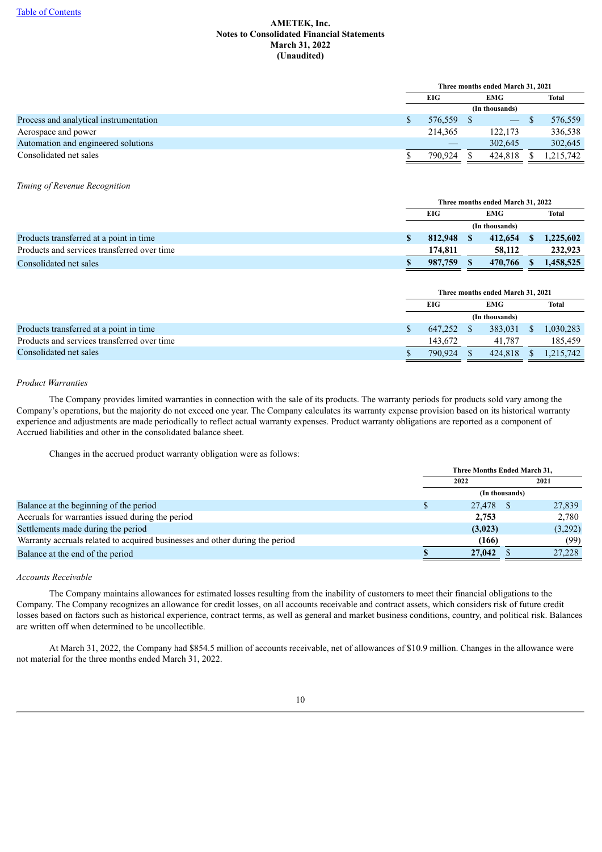|                                        | Three months ended March 31, 2021 |  |                          |  |              |  |  |
|----------------------------------------|-----------------------------------|--|--------------------------|--|--------------|--|--|
|                                        | <b>EIG</b><br><b>EMG</b>          |  |                          |  | <b>Total</b> |  |  |
|                                        | (In thousands)                    |  |                          |  |              |  |  |
| Process and analytical instrumentation | 576,559 \$                        |  | $\overline{\phantom{0}}$ |  | 576,559      |  |  |
| Aerospace and power                    | 214.365                           |  | 122.173                  |  | 336,538      |  |  |
| Automation and engineered solutions    |                                   |  | 302.645                  |  | 302,645      |  |  |
| Consolidated net sales                 | 790.924                           |  | 424.818                  |  | 1,215,742    |  |  |

#### *Timing of Revenue Recognition*

|                                             | Three months ended March 31, 2022 |            |            |         |  |              |  |  |
|---------------------------------------------|-----------------------------------|------------|------------|---------|--|--------------|--|--|
|                                             |                                   | <b>EIG</b> | <b>EMG</b> |         |  | <b>Total</b> |  |  |
|                                             | (In thousands)                    |            |            |         |  |              |  |  |
| Products transferred at a point in time     |                                   | 812.948    |            | 412.654 |  | 1,225,602    |  |  |
| Products and services transferred over time |                                   | 174.811    |            | 58,112  |  | 232,923      |  |  |
| Consolidated net sales                      |                                   | 987,759    |            | 470,766 |  | 1.458.525    |  |  |

|                                             | Three months ended March 31, 2021 |            |  |            |  |              |  |  |
|---------------------------------------------|-----------------------------------|------------|--|------------|--|--------------|--|--|
|                                             | <b>EIG</b>                        |            |  | <b>EMG</b> |  | <b>Total</b> |  |  |
|                                             | (In thousands)                    |            |  |            |  |              |  |  |
| Products transferred at a point in time     |                                   | 647,252 \$ |  | 383,031    |  | .030.283     |  |  |
| Products and services transferred over time |                                   | 143,672    |  | 41.787     |  | 185,459      |  |  |
| Consolidated net sales                      |                                   | 790.924    |  | 424.818    |  | .215.742     |  |  |

#### *Product Warranties*

The Company provides limited warranties in connection with the sale of its products. The warranty periods for products sold vary among the Company's operations, but the majority do not exceed one year. The Company calculates its warranty expense provision based on its historical warranty experience and adjustments are made periodically to reflect actual warranty expenses. Product warranty obligations are reported as a component of Accrued liabilities and other in the consolidated balance sheet.

Changes in the accrued product warranty obligation were as follows:

|                                                                              | Three Months Ended March 31. |         |  |  |  |
|------------------------------------------------------------------------------|------------------------------|---------|--|--|--|
|                                                                              | 2022                         | 2021    |  |  |  |
|                                                                              | (In thousands)               |         |  |  |  |
| Balance at the beginning of the period                                       | 27,478 \$                    | 27,839  |  |  |  |
| Accruals for warranties issued during the period                             | 2.753                        | 2,780   |  |  |  |
| Settlements made during the period                                           | (3,023)                      | (3,292) |  |  |  |
| Warranty accruals related to acquired businesses and other during the period | (166)                        | (99)    |  |  |  |
| Balance at the end of the period                                             | 27,042                       | 27.228  |  |  |  |

#### *Accounts Receivable*

The Company maintains allowances for estimated losses resulting from the inability of customers to meet their financial obligations to the Company. The Company recognizes an allowance for credit losses, on all accounts receivable and contract assets, which considers risk of future credit losses based on factors such as historical experience, contract terms, as well as general and market business conditions, country, and political risk. Balances are written off when determined to be uncollectible.

At March 31, 2022, the Company had \$854.5 million of accounts receivable, net of allowances of \$10.9 million. Changes in the allowance were not material for the three months ended March 31, 2022.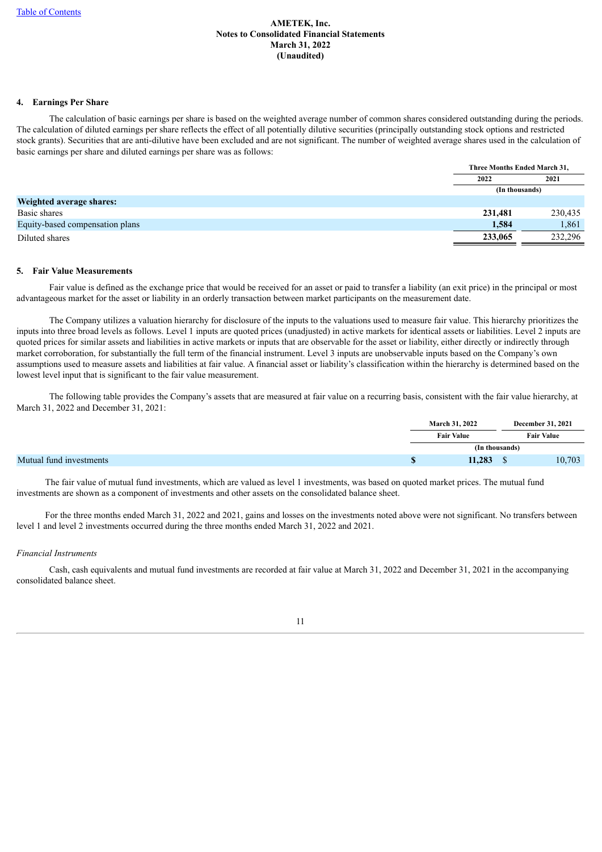## **4. Earnings Per Share**

The calculation of basic earnings per share is based on the weighted average number of common shares considered outstanding during the periods. The calculation of diluted earnings per share reflects the effect of all potentially dilutive securities (principally outstanding stock options and restricted stock grants). Securities that are anti-dilutive have been excluded and are not significant. The number of weighted average shares used in the calculation of basic earnings per share and diluted earnings per share was as follows:

|                                 |         | Three Months Ended March 31, |
|---------------------------------|---------|------------------------------|
|                                 | 2022    | 2021                         |
|                                 |         | (In thousands)               |
| Weighted average shares:        |         |                              |
| Basic shares                    | 231,481 | 230,435                      |
| Equity-based compensation plans | 1.584   | 1,861                        |
| Diluted shares                  | 233,065 | 232,296                      |
|                                 |         |                              |

#### **5. Fair Value Measurements**

Fair value is defined as the exchange price that would be received for an asset or paid to transfer a liability (an exit price) in the principal or most advantageous market for the asset or liability in an orderly transaction between market participants on the measurement date.

The Company utilizes a valuation hierarchy for disclosure of the inputs to the valuations used to measure fair value. This hierarchy prioritizes the inputs into three broad levels as follows. Level 1 inputs are quoted prices (unadjusted) in active markets for identical assets or liabilities. Level 2 inputs are quoted prices for similar assets and liabilities in active markets or inputs that are observable for the asset or liability, either directly or indirectly through market corroboration, for substantially the full term of the financial instrument. Level 3 inputs are unobservable inputs based on the Company's own assumptions used to measure assets and liabilities at fair value. A financial asset or liability's classification within the hierarchy is determined based on the lowest level input that is significant to the fair value measurement.

The following table provides the Company's assets that are measured at fair value on a recurring basis, consistent with the fair value hierarchy, at March 31, 2022 and December 31, 2021:

|                         |                | <b>March 31, 2022</b> |  | December 31, 2021 |
|-------------------------|----------------|-----------------------|--|-------------------|
|                         |                | <b>Fair Value</b>     |  | <b>Fair Value</b> |
|                         | (In thousands) |                       |  |                   |
| Mutual fund investments |                | 11.283                |  | 10,703            |

The fair value of mutual fund investments, which are valued as level 1 investments, was based on quoted market prices. The mutual fund investments are shown as a component of investments and other assets on the consolidated balance sheet.

For the three months ended March 31, 2022 and 2021, gains and losses on the investments noted above were not significant. No transfers between level 1 and level 2 investments occurred during the three months ended March 31, 2022 and 2021.

#### *Financial Instruments*

Cash, cash equivalents and mutual fund investments are recorded at fair value at March 31, 2022 and December 31, 2021 in the accompanying consolidated balance sheet.

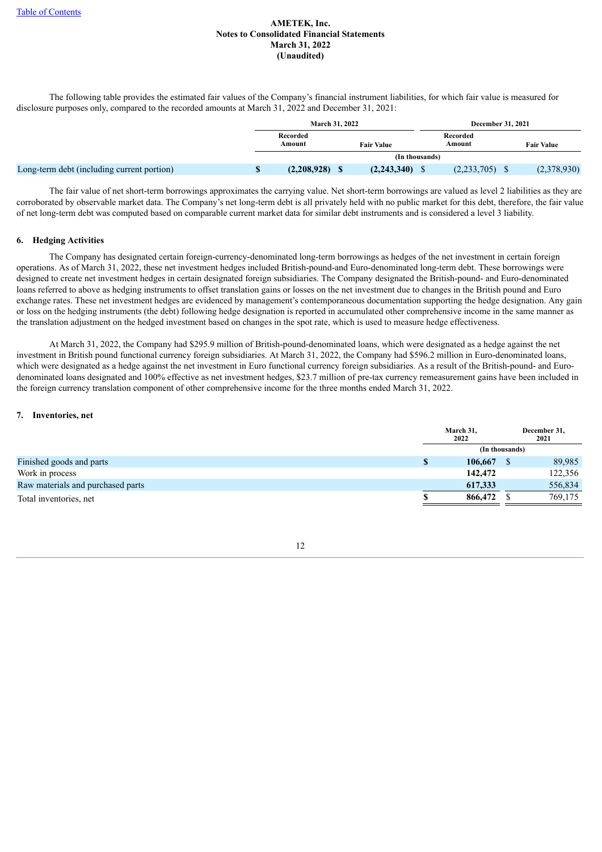The following table provides the estimated fair values of the Company's financial instrument liabilities, for which fair value is measured for disclosure purposes only, compared to the recorded amounts at March 31, 2022 and December 31, 2021:

|                                            | <b>March 31, 2022</b> |  |                   | <b>December 31, 2021</b> |                   |
|--------------------------------------------|-----------------------|--|-------------------|--------------------------|-------------------|
|                                            | Recorded<br>Amount    |  | <b>Fair Value</b> | Recorded<br>Amount       | <b>Fair Value</b> |
|                                            |                       |  | (In thousands)    |                          |                   |
| Long-term debt (including current portion) | (2,208,928)           |  | (2,243,340)       | (2,233,705)              | (2,378,930)       |

The fair value of net short-term borrowings approximates the carrying value. Net short-term borrowings are valued as level 2 liabilities as they are corroborated by observable market data. The Company's net long-term debt is all privately held with no public market for this debt, therefore, the fair value of net long-term debt was computed based on comparable current market data for similar debt instruments and is considered a level 3 liability.

#### **6. Hedging Activities**

The Company has designated certain foreign-currency-denominated long-term borrowings as hedges of the net investment in certain foreign operations. As of March 31, 2022, these net investment hedges included British-pound-and Euro-denominated long-term debt. These borrowings were designed to create net investment hedges in certain designated foreign subsidiaries. The Company designated the British-pound- and Euro-denominated loans referred to above as hedging instruments to offset translation gains or losses on the net investment due to changes in the British pound and Euro exchange rates. These net investment hedges are evidenced by management's contemporaneous documentation supporting the hedge designation. Any gain or loss on the hedging instruments (the debt) following hedge designation is reported in accumulated other comprehensive income in the same manner as the translation adjustment on the hedged investment based on changes in the spot rate, which is used to measure hedge effectiveness.

At March 31, 2022, the Company had \$295.9 million of British-pound-denominated loans, which were designated as a hedge against the net investment in British pound functional currency foreign subsidiaries. At March 31, 2022, the Company had \$596.2 million in Euro-denominated loans, which were designated as a hedge against the net investment in Euro functional currency foreign subsidiaries. As a result of the British-pound- and Eurodenominated loans designated and 100% effective as net investment hedges, \$23.7 million of pre-tax currency remeasurement gains have been included in the foreign currency translation component of other comprehensive income for the three months ended March 31, 2022.

#### **7. Inventories, net**

|                                   |   | March 31,<br>2022 |                | December 31,<br>2021 |
|-----------------------------------|---|-------------------|----------------|----------------------|
|                                   |   |                   | (In thousands) |                      |
| Finished goods and parts          | S | 106,667           |                | 89,985               |
| Work in process                   |   | 142,472           |                | 122,356              |
| Raw materials and purchased parts |   | 617.333           |                | 556,834              |
| Total inventories, net            |   | 866,472           |                | 769,175              |
|                                   |   |                   |                |                      |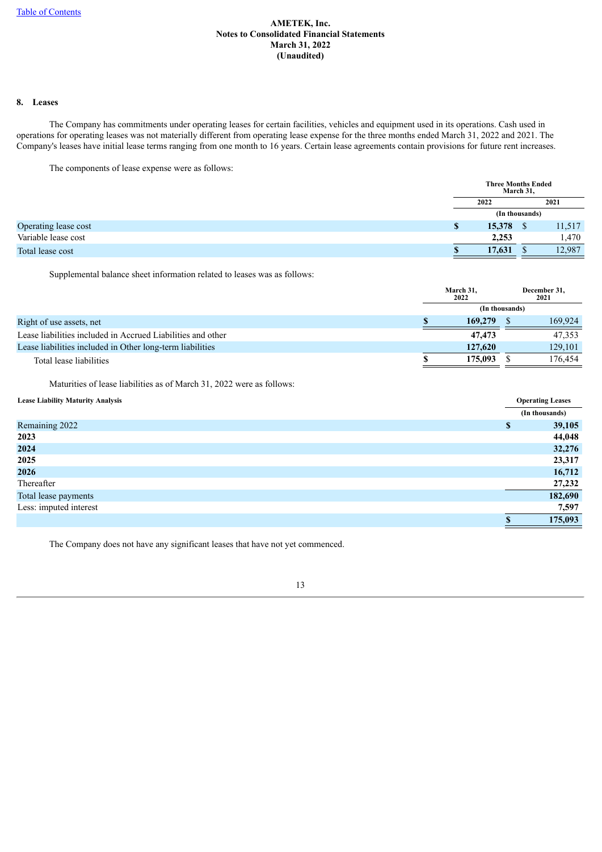#### **8. Leases**

The Company has commitments under operating leases for certain facilities, vehicles and equipment used in its operations. Cash used in operations for operating leases was not materially different from operating lease expense for the three months ended March 31, 2022 and 2021. The Company's leases have initial lease terms ranging from one month to 16 years. Certain lease agreements contain provisions for future rent increases.

The components of lease expense were as follows:

|                      |   |      |        | <b>Three Months Ended</b><br>March 31, |        |
|----------------------|---|------|--------|----------------------------------------|--------|
|                      |   | 2022 |        |                                        | 2021   |
|                      |   |      |        | (In thousands)                         |        |
| Operating lease cost | S |      | 15,378 |                                        | 11,517 |
| Variable lease cost  |   |      | 2,253  |                                        | 1.470  |
| Total lease cost     |   |      | 17,631 |                                        | 12,987 |

Supplemental balance sheet information related to leases was as follows:

|                                                             | March 31,<br>2022 |         |  | December 31,<br>2021 |  |  |  |
|-------------------------------------------------------------|-------------------|---------|--|----------------------|--|--|--|
|                                                             | (In thousands)    |         |  |                      |  |  |  |
| Right of use assets, net                                    |                   | 169,279 |  | 169.924              |  |  |  |
| Lease liabilities included in Accrued Liabilities and other |                   | 47,473  |  | 47,353               |  |  |  |
| Lease liabilities included in Other long-term liabilities   |                   | 127,620 |  | 129.101              |  |  |  |
| Total lease liabilities                                     |                   | 175,093 |  | 176.454              |  |  |  |

Maturities of lease liabilities as of March 31, 2022 were as follows:

## **Lease Liability Maturity Analysis Operating Leases**

|                        |   | (In thousands) |
|------------------------|---|----------------|
| Remaining 2022         | D | 39,105         |
| 2023                   |   | 44,048         |
| 2024                   |   | 32,276         |
| 2025                   |   | 23,317         |
| 2026                   |   | 16,712         |
| Thereafter             |   | 27,232         |
| Total lease payments   |   | 182,690        |
| Less: imputed interest |   | 7,597          |
|                        |   | 175,093        |

The Company does not have any significant leases that have not yet commenced.

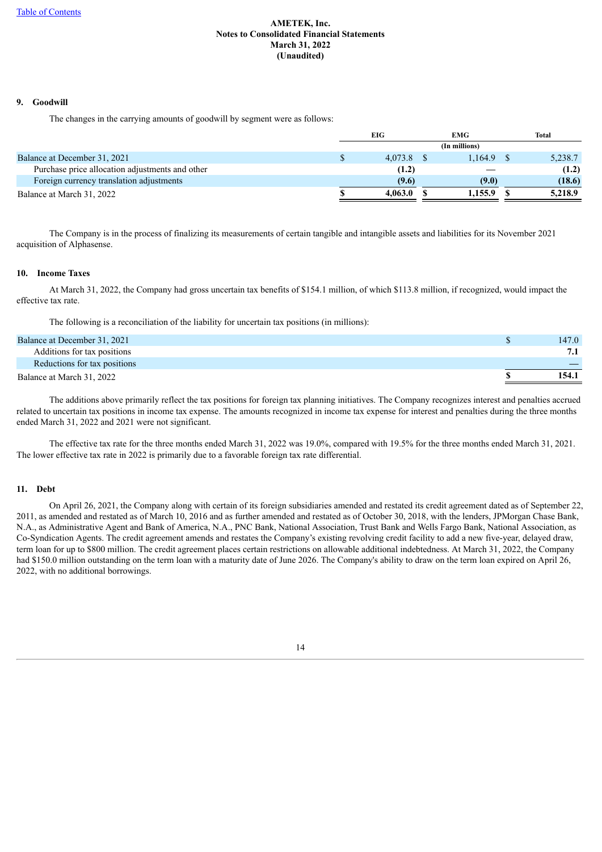## **9. Goodwill**

The changes in the carrying amounts of goodwill by segment were as follows:

|                                                 | EIG |         | <b>EMG</b> |               | Total   |
|-------------------------------------------------|-----|---------|------------|---------------|---------|
|                                                 |     |         |            | (In millions) |         |
| Balance at December 31, 2021                    |     | 4.073.8 |            | 1.164.9       | 5,238.7 |
| Purchase price allocation adjustments and other |     | (1.2)   |            |               | (1.2)   |
| Foreign currency translation adjustments        |     | (9.6)   |            | (9.0)         | (18.6)  |
| Balance at March 31, 2022                       |     | 4.063.0 |            | 1,155.9       | 5,218.9 |

The Company is in the process of finalizing its measurements of certain tangible and intangible assets and liabilities for its November 2021 acquisition of Alphasense.

#### **10. Income Taxes**

At March 31, 2022, the Company had gross uncertain tax benefits of \$154.1 million, of which \$113.8 million, if recognized, would impact the effective tax rate.

The following is a reconciliation of the liability for uncertain tax positions (in millions):

| Balance at December 31, 2021 | 147.0 |
|------------------------------|-------|
| Additions for tax positions  |       |
| Reductions for tax positions |       |
| Balance at March 31, 2022    | 154.1 |

The additions above primarily reflect the tax positions for foreign tax planning initiatives. The Company recognizes interest and penalties accrued related to uncertain tax positions in income tax expense. The amounts recognized in income tax expense for interest and penalties during the three months ended March 31, 2022 and 2021 were not significant.

The effective tax rate for the three months ended March 31, 2022 was 19.0%, compared with 19.5% for the three months ended March 31, 2021. The lower effective tax rate in 2022 is primarily due to a favorable foreign tax rate differential.

## **11. Debt**

On April 26, 2021, the Company along with certain of its foreign subsidiaries amended and restated its credit agreement dated as of September 22, 2011, as amended and restated as of March 10, 2016 and as further amended and restated as of October 30, 2018, with the lenders, JPMorgan Chase Bank, N.A., as Administrative Agent and Bank of America, N.A., PNC Bank, National Association, Trust Bank and Wells Fargo Bank, National Association, as Co-Syndication Agents. The credit agreement amends and restates the Company's existing revolving credit facility to add a new five-year, delayed draw, term loan for up to \$800 million. The credit agreement places certain restrictions on allowable additional indebtedness. At March 31, 2022, the Company had \$150.0 million outstanding on the term loan with a maturity date of June 2026. The Company's ability to draw on the term loan expired on April 26, 2022, with no additional borrowings.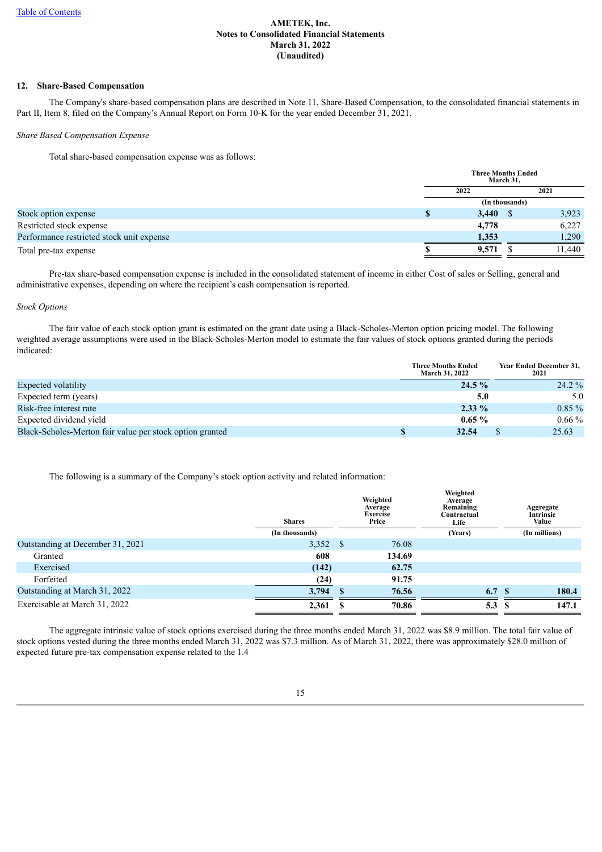#### **12. Share-Based Compensation**

The Company's share-based compensation plans are described in Note 11, Share-Based Compensation, to the consolidated financial statements in Part II, Item 8, filed on the Company's Annual Report on Form 10-K for the year ended December 31, 2021.

#### *Share Based Compensation Expense*

Total share-based compensation expense was as follows:

|                                           |      | <b>Three Months Ended</b><br>March 31, |        |  |
|-------------------------------------------|------|----------------------------------------|--------|--|
|                                           | 2022 | 2021                                   |        |  |
|                                           |      | (In thousands)                         |        |  |
| Stock option expense                      | \$   | 3,440                                  | 3,923  |  |
| Restricted stock expense                  |      | 4,778                                  | 6,227  |  |
| Performance restricted stock unit expense |      | 1,353                                  | 1,290  |  |
| Total pre-tax expense                     |      | 9.571                                  | 11,440 |  |
|                                           |      |                                        |        |  |

Pre-tax share-based compensation expense is included in the consolidated statement of income in either Cost of sales or Selling, general and administrative expenses, depending on where the recipient's cash compensation is reported.

#### *Stock Options*

The fair value of each stock option grant is estimated on the grant date using a Black-Scholes-Merton option pricing model. The following weighted average assumptions were used in the Black-Scholes-Merton model to estimate the fair values of stock options granted during the periods indicated:

|                                                          | <b>Three Months Ended</b><br><b>March 31, 2022</b> | <b>Year Ended December 31,</b><br>2021 |
|----------------------------------------------------------|----------------------------------------------------|----------------------------------------|
| Expected volatility                                      | $24.5\%$                                           | $24.2\%$                               |
| Expected term (years)                                    | 5.0                                                | 5.0                                    |
| Risk-free interest rate                                  | $2.33\%$                                           | $0.85\%$                               |
| Expected dividend yield                                  | $0.65 \%$                                          | $0.66\%$                               |
| Black-Scholes-Merton fair value per stock option granted | 32.54                                              | 25.63                                  |

## The following is a summary of the Company's stock option activity and related information:

|                                  | <b>Shares</b>  |    | Weighted<br>Average<br><b>Exercise</b><br>Price | Weighted<br>Average<br>Remaining<br>Contractual<br>Life |   | Aggregate<br>Intrinsic<br>Value |
|----------------------------------|----------------|----|-------------------------------------------------|---------------------------------------------------------|---|---------------------------------|
|                                  | (In thousands) |    |                                                 | (Years)                                                 |   | (In millions)                   |
| Outstanding at December 31, 2021 | 3,352          | -S | 76.08                                           |                                                         |   |                                 |
| Granted                          | 608            |    | 134.69                                          |                                                         |   |                                 |
| Exercised                        | (142)          |    | 62.75                                           |                                                         |   |                                 |
| Forfeited                        | (24)           |    | 91.75                                           |                                                         |   |                                 |
| Outstanding at March 31, 2022    | 3.794          |    | 76.56                                           | 6.7 \$                                                  |   | 180.4                           |
| Exercisable at March 31, 2022    | 2,361          |    | 70.86                                           | 5.3                                                     | D | 147.1                           |

The aggregate intrinsic value of stock options exercised during the three months ended March 31, 2022 was \$8.9 million. The total fair value of stock options vested during the three months ended March 31, 2022 was \$7.3 million. As of March 31, 2022, there was approximately \$28.0 million of expected future pre-tax compensation expense related to the 1.4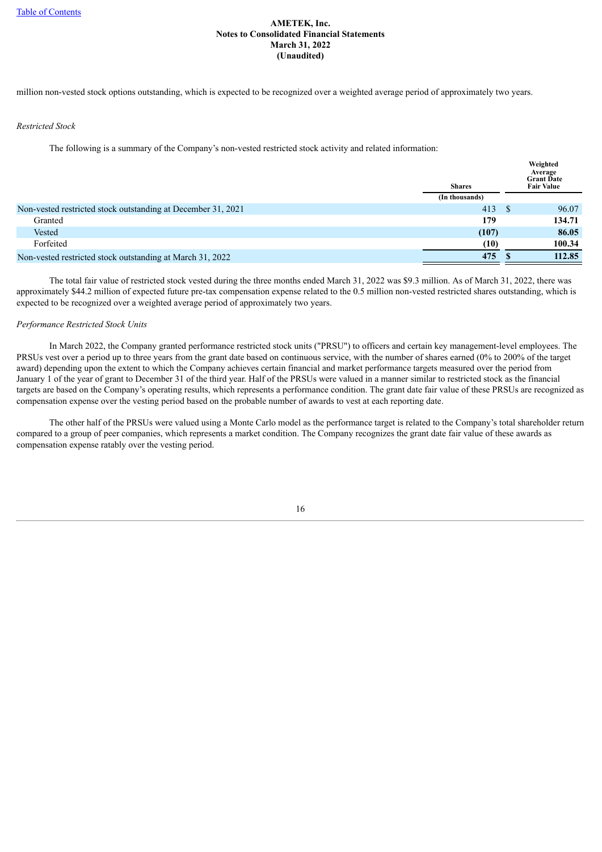million non-vested stock options outstanding, which is expected to be recognized over a weighted average period of approximately two years.

## *Restricted Stock*

The following is a summary of the Company's non-vested restricted stock activity and related information:

|                                                              | <b>Shares</b>  | Weighted<br>Average<br><b>Grant Date</b><br><b>Fair Value</b> |
|--------------------------------------------------------------|----------------|---------------------------------------------------------------|
|                                                              | (In thousands) |                                                               |
| Non-vested restricted stock outstanding at December 31, 2021 | 413            | 96.07                                                         |
| Granted                                                      | 179            | 134.71                                                        |
| Vested                                                       | (107)          | 86.05                                                         |
| Forfeited                                                    | (10)           | 100.34                                                        |
| Non-vested restricted stock outstanding at March 31, 2022    | 475            | 112.85                                                        |
|                                                              |                |                                                               |

The total fair value of restricted stock vested during the three months ended March 31, 2022 was \$9.3 million. As of March 31, 2022, there was approximately \$44.2 million of expected future pre-tax compensation expense related to the 0.5 million non-vested restricted shares outstanding, which is expected to be recognized over a weighted average period of approximately two years.

#### *Performance Restricted Stock Units*

In March 2022, the Company granted performance restricted stock units ("PRSU") to officers and certain key management-level employees. The PRSUs vest over a period up to three years from the grant date based on continuous service, with the number of shares earned (0% to 200% of the target award) depending upon the extent to which the Company achieves certain financial and market performance targets measured over the period from January 1 of the year of grant to December 31 of the third year. Half of the PRSUs were valued in a manner similar to restricted stock as the financial targets are based on the Company's operating results, which represents a performance condition. The grant date fair value of these PRSUs are recognized as compensation expense over the vesting period based on the probable number of awards to vest at each reporting date.

The other half of the PRSUs were valued using a Monte Carlo model as the performance target is related to the Company's total shareholder return compared to a group of peer companies, which represents a market condition. The Company recognizes the grant date fair value of these awards as compensation expense ratably over the vesting period.

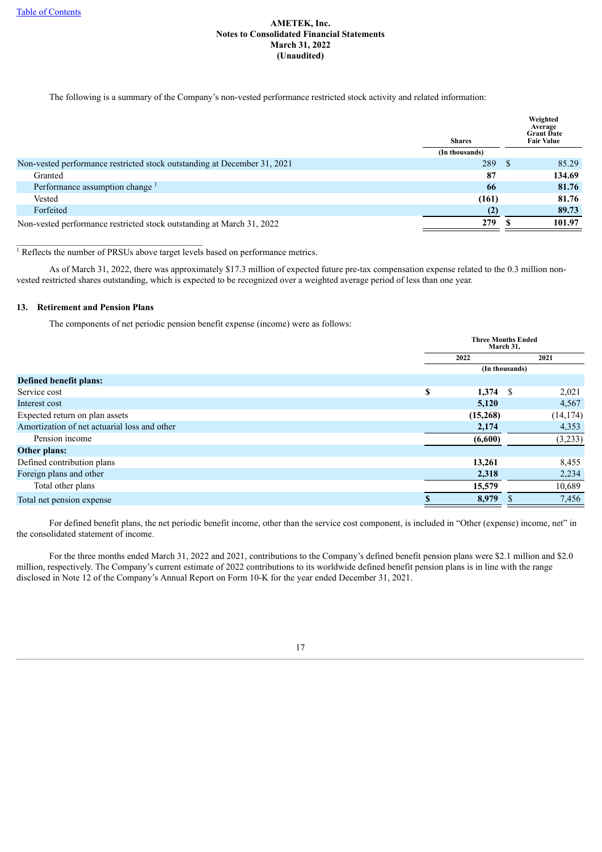The following is a summary of the Company's non-vested performance restricted stock activity and related information:

|                                                                          | <b>Shares</b>  |    | Weighted<br>Average<br><b>Grant Date</b><br><b>Fair Value</b> |
|--------------------------------------------------------------------------|----------------|----|---------------------------------------------------------------|
|                                                                          | (In thousands) |    |                                                               |
| Non-vested performance restricted stock outstanding at December 31, 2021 | 289            | -S | 85.29                                                         |
| Granted                                                                  | 87             |    | 134.69                                                        |
| Performance assumption change <sup>1</sup>                               | 66             |    | 81.76                                                         |
| Vested                                                                   | (161)          |    | 81.76                                                         |
| Forfeited                                                                | (2)            |    | 89.73                                                         |
| Non-vested performance restricted stock outstanding at March 31, 2022    | 279            |    | 101.97                                                        |
|                                                                          |                |    |                                                               |

 $<sup>1</sup>$  Reflects the number of PRSUs above target levels based on performance metrics.</sup>

As of March 31, 2022, there was approximately \$17.3 million of expected future pre-tax compensation expense related to the 0.3 million nonvested restricted shares outstanding, which is expected to be recognized over a weighted average period of less than one year.

## **13. Retirement and Pension Plans**

The components of net periodic pension benefit expense (income) were as follows:

|                                              |          | <b>Three Months Ended</b><br>March 31, |  |  |
|----------------------------------------------|----------|----------------------------------------|--|--|
|                                              | 2022     | 2021                                   |  |  |
|                                              |          | (In thousands)                         |  |  |
| Defined benefit plans:                       |          |                                        |  |  |
| Service cost                                 | \$       | 1,374<br>2,021<br>-S                   |  |  |
| Interest cost                                | 5,120    | 4,567                                  |  |  |
| Expected return on plan assets               | (15,268) | (14, 174)                              |  |  |
| Amortization of net actuarial loss and other | 2,174    | 4,353                                  |  |  |
| Pension income                               | (6,600)  | (3,233)                                |  |  |
| Other plans:                                 |          |                                        |  |  |
| Defined contribution plans                   | 13,261   | 8,455                                  |  |  |
| Foreign plans and other                      | 2,318    | 2,234                                  |  |  |
| Total other plans                            | 15,579   | 10,689                                 |  |  |
| Total net pension expense                    | 8,979    | 7,456                                  |  |  |
|                                              |          |                                        |  |  |

For defined benefit plans, the net periodic benefit income, other than the service cost component, is included in "Other (expense) income, net" in the consolidated statement of income.

For the three months ended March 31, 2022 and 2021, contributions to the Company's defined benefit pension plans were \$2.1 million and \$2.0 million, respectively. The Company's current estimate of 2022 contributions to its worldwide defined benefit pension plans is in line with the range disclosed in Note 12 of the Company's Annual Report on Form 10-K for the year ended December 31, 2021.

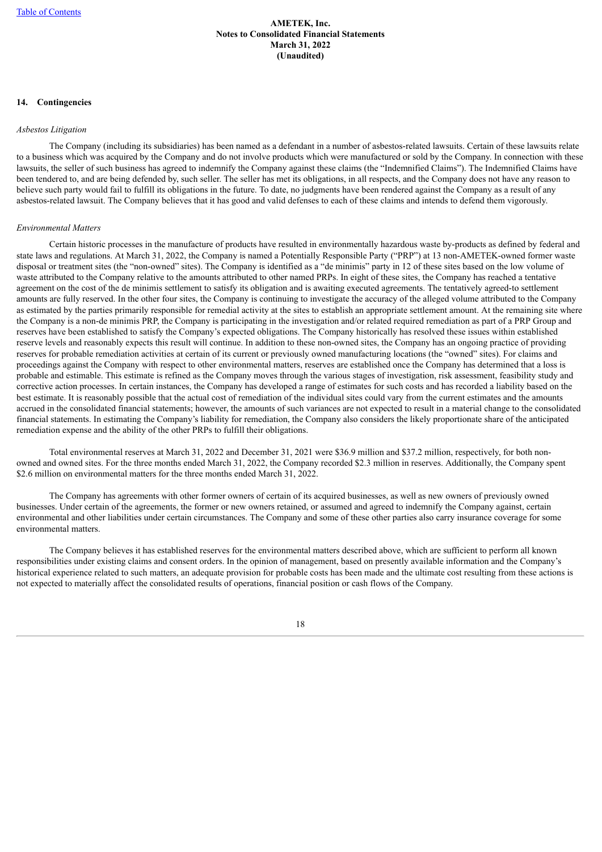#### **14. Contingencies**

#### *Asbestos Litigation*

The Company (including its subsidiaries) has been named as a defendant in a number of asbestos-related lawsuits. Certain of these lawsuits relate to a business which was acquired by the Company and do not involve products which were manufactured or sold by the Company. In connection with these lawsuits, the seller of such business has agreed to indemnify the Company against these claims (the "Indemnified Claims"). The Indemnified Claims have been tendered to, and are being defended by, such seller. The seller has met its obligations, in all respects, and the Company does not have any reason to believe such party would fail to fulfill its obligations in the future. To date, no judgments have been rendered against the Company as a result of any asbestos-related lawsuit. The Company believes that it has good and valid defenses to each of these claims and intends to defend them vigorously.

#### *Environmental Matters*

Certain historic processes in the manufacture of products have resulted in environmentally hazardous waste by-products as defined by federal and state laws and regulations. At March 31, 2022, the Company is named a Potentially Responsible Party ("PRP") at 13 non-AMETEK-owned former waste disposal or treatment sites (the "non-owned" sites). The Company is identified as a "de minimis" party in 12 of these sites based on the low volume of waste attributed to the Company relative to the amounts attributed to other named PRPs. In eight of these sites, the Company has reached a tentative agreement on the cost of the de minimis settlement to satisfy its obligation and is awaiting executed agreements. The tentatively agreed-to settlement amounts are fully reserved. In the other four sites, the Company is continuing to investigate the accuracy of the alleged volume attributed to the Company as estimated by the parties primarily responsible for remedial activity at the sites to establish an appropriate settlement amount. At the remaining site where the Company is a non-de minimis PRP, the Company is participating in the investigation and/or related required remediation as part of a PRP Group and reserves have been established to satisfy the Company's expected obligations. The Company historically has resolved these issues within established reserve levels and reasonably expects this result will continue. In addition to these non-owned sites, the Company has an ongoing practice of providing reserves for probable remediation activities at certain of its current or previously owned manufacturing locations (the "owned" sites). For claims and proceedings against the Company with respect to other environmental matters, reserves are established once the Company has determined that a loss is probable and estimable. This estimate is refined as the Company moves through the various stages of investigation, risk assessment, feasibility study and corrective action processes. In certain instances, the Company has developed a range of estimates for such costs and has recorded a liability based on the best estimate. It is reasonably possible that the actual cost of remediation of the individual sites could vary from the current estimates and the amounts accrued in the consolidated financial statements; however, the amounts of such variances are not expected to result in a material change to the consolidated financial statements. In estimating the Company's liability for remediation, the Company also considers the likely proportionate share of the anticipated remediation expense and the ability of the other PRPs to fulfill their obligations.

Total environmental reserves at March 31, 2022 and December 31, 2021 were \$36.9 million and \$37.2 million, respectively, for both nonowned and owned sites. For the three months ended March 31, 2022, the Company recorded \$2.3 million in reserves. Additionally, the Company spent \$2.6 million on environmental matters for the three months ended March 31, 2022.

The Company has agreements with other former owners of certain of its acquired businesses, as well as new owners of previously owned businesses. Under certain of the agreements, the former or new owners retained, or assumed and agreed to indemnify the Company against, certain environmental and other liabilities under certain circumstances. The Company and some of these other parties also carry insurance coverage for some environmental matters.

<span id="page-18-0"></span>The Company believes it has established reserves for the environmental matters described above, which are sufficient to perform all known responsibilities under existing claims and consent orders. In the opinion of management, based on presently available information and the Company's historical experience related to such matters, an adequate provision for probable costs has been made and the ultimate cost resulting from these actions is not expected to materially affect the consolidated results of operations, financial position or cash flows of the Company.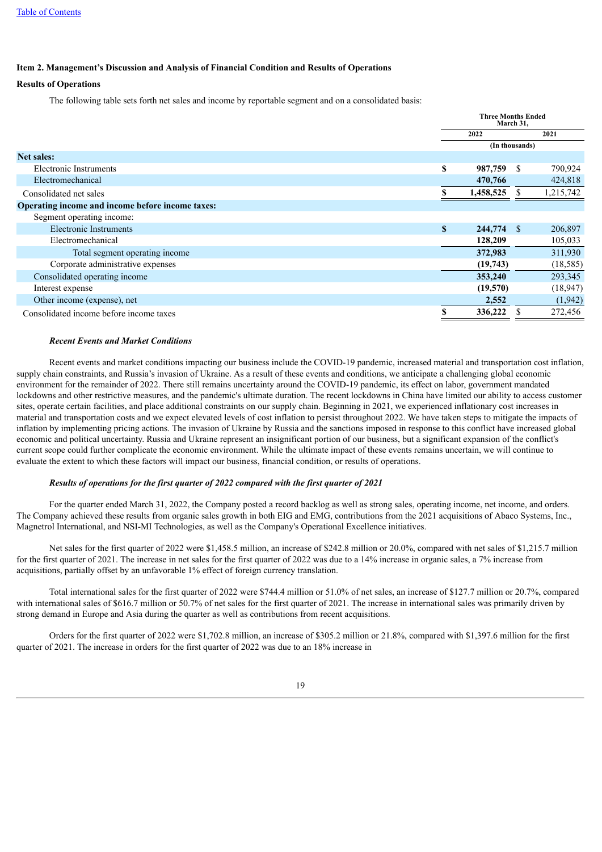## **Item 2. Management's Discussion and Analysis of Financial Condition and Results of Operations**

#### **Results of Operations**

The following table sets forth net sales and income by reportable segment and on a consolidated basis:

|                                                  |    | <b>Three Months Ended</b><br>March 31, |           |
|--------------------------------------------------|----|----------------------------------------|-----------|
|                                                  |    | 2022<br>2021                           |           |
|                                                  |    | (In thousands)                         |           |
| <b>Net sales:</b>                                |    |                                        |           |
| Electronic Instruments                           | \$ | 987,759<br>S.                          | 790,924   |
| Electromechanical                                |    | 470,766                                | 424,818   |
| Consolidated net sales                           |    | 1,458,525<br>\$                        | 1,215,742 |
| Operating income and income before income taxes: |    |                                        |           |
| Segment operating income:                        |    |                                        |           |
| Electronic Instruments                           | \$ | 244,774 \$                             | 206,897   |
| Electromechanical                                |    | 128,209                                | 105,033   |
| Total segment operating income                   |    | 372,983                                | 311,930   |
| Corporate administrative expenses                |    | (19,743)                               | (18, 585) |
| Consolidated operating income                    |    | 353,240                                | 293,345   |
| Interest expense                                 |    | (19,570)                               | (18, 947) |
| Other income (expense), net                      |    | 2,552                                  | (1,942)   |
| Consolidated income before income taxes          | S  | 336,222                                | 272,456   |

#### *Recent Events and Market Conditions*

Recent events and market conditions impacting our business include the COVID-19 pandemic, increased material and transportation cost inflation, supply chain constraints, and Russia's invasion of Ukraine. As a result of these events and conditions, we anticipate a challenging global economic environment for the remainder of 2022. There still remains uncertainty around the COVID-19 pandemic, its effect on labor, government mandated lockdowns and other restrictive measures, and the pandemic's ultimate duration. The recent lockdowns in China have limited our ability to access customer sites, operate certain facilities, and place additional constraints on our supply chain. Beginning in 2021, we experienced inflationary cost increases in material and transportation costs and we expect elevated levels of cost inflation to persist throughout 2022. We have taken steps to mitigate the impacts of inflation by implementing pricing actions. The invasion of Ukraine by Russia and the sanctions imposed in response to this conflict have increased global economic and political uncertainty. Russia and Ukraine represent an insignificant portion of our business, but a significant expansion of the conflict's current scope could further complicate the economic environment. While the ultimate impact of these events remains uncertain, we will continue to evaluate the extent to which these factors will impact our business, financial condition, or results of operations.

#### *Results of operations for the first quarter of 2022 compared with the first quarter of 2021*

For the quarter ended March 31, 2022, the Company posted a record backlog as well as strong sales, operating income, net income, and orders. The Company achieved these results from organic sales growth in both EIG and EMG, contributions from the 2021 acquisitions of Abaco Systems, Inc., Magnetrol International, and NSI-MI Technologies, as well as the Company's Operational Excellence initiatives.

Net sales for the first quarter of 2022 were \$1,458.5 million, an increase of \$242.8 million or 20.0%, compared with net sales of \$1,215.7 million for the first quarter of 2021. The increase in net sales for the first quarter of 2022 was due to a 14% increase in organic sales, a 7% increase from acquisitions, partially offset by an unfavorable 1% effect of foreign currency translation.

Total international sales for the first quarter of 2022 were \$744.4 million or 51.0% of net sales, an increase of \$127.7 million or 20.7%, compared with international sales of \$616.7 million or 50.7% of net sales for the first quarter of 2021. The increase in international sales was primarily driven by strong demand in Europe and Asia during the quarter as well as contributions from recent acquisitions.

Orders for the first quarter of 2022 were \$1,702.8 million, an increase of \$305.2 million or 21.8%, compared with \$1,397.6 million for the first quarter of 2021. The increase in orders for the first quarter of 2022 was due to an 18% increase in

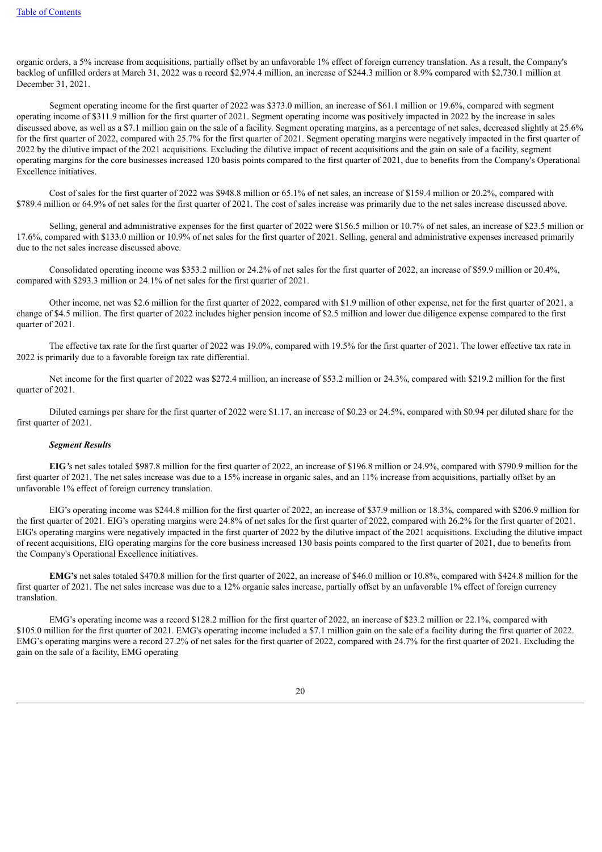organic orders, a 5% increase from acquisitions, partially offset by an unfavorable 1% effect of foreign currency translation. As a result, the Company's backlog of unfilled orders at March 31, 2022 was a record \$2,974.4 million, an increase of \$244.3 million or 8.9% compared with \$2,730.1 million at December 31, 2021.

Segment operating income for the first quarter of 2022 was \$373.0 million, an increase of \$61.1 million or 19.6%, compared with segment operating income of \$311.9 million for the first quarter of 2021. Segment operating income was positively impacted in 2022 by the increase in sales discussed above, as well as a \$7.1 million gain on the sale of a facility. Segment operating margins, as a percentage of net sales, decreased slightly at 25.6% for the first quarter of 2022, compared with 25.7% for the first quarter of 2021. Segment operating margins were negatively impacted in the first quarter of 2022 by the dilutive impact of the 2021 acquisitions. Excluding the dilutive impact of recent acquisitions and the gain on sale of a facility, segment operating margins for the core businesses increased 120 basis points compared to the first quarter of 2021, due to benefits from the Company's Operational Excellence initiatives.

Cost of sales for the first quarter of 2022 was \$948.8 million or 65.1% of net sales, an increase of \$159.4 million or 20.2%, compared with \$789.4 million or 64.9% of net sales for the first quarter of 2021. The cost of sales increase was primarily due to the net sales increase discussed above.

Selling, general and administrative expenses for the first quarter of 2022 were \$156.5 million or 10.7% of net sales, an increase of \$23.5 million or 17.6%, compared with \$133.0 million or 10.9% of net sales for the first quarter of 2021. Selling, general and administrative expenses increased primarily due to the net sales increase discussed above.

Consolidated operating income was \$353.2 million or 24.2% of net sales for the first quarter of 2022, an increase of \$59.9 million or 20.4%, compared with \$293.3 million or 24.1% of net sales for the first quarter of 2021.

Other income, net was \$2.6 million for the first quarter of 2022, compared with \$1.9 million of other expense, net for the first quarter of 2021, a change of \$4.5 million. The first quarter of 2022 includes higher pension income of \$2.5 million and lower due diligence expense compared to the first quarter of 2021.

The effective tax rate for the first quarter of 2022 was 19.0%, compared with 19.5% for the first quarter of 2021. The lower effective tax rate in 2022 is primarily due to a favorable foreign tax rate differential.

Net income for the first quarter of 2022 was \$272.4 million, an increase of \$53.2 million or 24.3%, compared with \$219.2 million for the first quarter of 2021.

Diluted earnings per share for the first quarter of 2022 were \$1.17, an increase of \$0.23 or 24.5%, compared with \$0.94 per diluted share for the first quarter of 2021.

## *Segment Results*

**EIG***'*s net sales totaled \$987.8 million for the first quarter of 2022, an increase of \$196.8 million or 24.9%, compared with \$790.9 million for the first quarter of 2021. The net sales increase was due to a 15% increase in organic sales, and an 11% increase from acquisitions, partially offset by an unfavorable 1% effect of foreign currency translation.

EIG's operating income was \$244.8 million for the first quarter of 2022, an increase of \$37.9 million or 18.3%, compared with \$206.9 million for the first quarter of 2021. EIG's operating margins were 24.8% of net sales for the first quarter of 2022, compared with 26.2% for the first quarter of 2021. EIG's operating margins were negatively impacted in the first quarter of 2022 by the dilutive impact of the 2021 acquisitions. Excluding the dilutive impact of recent acquisitions, EIG operating margins for the core business increased 130 basis points compared to the first quarter of 2021, due to benefits from the Company's Operational Excellence initiatives.

**EMG's** net sales totaled \$470.8 million for the first quarter of 2022, an increase of \$46.0 million or 10.8%, compared with \$424.8 million for the first quarter of 2021. The net sales increase was due to a 12% organic sales increase, partially offset by an unfavorable 1% effect of foreign currency translation.

EMG's operating income was a record \$128.2 million for the first quarter of 2022, an increase of \$23.2 million or 22.1%, compared with \$105.0 million for the first quarter of 2021. EMG's operating income included a \$7.1 million gain on the sale of a facility during the first quarter of 2022. EMG's operating margins were a record 27.2% of net sales for the first quarter of 2022, compared with 24.7% for the first quarter of 2021. Excluding the gain on the sale of a facility, EMG operating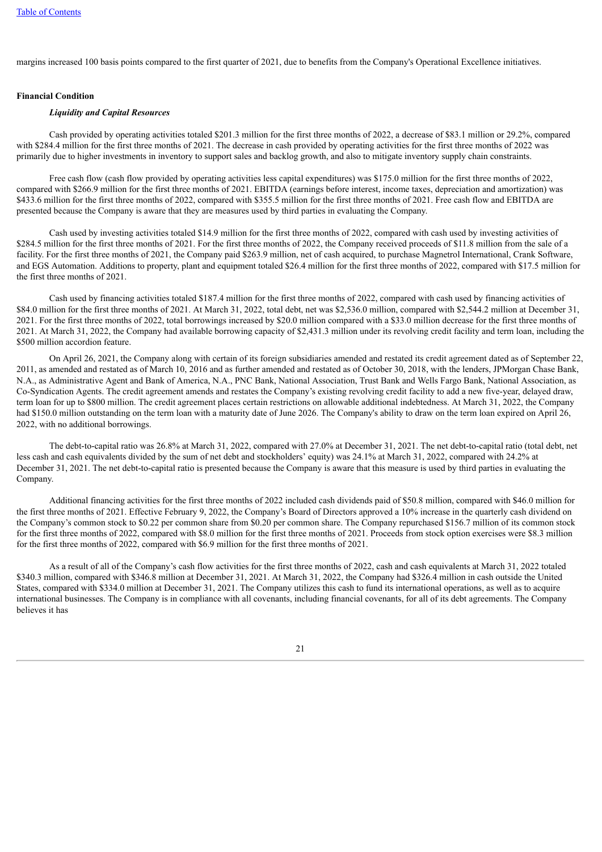margins increased 100 basis points compared to the first quarter of 2021, due to benefits from the Company's Operational Excellence initiatives.

## **Financial Condition**

#### *Liquidity and Capital Resources*

Cash provided by operating activities totaled \$201.3 million for the first three months of 2022, a decrease of \$83.1 million or 29.2%, compared with \$284.4 million for the first three months of 2021. The decrease in cash provided by operating activities for the first three months of 2022 was primarily due to higher investments in inventory to support sales and backlog growth, and also to mitigate inventory supply chain constraints.

Free cash flow (cash flow provided by operating activities less capital expenditures) was \$175.0 million for the first three months of 2022, compared with \$266.9 million for the first three months of 2021. EBITDA (earnings before interest, income taxes, depreciation and amortization) was \$433.6 million for the first three months of 2022, compared with \$355.5 million for the first three months of 2021. Free cash flow and EBITDA are presented because the Company is aware that they are measures used by third parties in evaluating the Company.

Cash used by investing activities totaled \$14.9 million for the first three months of 2022, compared with cash used by investing activities of \$284.5 million for the first three months of 2021. For the first three months of 2022, the Company received proceeds of \$11.8 million from the sale of a facility. For the first three months of 2021, the Company paid \$263.9 million, net of cash acquired, to purchase Magnetrol International, Crank Software, and EGS Automation. Additions to property, plant and equipment totaled \$26.4 million for the first three months of 2022, compared with \$17.5 million for the first three months of 2021.

Cash used by financing activities totaled \$187.4 million for the first three months of 2022, compared with cash used by financing activities of \$84.0 million for the first three months of 2021. At March 31, 2022, total debt, net was \$2,536.0 million, compared with \$2,544.2 million at December 31, 2021. For the first three months of 2022, total borrowings increased by \$20.0 million compared with a \$33.0 million decrease for the first three months of 2021. At March 31, 2022, the Company had available borrowing capacity of \$2,431.3 million under its revolving credit facility and term loan, including the \$500 million accordion feature.

On April 26, 2021, the Company along with certain of its foreign subsidiaries amended and restated its credit agreement dated as of September 22, 2011, as amended and restated as of March 10, 2016 and as further amended and restated as of October 30, 2018, with the lenders, JPMorgan Chase Bank, N.A., as Administrative Agent and Bank of America, N.A., PNC Bank, National Association, Trust Bank and Wells Fargo Bank, National Association, as Co-Syndication Agents. The credit agreement amends and restates the Company's existing revolving credit facility to add a new five-year, delayed draw, term loan for up to \$800 million. The credit agreement places certain restrictions on allowable additional indebtedness. At March 31, 2022, the Company had \$150.0 million outstanding on the term loan with a maturity date of June 2026. The Company's ability to draw on the term loan expired on April 26, 2022, with no additional borrowings.

The debt-to-capital ratio was 26.8% at March 31, 2022, compared with 27.0% at December 31, 2021. The net debt-to-capital ratio (total debt, net less cash and cash equivalents divided by the sum of net debt and stockholders' equity) was 24.1% at March 31, 2022, compared with 24.2% at December 31, 2021. The net debt-to-capital ratio is presented because the Company is aware that this measure is used by third parties in evaluating the Company.

Additional financing activities for the first three months of 2022 included cash dividends paid of \$50.8 million, compared with \$46.0 million for the first three months of 2021. Effective February 9, 2022, the Company's Board of Directors approved a 10% increase in the quarterly cash dividend on the Company's common stock to \$0.22 per common share from \$0.20 per common share. The Company repurchased \$156.7 million of its common stock for the first three months of 2022, compared with \$8.0 million for the first three months of 2021. Proceeds from stock option exercises were \$8.3 million for the first three months of 2022, compared with \$6.9 million for the first three months of 2021.

As a result of all of the Company's cash flow activities for the first three months of 2022, cash and cash equivalents at March 31, 2022 totaled \$340.3 million, compared with \$346.8 million at December 31, 2021. At March 31, 2022, the Company had \$326.4 million in cash outside the United States, compared with \$334.0 million at December 31, 2021. The Company utilizes this cash to fund its international operations, as well as to acquire international businesses. The Company is in compliance with all covenants, including financial covenants, for all of its debt agreements. The Company believes it has

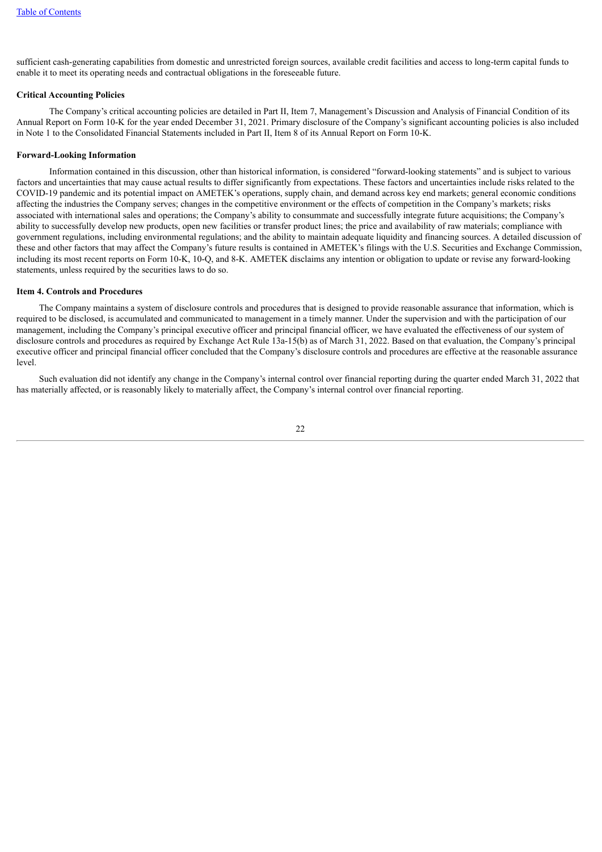sufficient cash-generating capabilities from domestic and unrestricted foreign sources, available credit facilities and access to long-term capital funds to enable it to meet its operating needs and contractual obligations in the foreseeable future.

## **Critical Accounting Policies**

The Company's critical accounting policies are detailed in Part II, Item 7, Management's Discussion and Analysis of Financial Condition of its Annual Report on Form 10-K for the year ended December 31, 2021. Primary disclosure of the Company's significant accounting policies is also included in Note 1 to the Consolidated Financial Statements included in Part II, Item 8 of its Annual Report on Form 10-K.

#### **Forward-Looking Information**

Information contained in this discussion, other than historical information, is considered "forward-looking statements" and is subject to various factors and uncertainties that may cause actual results to differ significantly from expectations. These factors and uncertainties include risks related to the COVID-19 pandemic and its potential impact on AMETEK's operations, supply chain, and demand across key end markets; general economic conditions affecting the industries the Company serves; changes in the competitive environment or the effects of competition in the Company's markets; risks associated with international sales and operations; the Company's ability to consummate and successfully integrate future acquisitions; the Company's ability to successfully develop new products, open new facilities or transfer product lines; the price and availability of raw materials; compliance with government regulations, including environmental regulations; and the ability to maintain adequate liquidity and financing sources. A detailed discussion of these and other factors that may affect the Company's future results is contained in AMETEK's filings with the U.S. Securities and Exchange Commission, including its most recent reports on Form 10-K, 10-Q, and 8-K. AMETEK disclaims any intention or obligation to update or revise any forward-looking statements, unless required by the securities laws to do so.

#### <span id="page-22-0"></span>**Item 4. Controls and Procedures**

The Company maintains a system of disclosure controls and procedures that is designed to provide reasonable assurance that information, which is required to be disclosed, is accumulated and communicated to management in a timely manner. Under the supervision and with the participation of our management, including the Company's principal executive officer and principal financial officer, we have evaluated the effectiveness of our system of disclosure controls and procedures as required by Exchange Act Rule 13a-15(b) as of March 31, 2022. Based on that evaluation, the Company's principal executive officer and principal financial officer concluded that the Company's disclosure controls and procedures are effective at the reasonable assurance level.

<span id="page-22-1"></span>Such evaluation did not identify any change in the Company's internal control over financial reporting during the quarter ended March 31, 2022 that has materially affected, or is reasonably likely to materially affect, the Company's internal control over financial reporting.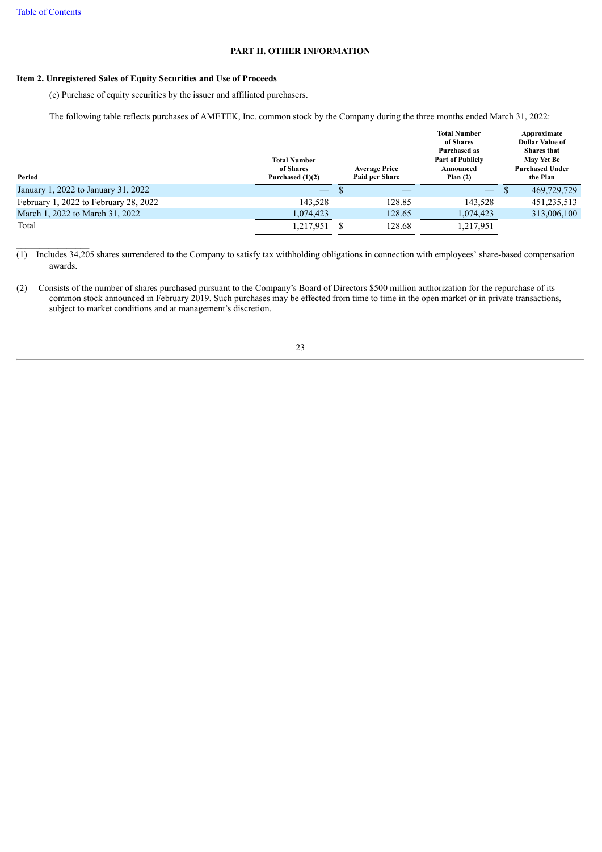$\mathcal{L}_\text{max}$ 

## **PART II. OTHER INFORMATION**

## <span id="page-23-0"></span>**Item 2. Unregistered Sales of Equity Securities and Use of Proceeds**

(c) Purchase of equity securities by the issuer and affiliated purchasers.

The following table reflects purchases of AMETEK, Inc. common stock by the Company during the three months ended March 31, 2022:

| Period                                | <b>Total Number</b><br>of Shares<br>Purchased $(1)(2)$ | <b>Average Price</b><br>Paid per Share | <b>Total Number</b><br>of Shares<br>Purchased as<br><b>Part of Publicly</b><br>Announced<br>Plan $(2)$ | Approximate<br><b>Dollar Value of</b><br><b>Shares that</b><br><b>May Yet Be</b><br><b>Purchased Under</b><br>the Plan |
|---------------------------------------|--------------------------------------------------------|----------------------------------------|--------------------------------------------------------------------------------------------------------|------------------------------------------------------------------------------------------------------------------------|
| January 1, 2022 to January 31, 2022   |                                                        |                                        | $\overline{\phantom{a}}$                                                                               | 469,729,729                                                                                                            |
| February 1, 2022 to February 28, 2022 | 143.528                                                | 128.85                                 | 143.528                                                                                                | 451,235,513                                                                                                            |
| March 1, 2022 to March 31, 2022       | 1.074.423                                              | 128.65                                 | 1,074,423                                                                                              | 313,006,100                                                                                                            |
| Total                                 | 1,217,951                                              | 128.68                                 | 1,217,951                                                                                              |                                                                                                                        |

 $\overline{(1)}$  Includes 34,205 shares surrendered to the Company to satisfy tax withholding obligations in connection with employees' share-based compensation awards.

<span id="page-23-1"></span>(2) Consists of the number of shares purchased pursuant to the Company's Board of Directors \$500 million authorization for the repurchase of its common stock announced in February 2019. Such purchases may be effected from time to time in the open market or in private transactions, subject to market conditions and at management's discretion.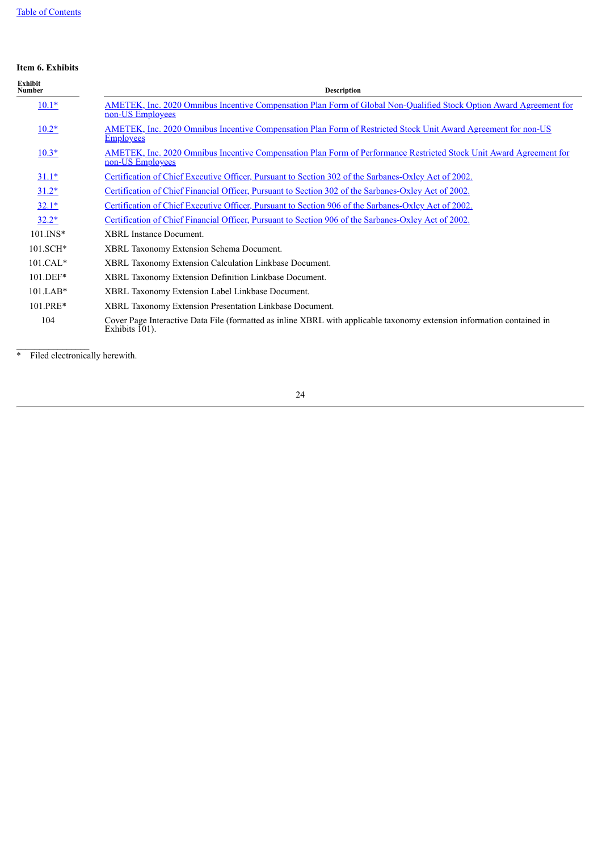## **Item 6. Exhibits**

| Exhibit<br>Number | <b>Description</b>                                                                                                                             |
|-------------------|------------------------------------------------------------------------------------------------------------------------------------------------|
| $10.1*$           | <b>AMETEK, Inc. 2020 Omnibus Incentive Compensation Plan Form of Global Non-Qualified Stock Option Award Agreement for</b><br>non-US Employees |
| $10.2*$           | AMETEK, Inc. 2020 Omnibus Incentive Compensation Plan Form of Restricted Stock Unit Award Agreement for non-US<br><b>Employees</b>             |
| $10.3*$           | AMETEK, Inc. 2020 Omnibus Incentive Compensation Plan Form of Performance Restricted Stock Unit Award Agreement for<br>non-US Employees        |
| $31.1*$           | <u>Certification of Chief Executive Officer, Pursuant to Section 302 of the Sarbanes-Oxley Act of 2002.</u>                                    |
| $31.2*$           | Certification of Chief Financial Officer, Pursuant to Section 302 of the Sarbanes-Oxley Act of 2002.                                           |
| $32.1*$           | Certification of Chief Executive Officer, Pursuant to Section 906 of the Sarbanes-Oxley Act of 2002.                                           |
| $32.2*$           | Certification of Chief Financial Officer, Pursuant to Section 906 of the Sarbanes-Oxley Act of 2002.                                           |
| $101$ . INS*      | <b>XBRL</b> Instance Document.                                                                                                                 |
| $101.SCH*$        | XBRL Taxonomy Extension Schema Document.                                                                                                       |
| $101.CAL*$        | XBRL Taxonomy Extension Calculation Linkbase Document.                                                                                         |
| $101.$ DEF*       | XBRL Taxonomy Extension Definition Linkbase Document.                                                                                          |
| $101.LAB*$        | XBRL Taxonomy Extension Label Linkbase Document.                                                                                               |
| 101.PRE*          | XBRL Taxonomy Extension Presentation Linkbase Document.                                                                                        |
| 104               | Cover Page Interactive Data File (formatted as inline XBRL with applicable taxonomy extension information contained in<br>Exhibits 101).       |

<span id="page-24-0"></span>\* Filed electronically herewith.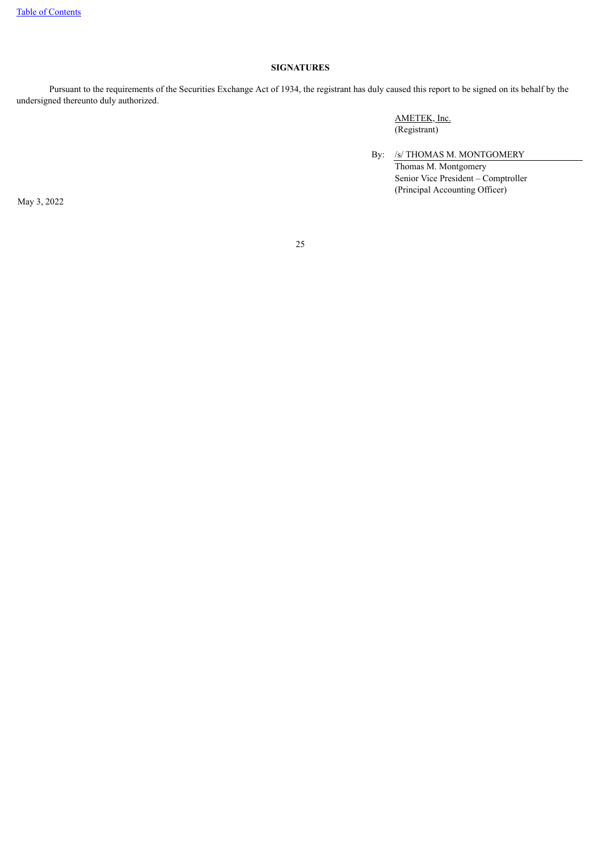## **SIGNATURES**

Pursuant to the requirements of the Securities Exchange Act of 1934, the registrant has duly caused this report to be signed on its behalf by the undersigned thereunto duly authorized.

> AMETEK, Inc. (Registrant)

By: /s/ THOMAS M. MONTGOMERY

Thomas M. Montgomery Senior Vice President – Comptroller (Principal Accounting Officer)

May 3, 2022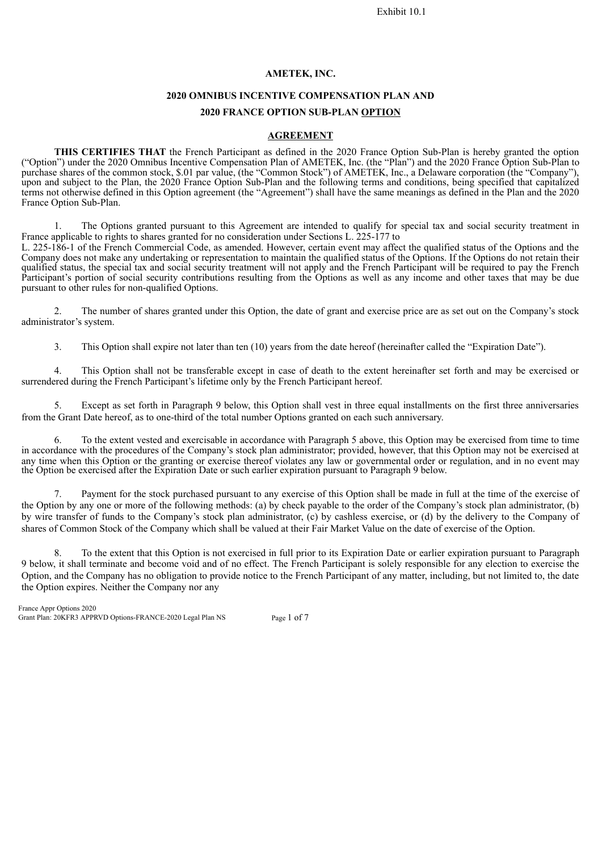Exhibit 10.1

## **AMETEK, INC.**

## **2020 OMNIBUS INCENTIVE COMPENSATION PLAN AND 2020 FRANCE OPTION SUB-PLAN OPTION**

#### **AGREEMENT**

<span id="page-26-0"></span>**THIS CERTIFIES THAT** the French Participant as defined in the 2020 France Option Sub-Plan is hereby granted the option ("Option") under the 2020 Omnibus Incentive Compensation Plan of AMETEK, Inc. (the "Plan") and the 2020 France Option Sub-Plan to purchase shares of the common stock, \$.01 par value, (the "Common Stock") of AMETEK, Inc., a Delaware corporation (the "Company"), upon and subject to the Plan, the 2020 France Option Sub-Plan and the following terms and conditions, being specified that capitalized terms not otherwise defined in this Option agreement (the "Agreement") shall have the same meanings as defined in the Plan and the 2020 France Option Sub-Plan.

1. The Options granted pursuant to this Agreement are intended to qualify for special tax and social security treatment in France applicable to rights to shares granted for no consideration under Sections L. 225-177 to

L. 225-186-1 of the French Commercial Code, as amended. However, certain event may affect the qualified status of the Options and the Company does not make any undertaking or representation to maintain the qualified status of the Options. If the Options do not retain their qualified status, the special tax and social security treatment will not apply and the French Participant will be required to pay the French Participant's portion of social security contributions resulting from the Options as well as any income and other taxes that may be due pursuant to other rules for non-qualified Options.

2. The number of shares granted under this Option, the date of grant and exercise price are as set out on the Company's stock administrator's system.

3. This Option shall expire not later than ten (10) years from the date hereof (hereinafter called the "Expiration Date").

4. This Option shall not be transferable except in case of death to the extent hereinafter set forth and may be exercised or surrendered during the French Participant's lifetime only by the French Participant hereof.

Except as set forth in Paragraph 9 below, this Option shall vest in three equal installments on the first three anniversaries from the Grant Date hereof, as to one-third of the total number Options granted on each such anniversary.

6. To the extent vested and exercisable in accordance with Paragraph 5 above, this Option may be exercised from time to time in accordance with the procedures of the Company's stock plan administrator; provided, however, that this Option may not be exercised at any time when this Option or the granting or exercise thereof violates any law or governmental order or regulation, and in no event may the Option be exercised after the Expiration Date or such earlier expiration pursuant to Paragraph 9 below.

7. Payment for the stock purchased pursuant to any exercise of this Option shall be made in full at the time of the exercise of the Option by any one or more of the following methods: (a) by check payable to the order of the Company's stock plan administrator, (b) by wire transfer of funds to the Company's stock plan administrator, (c) by cashless exercise, or (d) by the delivery to the Company of shares of Common Stock of the Company which shall be valued at their Fair Market Value on the date of exercise of the Option.

8. To the extent that this Option is not exercised in full prior to its Expiration Date or earlier expiration pursuant to Paragraph 9 below, it shall terminate and become void and of no effect. The French Participant is solely responsible for any election to exercise the Option, and the Company has no obligation to provide notice to the French Participant of any matter, including, but not limited to, the date the Option expires. Neither the Company nor any

| France Appr Options 2020                                    |             |
|-------------------------------------------------------------|-------------|
| Grant Plan: 20KFR3 APPRVD Options-FRANCE-2020 Legal Plan NS | Page 1 of 7 |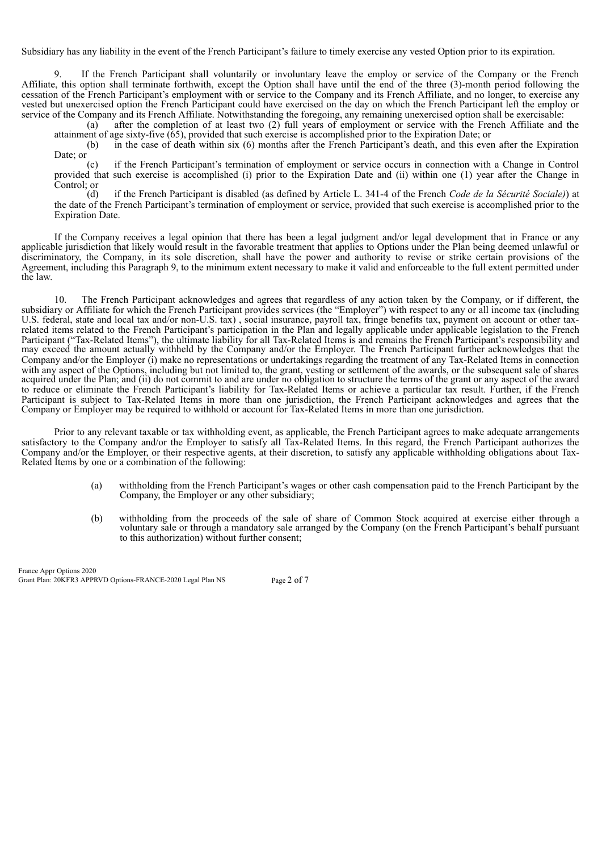Subsidiary has any liability in the event of the French Participant's failure to timely exercise any vested Option prior to its expiration.

9. If the French Participant shall voluntarily or involuntary leave the employ or service of the Company or the French Affiliate, this option shall terminate forthwith, except the Option shall have until the end of the three (3)-month period following the cessation of the French Participant's employment with or service to the Company and its French Affiliate, and no longer, to exercise any vested but unexercised option the French Participant could have exercised on the day on which the French Participant left the employ or service of the Company and its French Affiliate. Notwithstanding the foregoing, any remaining unexercised option shall be exercisable:

(a) after the completion of at least two (2) full years of employment or service with the French Affiliate and the attainment of age sixty-five (65), provided that such exercise is accomplished prior to the Expiration Date; or

(b) in the case of death within six (6) months after the French Participant's death, and this even after the Expiration Date; or

(c) if the French Participant's termination of employment or service occurs in connection with a Change in Control provided that such exercise is accomplished (i) prior to the Expiration Date and (ii) within one (1) year after the Change in Control; or

(d) if the French Participant is disabled (as defined by Article L. 341-4 of the French *Code de la Sécurité Sociale)*) at the date of the French Participant's termination of employment or service, provided that such exercise is accomplished prior to the Expiration Date.

If the Company receives a legal opinion that there has been a legal judgment and/or legal development that in France or any applicable jurisdiction that likely would result in the favorable treatment that applies to Options under the Plan being deemed unlawful or discriminatory, the Company, in its sole discretion, shall have the power and authority to revise or strike certain provisions of the Agreement, including this Paragraph 9, to the minimum extent necessary to make it valid and enforceable to the full extent permitted under the law.

10. The French Participant acknowledges and agrees that regardless of any action taken by the Company, or if different, the subsidiary or Affiliate for which the French Participant provides services (the "Employer") with respect to any or all income tax (including U.S. federal, state and local tax and/or non-U.S. tax), social insurance, payroll tax, fringe benefits tax, payment on account or other taxrelated items related to the French Participant's participation in the Plan and legally applicable under applicable legislation to the French Participant ("Tax-Related Items"), the ultimate liability for all Tax-Related Items is and remains the French Participant's responsibility and may exceed the amount actually withheld by the Company and/or the Employer. The French Participant further acknowledges that the Company and/or the Employer (i) make no representations or undertakings regarding the treatment of any Tax-Related Items in connection with any aspect of the Options, including but not limited to, the grant, vesting or settlement of the awards, or the subsequent sale of shares acquired under the Plan; and (ii) do not commit to and are under no obligation to structure the terms of the grant or any aspect of the award to reduce or eliminate the French Participant's liability for Tax-Related Items or achieve a particular tax result. Further, if the French Participant is subject to Tax-Related Items in more than one jurisdiction, the French Participant acknowledges and agrees that the Company or Employer may be required to withhold or account for Tax-Related Items in more than one jurisdiction.

Prior to any relevant taxable or tax withholding event, as applicable, the French Participant agrees to make adequate arrangements satisfactory to the Company and/or the Employer to satisfy all Tax-Related Items. In this regard, the French Participant authorizes the Company and/or the Employer, or their respective agents, at their discretion, to satisfy any applicable withholding obligations about Tax-Related Items by one or a combination of the following:

- (a) withholding from the French Participant's wages or other cash compensation paid to the French Participant by the Company, the Employer or any other subsidiary;
- (b) withholding from the proceeds of the sale of share of Common Stock acquired at exercise either through a voluntary sale or through a mandatory sale arranged by the Company (on the French Participant's behalf pursuant to this authorization) without further consent;

France Appr Options 2020 Grant Plan: 20KFR3 APPRVD Options-FRANCE-2020 Legal Plan NS Page 2 of 7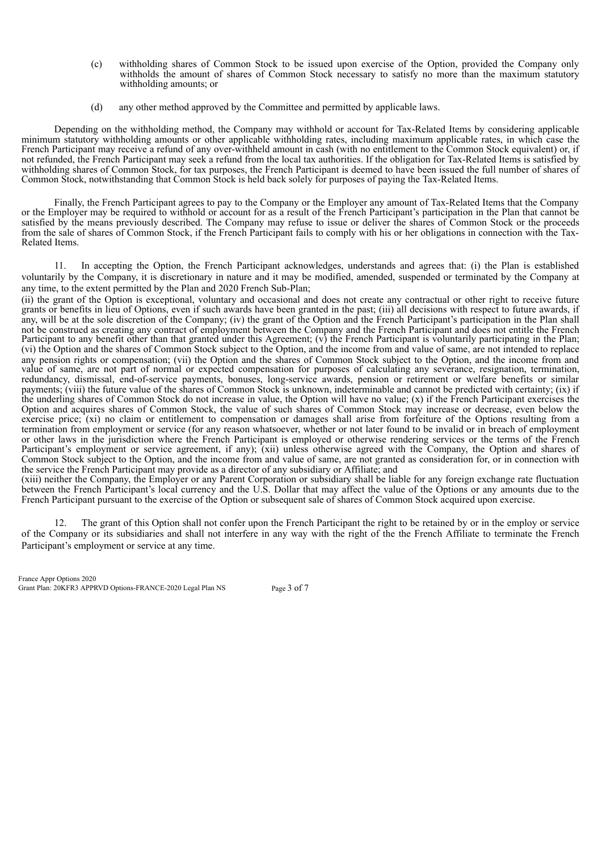- (c) withholding shares of Common Stock to be issued upon exercise of the Option, provided the Company only withholds the amount of shares of Common Stock necessary to satisfy no more than the maximum statutory withholding amounts; or
- (d) any other method approved by the Committee and permitted by applicable laws.

Depending on the withholding method, the Company may withhold or account for Tax-Related Items by considering applicable minimum statutory withholding amounts or other applicable withholding rates, including maximum applicable rates, in which case the French Participant may receive a refund of any over-withheld amount in cash (with no entitlement to the Common Stock equivalent) or, if not refunded, the French Participant may seek a refund from the local tax authorities. If the obligation for Tax-Related Items is satisfied by withholding shares of Common Stock, for tax purposes, the French Participant is deemed to have been issued the full number of shares of Common Stock, notwithstanding that Common Stock is held back solely for purposes of paying the Tax-Related Items.

Finally, the French Participant agrees to pay to the Company or the Employer any amount of Tax-Related Items that the Company or the Employer may be required to withhold or account for as a result of the French Participant's participation in the Plan that cannot be satisfied by the means previously described. The Company may refuse to issue or deliver the shares of Common Stock or the proceeds from the sale of shares of Common Stock, if the French Participant fails to comply with his or her obligations in connection with the Tax-Related Items.

11. In accepting the Option, the French Participant acknowledges, understands and agrees that: (i) the Plan is established voluntarily by the Company, it is discretionary in nature and it may be modified, amended, suspended or terminated by the Company at any time, to the extent permitted by the Plan and 2020 French Sub-Plan;

(ii) the grant of the Option is exceptional, voluntary and occasional and does not create any contractual or other right to receive future grants or benefits in lieu of Options, even if such awards have been granted in the past; (iii) all decisions with respect to future awards, if any, will be at the sole discretion of the Company; (iv) the grant of the Option and the French Participant's participation in the Plan shall not be construed as creating any contract of employment between the Company and the French Participant and does not entitle the French Participant to any benefit other than that granted under this Agreement; (v) the French Participant is voluntarily participating in the Plan; (vi) the Option and the shares of Common Stock subject to the Option, and the income from and value of same, are not intended to replace any pension rights or compensation; (vii) the Option and the shares of Common Stock subject to the Option, and the income from and value of same, are not part of normal or expected compensation for purposes of calculating any severance, resignation, termination, redundancy, dismissal, end-of-service payments, bonuses, long-service awards, pension or retirement or welfare benefits or similar payments; (viii) the future value of the shares of Common Stock is unknown, indeterminable and cannot be predicted with certainty; (ix) if the underling shares of Common Stock do not increase in value, the Option will have no value; (x) if the French Participant exercises the Option and acquires shares of Common Stock, the value of such shares of Common Stock may increase or decrease, even below the exercise price; (xi) no claim or entitlement to compensation or damages shall arise from forfeiture of the Options resulting from a termination from employment or service (for any reason whatsoever, whether or not later found to be invalid or in breach of employment or other laws in the jurisdiction where the French Participant is employed or otherwise rendering services or the terms of the French Participant's employment or service agreement, if any); (xii) unless otherwise agreed with the Company, the Option and shares of Common Stock subject to the Option, and the income from and value of same, are not granted as consideration for, or in connection with the service the French Participant may provide as a director of any subsidiary or Affiliate; and

(xiii) neither the Company, the Employer or any Parent Corporation or subsidiary shall be liable for any foreign exchange rate fluctuation between the French Participant's local currency and the U.S. Dollar that may affect the value of the Options or any amounts due to the French Participant pursuant to the exercise of the Option or subsequent sale of shares of Common Stock acquired upon exercise.

12. The grant of this Option shall not confer upon the French Participant the right to be retained by or in the employ or service of the Company or its subsidiaries and shall not interfere in any way with the right of the the French Affiliate to terminate the French Participant's employment or service at any time.

France Appr Options 2020 Grant Plan: 20KFR3 APPRVD Options-FRANCE-2020 Legal Plan NS Page 3 of 7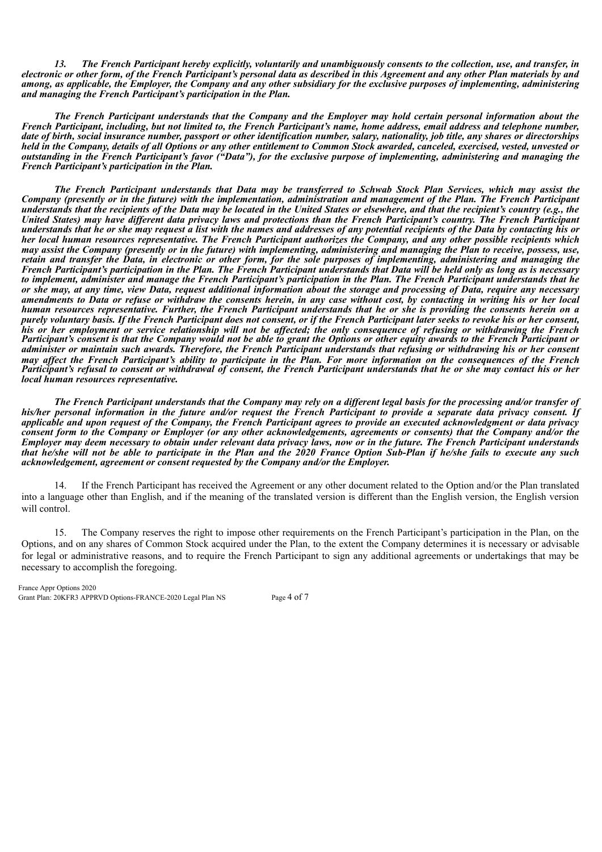13. The French Participant hereby explicitly, voluntarily and unambiguously consents to the collection, use, and transfer, in electronic or other form, of the French Participant's personal data as described in this Agreement and any other Plan materials by and among, as applicable, the Employer, the Company and any other subsidiary for the exclusive purposes of implementing, administering *and managing the French Participant's participation in the Plan.*

The French Participant understands that the Company and the Employer may hold certain personal information about the French Participant, including, but not limited to, the French Participant's name, home address, email address and telephone number, date of birth, social insurance number, passport or other identification number, salary, nationality, job title, any shares or directorships held in the Company, details of all Options or any other entitlement to Common Stock awarded, canceled, exercised, vested, unvested or outstanding in the French Participant's favor ("Data"), for the exclusive purpose of implementing, administering and managing the *French Participant's participation in the Plan.*

The French Participant understands that Data may be transferred to Schwab Stock Plan Services, which may assist the Company (presently or in the future) with the implementation, administration and management of the Plan. The French Participant understands that the recipients of the Data may be located in the United States or elsewhere, and that the recipient's country (e.g., the United States) may have different data privacy laws and protections than the French Participant's country. The French Participant understands that he or she may request a list with the names and addresses of any potential recipients of the Data by contacting his or her local human resources representative. The French Participant authorizes the Company, and any other possible recipients which may assist the Company (presently or in the future) with implementing, administering and managing the Plan to receive, possess, use, retain and transfer the Data, in electronic or other form, for the sole purposes of implementing, administering and managing the French Participant's participation in the Plan. The French Participant understands that Data will be held only as long as is necessary to implement, administer and manage the French Participant's participation in the Plan. The French Participant understands that he or she may, at any time, view Data, request additional information about the storage and processing of Data, require any necessary amendments to Data or refuse or withdraw the consents herein, in any case without cost, by contacting in writing his or her local human resources representative. Further, the French Participant understands that he or she is providing the consents herein on a purely voluntary basis. If the French Participant does not consent, or if the French Participant later seeks to revoke his or her consent, his or her employment or service relationship will not be affected; the only consequence of refusing or withdrawing the French Participant's consent is that the Company would not be able to grant the Options or other equity awards to the French Participant or administer or maintain such awards. Therefore, the French Participant understands that refusing or withdrawing his or her consent may affect the French Participant's ability to participate in the Plan. For more information on the consequences of the French Participant's refusal to consent or withdrawal of consent, the French Participant understands that he or she may contact his or her *local human resources representative.*

The French Participant understands that the Company may rely on a different legal basis for the processing and/or transfer of his/her personal information in the future and/or request the French Participant to provide a separate data privacy consent. If applicable and upon request of the Company, the French Participant agrees to provide an executed acknowledgment or data privacy consent form to the Company or Employer (or any other acknowledgements, agreements or consents) that the Company and/or the Employer may deem necessary to obtain under relevant data privacy laws, now or in the future. The French Participant understands that he/she will not be able to participate in the Plan and the 2020 France Option Sub-Plan if he/she fails to execute any such *acknowledgement, agreement or consent requested by the Company and/or the Employer.*

14. If the French Participant has received the Agreement or any other document related to the Option and/or the Plan translated into a language other than English, and if the meaning of the translated version is different than the English version, the English version will control.

15. The Company reserves the right to impose other requirements on the French Participant's participation in the Plan, on the Options, and on any shares of Common Stock acquired under the Plan, to the extent the Company determines it is necessary or advisable for legal or administrative reasons, and to require the French Participant to sign any additional agreements or undertakings that may be necessary to accomplish the foregoing.

France Appr Options 2020 Grant Plan: 20KFR3 APPRVD Options-FRANCE-2020 Legal Plan NS Page 4 of 7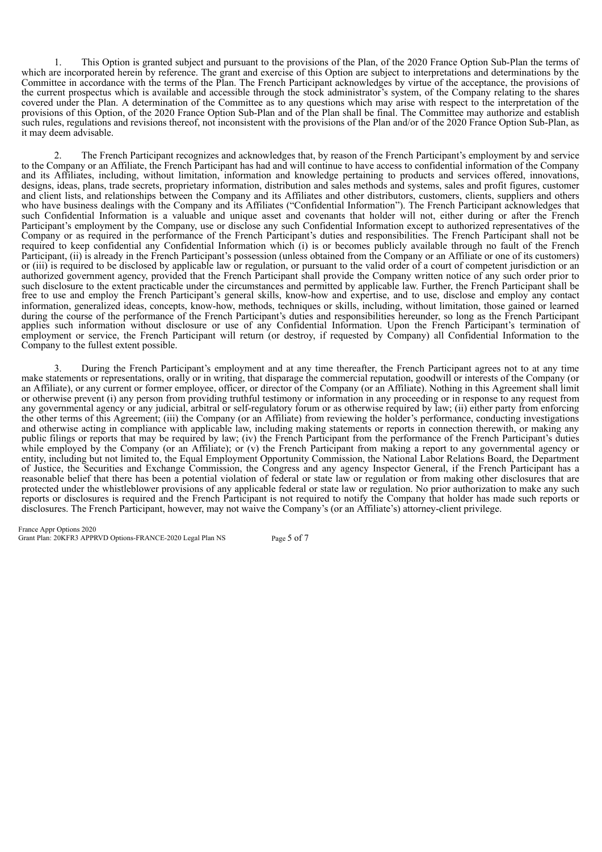1. This Option is granted subject and pursuant to the provisions of the Plan, of the 2020 France Option Sub-Plan the terms of which are incorporated herein by reference. The grant and exercise of this Option are subject to interpretations and determinations by the Committee in accordance with the terms of the Plan. The French Participant acknowledges by virtue of the acceptance, the provisions of the current prospectus which is available and accessible through the stock administrator's system, of the Company relating to the shares covered under the Plan. A determination of the Committee as to any questions which may arise with respect to the interpretation of the provisions of this Option, of the 2020 France Option Sub-Plan and of the Plan shall be final. The Committee may authorize and establish such rules, regulations and revisions thereof, not inconsistent with the provisions of the Plan and/or of the 2020 France Option Sub-Plan, as it may deem advisable.

2. The French Participant recognizes and acknowledges that, by reason of the French Participant's employment by and service to the Company or an Affiliate, the French Participant has had and will continue to have access to confidential information of the Company and its Affiliates, including, without limitation, information and knowledge pertaining to products and services offered, innovations, designs, ideas, plans, trade secrets, proprietary information, distribution and sales methods and systems, sales and profit figures, customer and client lists, and relationships between the Company and its Affiliates and other distributors, customers, clients, suppliers and others who have business dealings with the Company and its Affiliates ("Confidential Information"). The French Participant acknowledges that such Confidential Information is a valuable and unique asset and covenants that holder will not, either during or after the French Participant's employment by the Company, use or disclose any such Confidential Information except to authorized representatives of the Company or as required in the performance of the French Participant's duties and responsibilities. The French Participant shall not be required to keep confidential any Confidential Information which (i) is or becomes publicly available through no fault of the French Participant, (ii) is already in the French Participant's possession (unless obtained from the Company or an Affiliate or one of its customers) or (iii) is required to be disclosed by applicable law or regulation, or pursuant to the valid order of a court of competent jurisdiction or an authorized government agency, provided that the French Participant shall provide the Company written notice of any such order prior to such disclosure to the extent practicable under the circumstances and permitted by applicable law. Further, the French Participant shall be free to use and employ the French Participant's general skills, know-how and expertise, and to use, disclose and employ any contact information, generalized ideas, concepts, know-how, methods, techniques or skills, including, without limitation, those gained or learned during the course of the performance of the French Participant's duties and responsibilities hereunder, so long as the French Participant applies such information without disclosure or use of any Confidential Information. Upon the French Participant's termination of employment or service, the French Participant will return (or destroy, if requested by Company) all Confidential Information to the Company to the fullest extent possible.

3. During the French Participant's employment and at any time thereafter, the French Participant agrees not to at any time make statements or representations, orally or in writing, that disparage the commercial reputation, goodwill or interests of the Company (or an Affiliate), or any current or former employee, officer, or director of the Company (or an Affiliate). Nothing in this Agreement shall limit or otherwise prevent (i) any person from providing truthful testimony or information in any proceeding or in response to any request from any governmental agency or any judicial, arbitral or self-regulatory forum or as otherwise required by law; (ii) either party from enforcing the other terms of this Agreement; (iii) the Company (or an Affiliate) from reviewing the holder's performance, conducting investigations and otherwise acting in compliance with applicable law, including making statements or reports in connection therewith, or making any public filings or reports that may be required by law; (iv) the French Participant from the performance of the French Participant's duties while employed by the Company (or an Affiliate); or  $(v)$  the French Participant from making a report to any governmental agency or entity, including but not limited to, the Equal Employment Opportunity Commission, the National Labor Relations Board, the Department of Justice, the Securities and Exchange Commission, the Congress and any agency Inspector General, if the French Participant has a reasonable belief that there has been a potential violation of federal or state law or regulation or from making other disclosures that are protected under the whistleblower provisions of any applicable federal or state law or regulation. No prior authorization to make any such reports or disclosures is required and the French Participant is not required to notify the Company that holder has made such reports or disclosures. The French Participant, however, may not waive the Company's (or an Affiliate's) attorney-client privilege.

France Appr Options 2020 Grant Plan: 20KFR3 APPRVD Options-FRANCE-2020 Legal Plan NS Page 5 of 7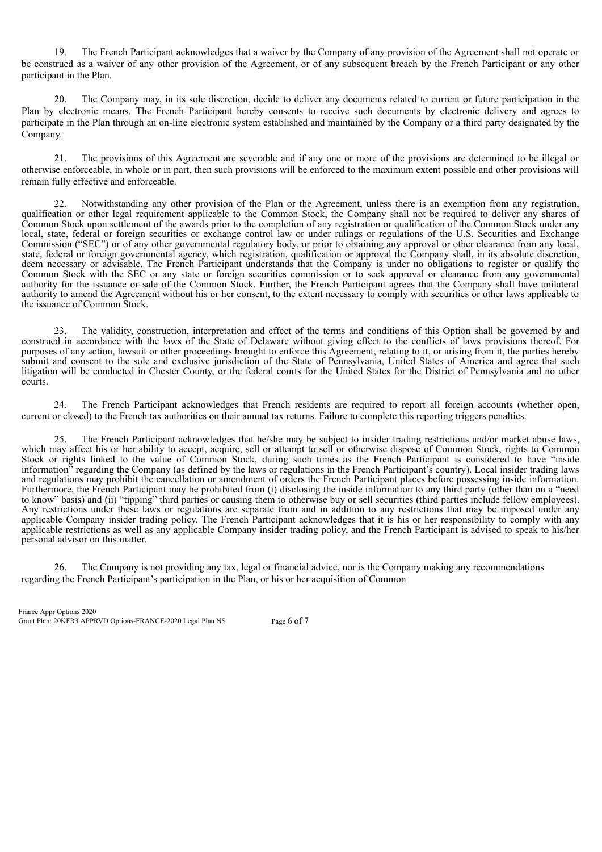19. The French Participant acknowledges that a waiver by the Company of any provision of the Agreement shall not operate or be construed as a waiver of any other provision of the Agreement, or of any subsequent breach by the French Participant or any other participant in the Plan.

20. The Company may, in its sole discretion, decide to deliver any documents related to current or future participation in the Plan by electronic means. The French Participant hereby consents to receive such documents by electronic delivery and agrees to participate in the Plan through an on-line electronic system established and maintained by the Company or a third party designated by the Company.

21. The provisions of this Agreement are severable and if any one or more of the provisions are determined to be illegal or otherwise enforceable, in whole or in part, then such provisions will be enforced to the maximum extent possible and other provisions will remain fully effective and enforceable.

22. Notwithstanding any other provision of the Plan or the Agreement, unless there is an exemption from any registration, qualification or other legal requirement applicable to the Common Stock, the Company shall not be required to deliver any shares of Common Stock upon settlement of the awards prior to the completion of any registration or qualification of the Common Stock under any local, state, federal or foreign securities or exchange control law or under rulings or regulations of the U.S. Securities and Exchange Commission ("SEC") or of any other governmental regulatory body, or prior to obtaining any approval or other clearance from any local, state, federal or foreign governmental agency, which registration, qualification or approval the Company shall, in its absolute discretion, deem necessary or advisable. The French Participant understands that the Company is under no obligations to register or qualify the Common Stock with the SEC or any state or foreign securities commission or to seek approval or clearance from any governmental authority for the issuance or sale of the Common Stock. Further, the French Participant agrees that the Company shall have unilateral authority to amend the Agreement without his or her consent, to the extent necessary to comply with securities or other laws applicable to the issuance of Common Stock.

23. The validity, construction, interpretation and effect of the terms and conditions of this Option shall be governed by and construed in accordance with the laws of the State of Delaware without giving effect to the conflicts of laws provisions thereof. For purposes of any action, lawsuit or other proceedings brought to enforce this Agreement, relating to it, or arising from it, the parties hereby submit and consent to the sole and exclusive jurisdiction of the State of Pennsylvania, United States of America and agree that such litigation will be conducted in Chester County, or the federal courts for the United States for the District of Pennsylvania and no other courts.

24. The French Participant acknowledges that French residents are required to report all foreign accounts (whether open, current or closed) to the French tax authorities on their annual tax returns. Failure to complete this reporting triggers penalties.

25. The French Participant acknowledges that he/she may be subject to insider trading restrictions and/or market abuse laws, which may affect his or her ability to accept, acquire, sell or attempt to sell or otherwise dispose of Common Stock, rights to Common Stock or rights linked to the value of Common Stock, during such times as the French Participant is considered to have "inside information" regarding the Company (as defined by the laws or regulations in the French Participant's country). Local insider trading laws and regulations may prohibit the cancellation or amendment of orders the French Participant places before possessing inside information. Furthermore, the French Participant may be prohibited from (i) disclosing the inside information to any third party (other than on a "need to know" basis) and (ii) "tipping" third parties or causing them to otherwise buy or sell securities (third parties include fellow employees). Any restrictions under these laws or regulations are separate from and in addition to any restrictions that may be imposed under any applicable Company insider trading policy. The French Participant acknowledges that it is his or her responsibility to comply with any applicable restrictions as well as any applicable Company insider trading policy, and the French Participant is advised to speak to his/her personal advisor on this matter.

26. The Company is not providing any tax, legal or financial advice, nor is the Company making any recommendations regarding the French Participant's participation in the Plan, or his or her acquisition of Common

France Appr Options 2020 Grant Plan: 20KFR3 APPRVD Options-FRANCE-2020 Legal Plan NS Page 6 of 7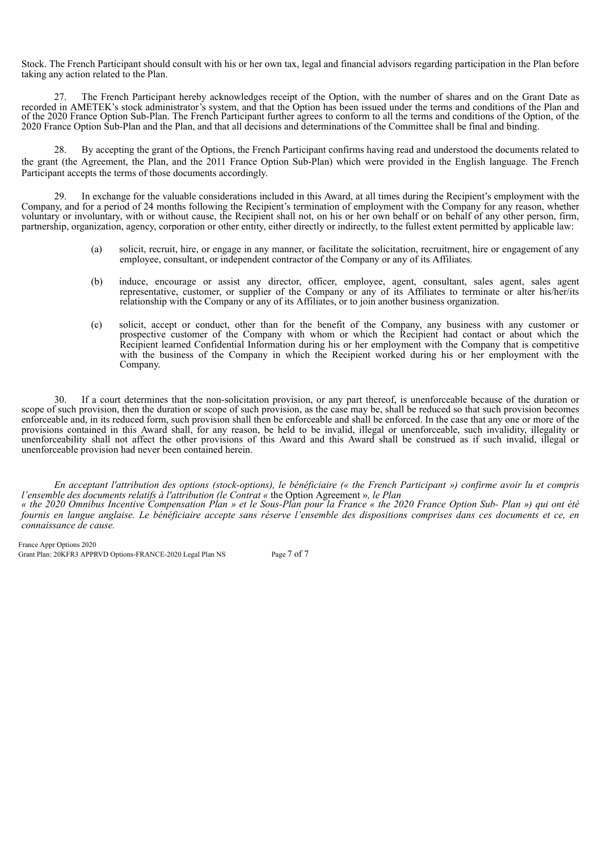Stock. The French Participant should consult with his or her own tax, legal and financial advisors regarding participation in the Plan before taking any action related to the Plan.

27. The French Participant hereby acknowledges receipt of the Option, with the number of shares and on the Grant Date as recorded in AMETEK's stock administrator's system, and that the Option has been issued under the terms and conditions of the Plan and of the 2020 France Option Sub-Plan. The French Participant further agrees to conform to all the terms and conditions of the Option, of the 2020 France Option Sub-Plan and the Plan, and that all decisions and determinations of the Committee shall be final and binding.

28. By accepting the grant of the Options, the French Participant confirms having read and understood the documents related to the grant (the Agreement, the Plan, and the 2011 France Option Sub-Plan) which were provided in the English language. The French Participant accepts the terms of those documents accordingly.

29. In exchange for the valuable considerations included in this Award, at all times during the Recipient's employment with the Company, and for a period of 24 months following the Recipient's termination of employment with the Company for any reason, whether voluntary or involuntary, with or without cause, the Recipient shall not, on his or her own behalf or on behalf of any other person, firm, partnership, organization, agency, corporation or other entity, either directly or indirectly, to the fullest extent permitted by applicable law:

- (a) solicit, recruit, hire, or engage in any manner, or facilitate the solicitation, recruitment, hire or engagement of any employee, consultant, or independent contractor of the Company or any of its Affiliates.
- (b) induce, encourage or assist any director, officer, employee, agent, consultant, sales agent, sales agent representative, customer, or supplier of the Company or any of its Affiliates to terminate or alter his/her/its relationship with the Company or any of its Affiliates, or to join another business organization.
- (c) solicit, accept or conduct, other than for the benefit of the Company, any business with any customer or prospective customer of the Company with whom or which the Recipient had contact or about which the Recipient learned Confidential Information during his or her employment with the Company that is competitive with the business of the Company in which the Recipient worked during his or her employment with the Company.

If a court determines that the non-solicitation provision, or any part thereof, is unenforceable because of the duration or scope of such provision, then the duration or scope of such provision, as the case may be, shall be reduced so that such provision becomes enforceable and, in its reduced form, such provision shall then be enforceable and shall be enforced. In the case that any one or more of the provisions contained in this Award shall, for any reason, be held to be invalid, illegal or unenforceable, such invalidity, illegality or unenforceability shall not affect the other provisions of this Award and this Award shall be construed as if such invalid, illegal or unenforceable provision had never been contained herein.

En acceptant l'attribution des options (stock-options), le bénéficiaire (« the French Participant ») confirme avoir lu et compris *l'ensemble des documents relatifs à l'attribution (le Contrat «* the Option Agreement »*, le Plan*

« the 2020 Omnibus Incentive Compensation Plan » et le Sous-Plan pour la France « the 2020 France Option Sub- Plan ») qui ont été fournis en langue anglaise. Le bénéficiaire accepte sans réserve l'ensemble des dispositions comprises dans ces documents et ce, en *connaissance de cause.*

France Appr Options 2020 Grant Plan: 20KFR3 APPRVD Options-FRANCE-2020 Legal Plan NS Page 7 of 7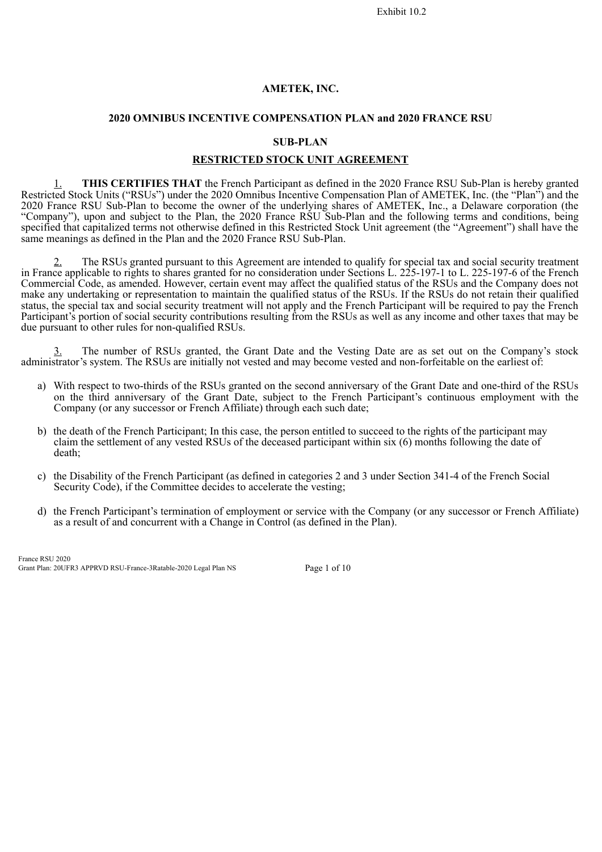Exhibit 10.2

## **AMETEK, INC.**

## <span id="page-33-0"></span>**2020 OMNIBUS INCENTIVE COMPENSATION PLAN and 2020 FRANCE RSU**

## **SUB-PLAN**

## **RESTRICTED STOCK UNIT AGREEMENT**

1. **THIS CERTIFIES THAT** the French Participant as defined in the 2020 France RSU Sub-Plan is hereby granted Restricted Stock Units ("RSUs") under the 2020 Omnibus Incentive Compensation Plan of AMETEK, Inc. (the "Plan") and the 2020 France RSU Sub-Plan to become the owner of the underlying shares of AMETEK, Inc., a Delaware corporation (the "Company"), upon and subject to the Plan, the 2020 France RSU Sub-Plan and the following terms and conditions, being specified that capitalized terms not otherwise defined in this Restricted Stock Unit agreement (the "Agreement") shall have the same meanings as defined in the Plan and the 2020 France RSU Sub-Plan.

2. The RSUs granted pursuant to this Agreement are intended to qualify for special tax and social security treatment in France applicable to rights to shares granted for no consideration under Sections L. 225-197-1 to L. 225-197-6 of the French Commercial Code, as amended. However, certain event may affect the qualified status of the RSUs and the Company does not make any undertaking or representation to maintain the qualified status of the RSUs. If the RSUs do not retain their qualified status, the special tax and social security treatment will not apply and the French Participant will be required to pay the French Participant's portion of social security contributions resulting from the RSUs as well as any income and other taxes that may be due pursuant to other rules for non-qualified RSUs.

3. The number of RSUs granted, the Grant Date and the Vesting Date are as set out on the Company's stock administrator's system. The RSUs are initially not vested and may become vested and non-forfeitable on the earliest of:

- a) With respect to two-thirds of the RSUs granted on the second anniversary of the Grant Date and one-third of the RSUs on the third anniversary of the Grant Date, subject to the French Participant's continuous employment with the Company (or any successor or French Affiliate) through each such date;
- b) the death of the French Participant; In this case, the person entitled to succeed to the rights of the participant may claim the settlement of any vested RSUs of the deceased participant within six (6) months following the date of death;
- c) the Disability of the French Participant (as defined in categories 2 and 3 under Section 341-4 of the French Social Security Code), if the Committee decides to accelerate the vesting;
- d) the French Participant's termination of employment or service with the Company (or any successor or French Affiliate) as a result of and concurrent with a Change in Control (as defined in the Plan).

France RSU 2020 Grant Plan: 20UFR3 APPRVD RSU-France-3Ratable-2020 Legal Plan NS Page 1 of 10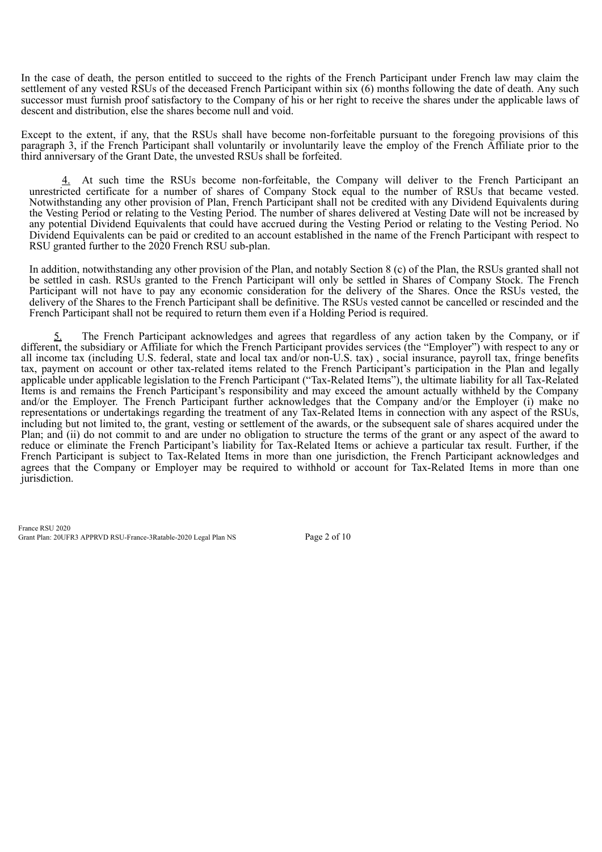In the case of death, the person entitled to succeed to the rights of the French Participant under French law may claim the settlement of any vested RSUs of the deceased French Participant within six (6) months following the date of death. Any such successor must furnish proof satisfactory to the Company of his or her right to receive the shares under the applicable laws of descent and distribution, else the shares become null and void.

Except to the extent, if any, that the RSUs shall have become non-forfeitable pursuant to the foregoing provisions of this paragraph 3, if the French Participant shall voluntarily or involuntarily leave the employ of the French Affiliate prior to the third anniversary of the Grant Date, the unvested RSUs shall be forfeited.

4. At such time the RSUs become non-forfeitable, the Company will deliver to the French Participant an unrestricted certificate for a number of shares of Company Stock equal to the number of RSUs that became vested. Notwithstanding any other provision of Plan, French Participant shall not be credited with any Dividend Equivalents during the Vesting Period or relating to the Vesting Period. The number of shares delivered at Vesting Date will not be increased by any potential Dividend Equivalents that could have accrued during the Vesting Period or relating to the Vesting Period. No Dividend Equivalents can be paid or credited to an account established in the name of the French Participant with respect to RSU granted further to the 2020 French RSU sub-plan.

In addition, notwithstanding any other provision of the Plan, and notably Section 8 (c) of the Plan, the RSUs granted shall not be settled in cash. RSUs granted to the French Participant will only be settled in Shares of Company Stock. The French Participant will not have to pay any economic consideration for the delivery of the Shares. Once the RSUs vested, the delivery of the Shares to the French Participant shall be definitive. The RSUs vested cannot be cancelled or rescinded and the French Participant shall not be required to return them even if a Holding Period is required.

The French Participant acknowledges and agrees that regardless of any action taken by the Company, or if different, the subsidiary or Affiliate for which the French Participant provides services (the "Employer") with respect to any or all income tax (including U.S. federal, state and local tax and/or non-U.S. tax) , social insurance, payroll tax, fringe benefits tax, payment on account or other tax-related items related to the French Participant's participation in the Plan and legally applicable under applicable legislation to the French Participant ("Tax-Related Items"), the ultimate liability for all Tax-Related Items is and remains the French Participant's responsibility and may exceed the amount actually withheld by the Company and/or the Employer. The French Participant further acknowledges that the Company and/or the Employer (i) make no representations or undertakings regarding the treatment of any Tax-Related Items in connection with any aspect of the RSUs, including but not limited to, the grant, vesting or settlement of the awards, or the subsequent sale of shares acquired under the Plan; and (ii) do not commit to and are under no obligation to structure the terms of the grant or any aspect of the award to reduce or eliminate the French Participant's liability for Tax-Related Items or achieve a particular tax result. Further, if the French Participant is subject to Tax-Related Items in more than one jurisdiction, the French Participant acknowledges and agrees that the Company or Employer may be required to withhold or account for Tax-Related Items in more than one jurisdiction.

France RSU 2020 Grant Plan: 20UFR3 APPRVD RSU-France-3Ratable-2020 Legal Plan NS Page 2 of 10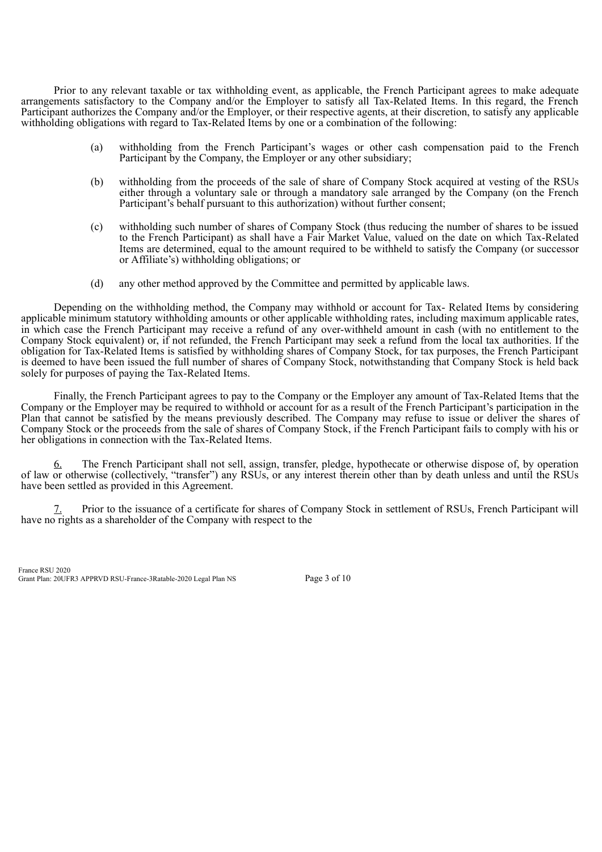Prior to any relevant taxable or tax withholding event, as applicable, the French Participant agrees to make adequate arrangements satisfactory to the Company and/or the Employer to satisfy all Tax-Related Items. In this regard, the French Participant authorizes the Company and/or the Employer, or their respective agents, at their discretion, to satisfy any applicable withholding obligations with regard to Tax-Related Items by one or a combination of the following:

- (a) withholding from the French Participant's wages or other cash compensation paid to the French Participant by the Company, the Employer or any other subsidiary;
- (b) withholding from the proceeds of the sale of share of Company Stock acquired at vesting of the RSUs either through a voluntary sale or through a mandatory sale arranged by the Company (on the French Participant's behalf pursuant to this authorization) without further consent;
- (c) withholding such number of shares of Company Stock (thus reducing the number of shares to be issued to the French Participant) as shall have a Fair Market Value, valued on the date on which Tax-Related Items are determined, equal to the amount required to be withheld to satisfy the Company (or successor or Affiliate's) withholding obligations; or
- (d) any other method approved by the Committee and permitted by applicable laws.

Depending on the withholding method, the Company may withhold or account for Tax- Related Items by considering applicable minimum statutory withholding amounts or other applicable withholding rates, including maximum applicable rates, in which case the French Participant may receive a refund of any over-withheld amount in cash (with no entitlement to the Company Stock equivalent) or, if not refunded, the French Participant may seek a refund from the local tax authorities. If the obligation for Tax-Related Items is satisfied by withholding shares of Company Stock, for tax purposes, the French Participant is deemed to have been issued the full number of shares of Company Stock, notwithstanding that Company Stock is held back solely for purposes of paying the Tax-Related Items.

Finally, the French Participant agrees to pay to the Company or the Employer any amount of Tax-Related Items that the Company or the Employer may be required to withhold or account for as a result of the French Participant's participation in the Plan that cannot be satisfied by the means previously described. The Company may refuse to issue or deliver the shares of Company Stock or the proceeds from the sale of shares of Company Stock, if the French Participant fails to comply with his or her obligations in connection with the Tax-Related Items.

6. The French Participant shall not sell, assign, transfer, pledge, hypothecate or otherwise dispose of, by operation of law or otherwise (collectively, "transfer") any RSUs, or any interest therein other than by death unless and until the RSUs have been settled as provided in this Agreement.

7. Prior to the issuance of a certificate for shares of Company Stock in settlement of RSUs, French Participant will have no rights as a shareholder of the Company with respect to the

France RSU 2020 Grant Plan: 20UFR3 APPRVD RSU-France-3Ratable-2020 Legal Plan NS Page 3 of 10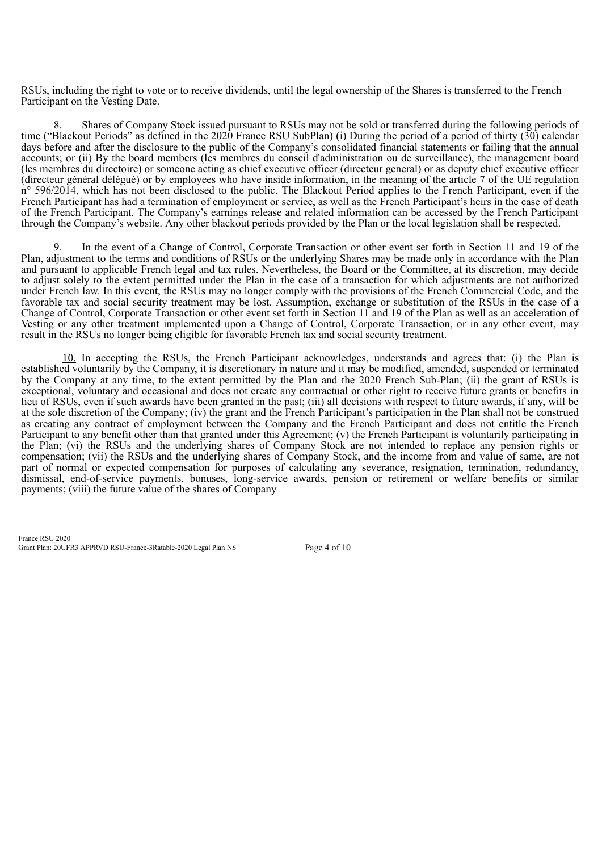RSUs, including the right to vote or to receive dividends, until the legal ownership of the Shares is transferred to the French Participant on the Vesting Date.

8. Shares of Company Stock issued pursuant to RSUs may not be sold or transferred during the following periods of time ("Blackout Periods" as defined in the 2020 France RSU SubPlan) (i) During the period of a period of thirty (30) calendar days before and after the disclosure to the public of the Company's consolidated financial statements or failing that the annual accounts; or (ii) By the board members (les membres du conseil d'administration ou de surveillance), the management board (les membres du directoire) or someone acting as chief executive officer (directeur general) or as deputy chief executive officer (directeur général délégué) or by employees who have inside information, in the meaning of the article 7 of the UE regulation n° 596/2014, which has not been disclosed to the public. The Blackout Period applies to the French Participant, even if the French Participant has had a termination of employment or service, as well as the French Participant's heirs in the case of death of the French Participant. The Company's earnings release and related information can be accessed by the French Participant through the Company's website. Any other blackout periods provided by the Plan or the local legislation shall be respected.

9. In the event of a Change of Control, Corporate Transaction or other event set forth in Section 11 and 19 of the Plan, adjustment to the terms and conditions of RSUs or the underlying Shares may be made only in accordance with the Plan and pursuant to applicable French legal and tax rules. Nevertheless, the Board or the Committee, at its discretion, may decide to adjust solely to the extent permitted under the Plan in the case of a transaction for which adjustments are not authorized under French law. In this event, the RSUs may no longer comply with the provisions of the French Commercial Code, and the favorable tax and social security treatment may be lost. Assumption, exchange or substitution of the RSUs in the case of a Change of Control, Corporate Transaction or other event set forth in Section 11 and 19 of the Plan as well as an acceleration of Vesting or any other treatment implemented upon a Change of Control, Corporate Transaction, or in any other event, may result in the RSUs no longer being eligible for favorable French tax and social security treatment.

10. In accepting the RSUs, the French Participant acknowledges, understands and agrees that: (i) the Plan is established voluntarily by the Company, it is discretionary in nature and it may be modified, amended, suspended or terminated by the Company at any time, to the extent permitted by the Plan and the 2020 French Sub-Plan; (ii) the grant of RSUs is exceptional, voluntary and occasional and does not create any contractual or other right to receive future grants or benefits in lieu of RSUs, even if such awards have been granted in the past; (iii) all decisions with respect to future awards, if any, will be at the sole discretion of the Company; (iv) the grant and the French Participant's participation in the Plan shall not be construed as creating any contract of employment between the Company and the French Participant and does not entitle the French Participant to any benefit other than that granted under this Agreement; (v) the French Participant is voluntarily participating in the Plan; (vi) the RSUs and the underlying shares of Company Stock are not intended to replace any pension rights or compensation; (vii) the RSUs and the underlying shares of Company Stock, and the income from and value of same, are not part of normal or expected compensation for purposes of calculating any severance, resignation, termination, redundancy, dismissal, end-of-service payments, bonuses, long-service awards, pension or retirement or welfare benefits or similar payments; (viii) the future value of the shares of Company

France RSU 2020 Grant Plan: 20UFR3 APPRVD RSU-France-3Ratable-2020 Legal Plan NS Page 4 of 10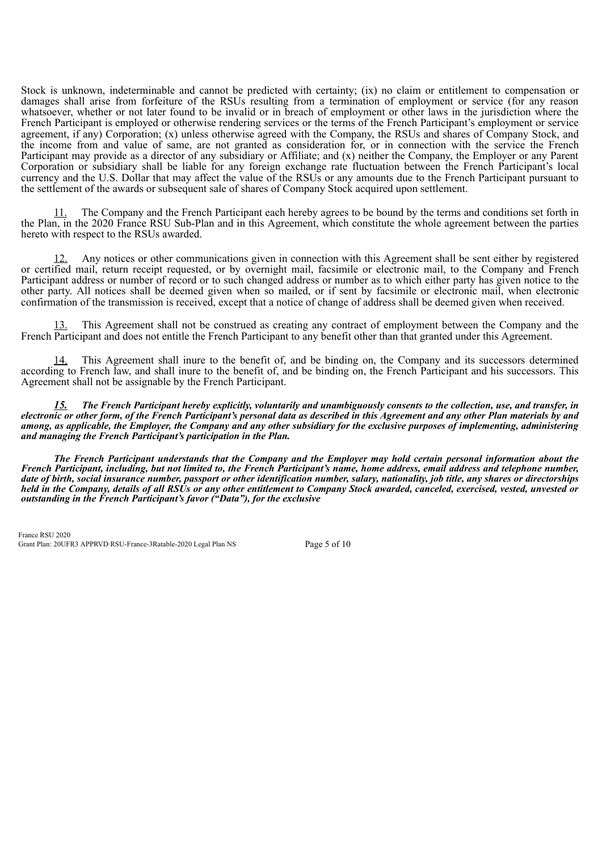Stock is unknown, indeterminable and cannot be predicted with certainty; (ix) no claim or entitlement to compensation or damages shall arise from forfeiture of the RSUs resulting from a termination of employment or service (for any reason whatsoever, whether or not later found to be invalid or in breach of employment or other laws in the jurisdiction where the French Participant is employed or otherwise rendering services or the terms of the French Participant's employment or service agreement, if any) Corporation; (x) unless otherwise agreed with the Company, the RSUs and shares of Company Stock, and the income from and value of same, are not granted as consideration for, or in connection with the service the French Participant may provide as a director of any subsidiary or Affiliate; and (x) neither the Company, the Employer or any Parent Corporation or subsidiary shall be liable for any foreign exchange rate fluctuation between the French Participant's local currency and the U.S. Dollar that may affect the value of the RSUs or any amounts due to the French Participant pursuant to the settlement of the awards or subsequent sale of shares of Company Stock acquired upon settlement.

11. The Company and the French Participant each hereby agrees to be bound by the terms and conditions set forth in the Plan, in the 2020 France RSU Sub-Plan and in this Agreement, which constitute the whole agreement between the parties hereto with respect to the RSUs awarded.

12. Any notices or other communications given in connection with this Agreement shall be sent either by registered or certified mail, return receipt requested, or by overnight mail, facsimile or electronic mail, to the Company and French Participant address or number of record or to such changed address or number as to which either party has given notice to the other party. All notices shall be deemed given when so mailed, or if sent by facsimile or electronic mail, when electronic confirmation of the transmission is received, except that a notice of change of address shall be deemed given when received.

13. This Agreement shall not be construed as creating any contract of employment between the Company and the French Participant and does not entitle the French Participant to any benefit other than that granted under this Agreement.

14. This Agreement shall inure to the benefit of, and be binding on, the Company and its successors determined according to French law, and shall inure to the benefit of, and be binding on, the French Participant and his successors. This Agreement shall not be assignable by the French Participant.

15. The French Participant hereby explicitly, voluntarily and unambiguously consents to the collection, use, and transfer, in electronic or other form, of the French Participant's personal data as described in this Agreement and any other Plan materials by and among, as applicable, the Employer, the Company and any other subsidiary for the exclusive purposes of implementing, administering *and managing the French Participant's participation in the Plan.*

The French Participant understands that the Company and the Employer may hold certain personal information about the French Participant, including, but not limited to, the French Participant's name, home address, email address and telephone number, date of birth, social insurance number, passport or other identification number, salary, nationality, job title, any shares or directorships held in the Company, details of all RSUs or any other entitlement to Company Stock awarded, canceled, exercised, vested, unvested or *outstanding in the French Participant's favor ("Data"), for the exclusive*

France RSU 2020 Grant Plan: 20UFR3 APPRVD RSU-France-3Ratable-2020 Legal Plan NS Page 5 of 10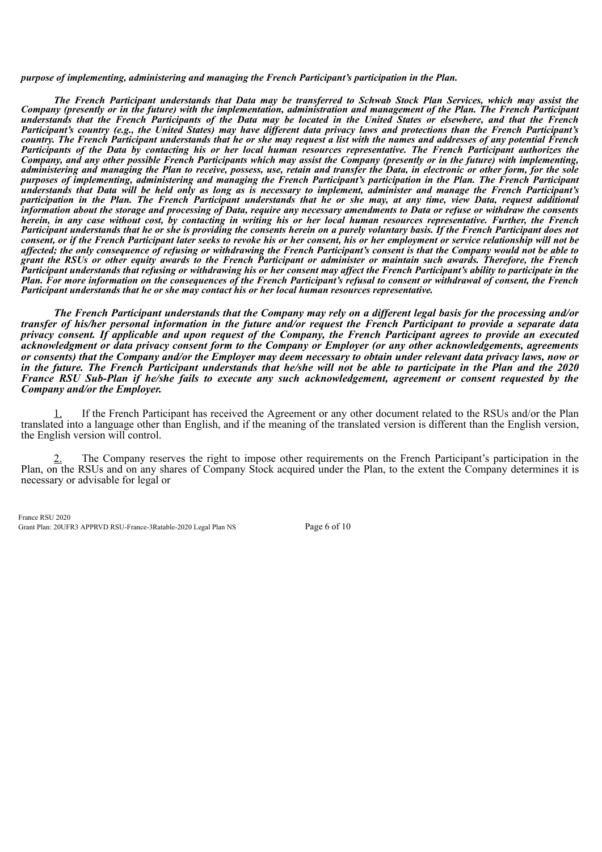*purpose of implementing, administering and managing the French Participant's participation in the Plan.*

The French Participant understands that Data may be transferred to Schwab Stock Plan Services, which may assist the Company (presently or in the future) with the implementation, administration and management of the Plan. The French Participant understands that the French Participants of the Data may be located in the United States or elsewhere, and that the French Participant's country (e.g., the United States) may have different data privacy laws and protections than the French Participant's country. The French Participant understands that he or she may request a list with the names and addresses of any potential French Participants of the Data by contacting his or her local human resources representative. The French Participant authorizes the Company, and any other possible French Participants which may assist the Company (presently or in the future) with implementing, administering and managing the Plan to receive, possess, use, retain and transfer the Data, in electronic or other form, for the sole purposes of implementing, administering and managing the French Participant's participation in the Plan. The French Participant understands that Data will be held only as long as is necessary to implement, administer and manage the French Participant's participation in the Plan. The French Participant understands that he or she may, at any time, view Data, request additional information about the storage and processing of Data, require any necessary amendments to Data or refuse or withdraw the consents herein, in any case without cost, by contacting in writing his or her local human resources representative. Further, the French Participant understands that he or she is providing the consents herein on a purely voluntary basis. If the French Participant does not consent, or if the French Participant later seeks to revoke his or her consent, his or her employment or service relationship will not be affected; the only consequence of refusing or withdrawing the French Participant's consent is that the Company would not be able to grant the RSUs or other equity awards to the French Participant or administer or maintain such awards. Therefore, the French Participant understands that refusing or withdrawing his or her consent may affect the French Participant's ability to participate in the Plan. For more information on the consequences of the French Participant's refusal to consent or withdrawal of consent, the French *Participant understands that he or she may contact his or her local human resources representative.*

*The French Participant understands that the Company may rely on a different legal basis for the processing and/or transfer of his/her personal information in the future and/or request the French Participant to provide a separate data privacy consent. If applicable and upon request of the Company, the French Participant agrees to provide an executed acknowledgment or data privacy consent form to the Company or Employer (or any other acknowledgements, agreements or consents) that the Company and/or the Employer may deem necessary to obtain under relevant data privacy laws, now or in the future. The French Participant understands that he/she will not be able to participate in the Plan and the 2020 France RSU Sub-Plan if he/she fails to execute any such acknowledgement, agreement or consent requested by the Company and/or the Employer.*

1. If the French Participant has received the Agreement or any other document related to the RSUs and/or the Plan translated into a language other than English, and if the meaning of the translated version is different than the English version, the English version will control.

2. The Company reserves the right to impose other requirements on the French Participant's participation in the Plan, on the RSUs and on any shares of Company Stock acquired under the Plan, to the extent the Company determines it is necessary or advisable for legal or

France RSU 2020 Grant Plan: 20UFR3 APPRVD RSU-France-3Ratable-2020 Legal Plan NS Page 6 of 10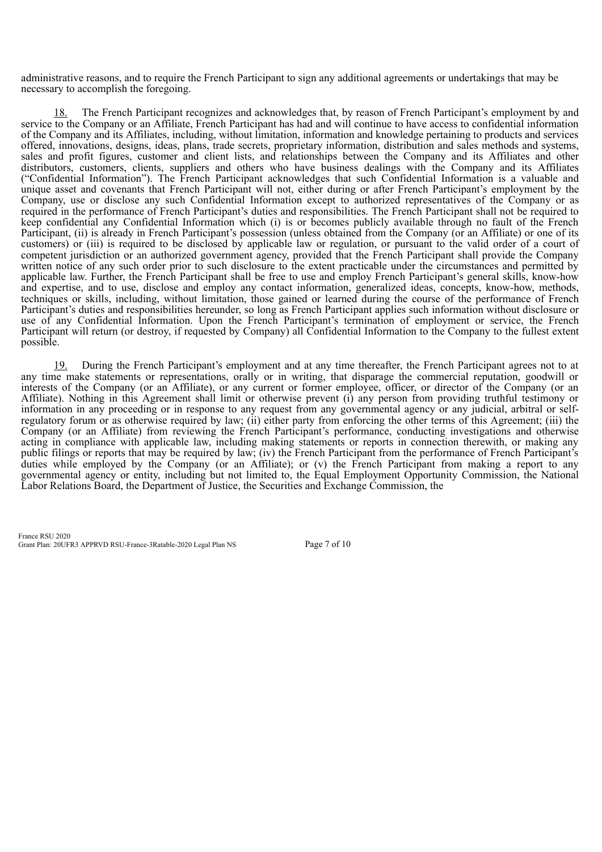administrative reasons, and to require the French Participant to sign any additional agreements or undertakings that may be necessary to accomplish the foregoing.

18. The French Participant recognizes and acknowledges that, by reason of French Participant's employment by and service to the Company or an Affiliate, French Participant has had and will continue to have access to confidential information of the Company and its Affiliates, including, without limitation, information and knowledge pertaining to products and services offered, innovations, designs, ideas, plans, trade secrets, proprietary information, distribution and sales methods and systems, sales and profit figures, customer and client lists, and relationships between the Company and its Affiliates and other distributors, customers, clients, suppliers and others who have business dealings with the Company and its Affiliates ("Confidential Information"). The French Participant acknowledges that such Confidential Information is a valuable and unique asset and covenants that French Participant will not, either during or after French Participant's employment by the Company, use or disclose any such Confidential Information except to authorized representatives of the Company or as required in the performance of French Participant's duties and responsibilities. The French Participant shall not be required to keep confidential any Confidential Information which (i) is or becomes publicly available through no fault of the French Participant, (ii) is already in French Participant's possession (unless obtained from the Company (or an Affiliate) or one of its customers) or (iii) is required to be disclosed by applicable law or regulation, or pursuant to the valid order of a court of competent jurisdiction or an authorized government agency, provided that the French Participant shall provide the Company written notice of any such order prior to such disclosure to the extent practicable under the circumstances and permitted by applicable law. Further, the French Participant shall be free to use and employ French Participant's general skills, know-how and expertise, and to use, disclose and employ any contact information, generalized ideas, concepts, know-how, methods, techniques or skills, including, without limitation, those gained or learned during the course of the performance of French Participant's duties and responsibilities hereunder, so long as French Participant applies such information without disclosure or use of any Confidential Information. Upon the French Participant's termination of employment or service, the French Participant will return (or destroy, if requested by Company) all Confidential Information to the Company to the fullest extent possible.

19. During the French Participant's employment and at any time thereafter, the French Participant agrees not to at any time make statements or representations, orally or in writing, that disparage the commercial reputation, goodwill or interests of the Company (or an Affiliate), or any current or former employee, officer, or director of the Company (or an Affiliate). Nothing in this Agreement shall limit or otherwise prevent (i) any person from providing truthful testimony or information in any proceeding or in response to any request from any governmental agency or any judicial, arbitral or selfregulatory forum or as otherwise required by law; (ii) either party from enforcing the other terms of this Agreement; (iii) the Company (or an Affiliate) from reviewing the French Participant's performance, conducting investigations and otherwise acting in compliance with applicable law, including making statements or reports in connection therewith, or making any public filings or reports that may be required by law; (iv) the French Participant from the performance of French Participant's duties while employed by the Company (or an Affiliate); or (v) the French Participant from making a report to any governmental agency or entity, including but not limited to, the Equal Employment Opportunity Commission, the National Labor Relations Board, the Department of Justice, the Securities and Exchange Commission, the

France RSU 2020 Grant Plan: 20UFR3 APPRVD RSU-France-3Ratable-2020 Legal Plan NS Page 7 of 10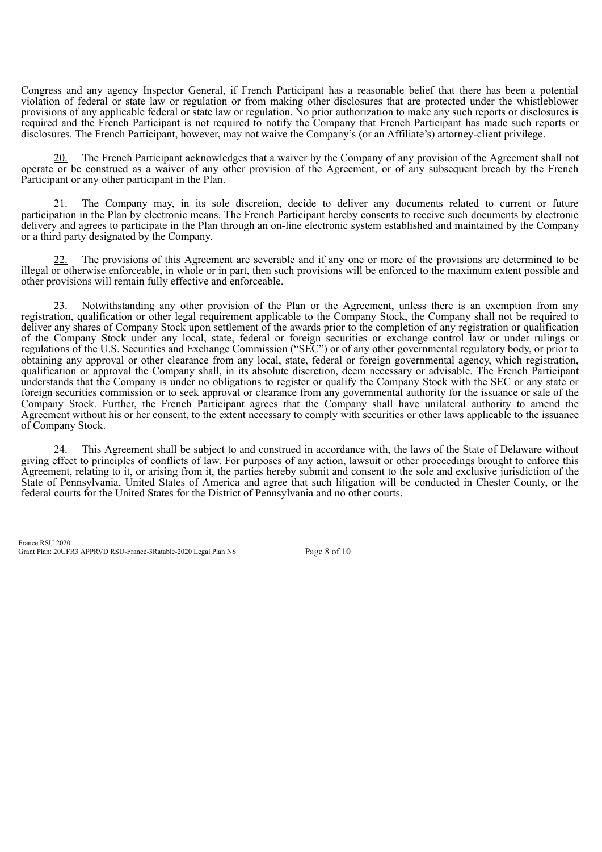Congress and any agency Inspector General, if French Participant has a reasonable belief that there has been a potential violation of federal or state law or regulation or from making other disclosures that are protected under the whistleblower provisions of any applicable federal or state law or regulation. No prior authorization to make any such reports or disclosures is required and the French Participant is not required to notify the Company that French Participant has made such reports or disclosures. The French Participant, however, may not waive the Company's (or an Affiliate's) attorney-client privilege.

20. The French Participant acknowledges that a waiver by the Company of any provision of the Agreement shall not operate or be construed as a waiver of any other provision of the Agreement, or of any subsequent breach by the French Participant or any other participant in the Plan.

21. The Company may, in its sole discretion, decide to deliver any documents related to current or future participation in the Plan by electronic means. The French Participant hereby consents to receive such documents by electronic delivery and agrees to participate in the Plan through an on-line electronic system established and maintained by the Company or a third party designated by the Company.

22. The provisions of this Agreement are severable and if any one or more of the provisions are determined to be illegal or otherwise enforceable, in whole or in part, then such provisions will be enforced to the maximum extent possible and other provisions will remain fully effective and enforceable.

23. Notwithstanding any other provision of the Plan or the Agreement, unless there is an exemption from any registration, qualification or other legal requirement applicable to the Company Stock, the Company shall not be required to deliver any shares of Company Stock upon settlement of the awards prior to the completion of any registration or qualification of the Company Stock under any local, state, federal or foreign securities or exchange control law or under rulings or regulations of the U.S. Securities and Exchange Commission ("SEC") or of any other governmental regulatory body, or prior to obtaining any approval or other clearance from any local, state, federal or foreign governmental agency, which registration, qualification or approval the Company shall, in its absolute discretion, deem necessary or advisable. The French Participant understands that the Company is under no obligations to register or qualify the Company Stock with the SEC or any state or foreign securities commission or to seek approval or clearance from any governmental authority for the issuance or sale of the Company Stock. Further, the French Participant agrees that the Company shall have unilateral authority to amend the Agreement without his or her consent, to the extent necessary to comply with securities or other laws applicable to the issuance of Company Stock.

24. This Agreement shall be subject to and construed in accordance with, the laws of the State of Delaware without giving effect to principles of conflicts of law. For purposes of any action, lawsuit or other proceedings brought to enforce this Agreement, relating to it, or arising from it, the parties hereby submit and consent to the sole and exclusive jurisdiction of the State of Pennsylvania, United States of America and agree that such litigation will be conducted in Chester County, or the federal courts for the United States for the District of Pennsylvania and no other courts.

France RSU 2020 Grant Plan: 20UFR3 APPRVD RSU-France-3Ratable-2020 Legal Plan NS Page 8 of 10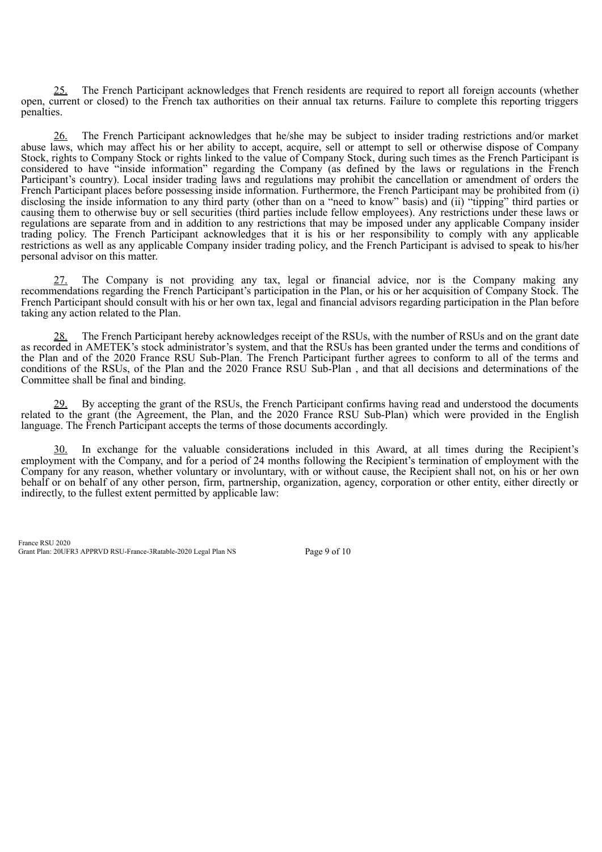25. The French Participant acknowledges that French residents are required to report all foreign accounts (whether open, current or closed) to the French tax authorities on their annual tax returns. Failure to complete this reporting triggers penalties.

26. The French Participant acknowledges that he/she may be subject to insider trading restrictions and/or market abuse laws, which may affect his or her ability to accept, acquire, sell or attempt to sell or otherwise dispose of Company Stock, rights to Company Stock or rights linked to the value of Company Stock, during such times as the French Participant is considered to have "inside information" regarding the Company (as defined by the laws or regulations in the French Participant's country). Local insider trading laws and regulations may prohibit the cancellation or amendment of orders the French Participant places before possessing inside information. Furthermore, the French Participant may be prohibited from (i) disclosing the inside information to any third party (other than on a "need to know" basis) and (ii) "tipping" third parties or causing them to otherwise buy or sell securities (third parties include fellow employees). Any restrictions under these laws or regulations are separate from and in addition to any restrictions that may be imposed under any applicable Company insider trading policy. The French Participant acknowledges that it is his or her responsibility to comply with any applicable restrictions as well as any applicable Company insider trading policy, and the French Participant is advised to speak to his/her personal advisor on this matter.

27. The Company is not providing any tax, legal or financial advice, nor is the Company making any recommendations regarding the French Participant's participation in the Plan, or his or her acquisition of Company Stock. The French Participant should consult with his or her own tax, legal and financial advisors regarding participation in the Plan before taking any action related to the Plan.

The French Participant hereby acknowledges receipt of the RSUs, with the number of RSUs and on the grant date as recorded in AMETEK's stock administrator's system, and that the RSUs has been granted under the terms and conditions of the Plan and of the 2020 France RSU Sub-Plan. The French Participant further agrees to conform to all of the terms and conditions of the RSUs, of the Plan and the 2020 France RSU Sub-Plan , and that all decisions and determinations of the Committee shall be final and binding.

By accepting the grant of the RSUs, the French Participant confirms having read and understood the documents related to the grant (the Agreement, the Plan, and the 2020 France RSU Sub-Plan) which were provided in the English language. The French Participant accepts the terms of those documents accordingly.

30. In exchange for the valuable considerations included in this Award, at all times during the Recipient's employment with the Company, and for a period of 24 months following the Recipient's termination of employment with the Company for any reason, whether voluntary or involuntary, with or without cause, the Recipient shall not, on his or her own behalf or on behalf of any other person, firm, partnership, organization, agency, corporation or other entity, either directly or indirectly, to the fullest extent permitted by applicable law:

France RSU 2020 Grant Plan: 20UFR3 APPRVD RSU-France-3Ratable-2020 Legal Plan NS Page 9 of 10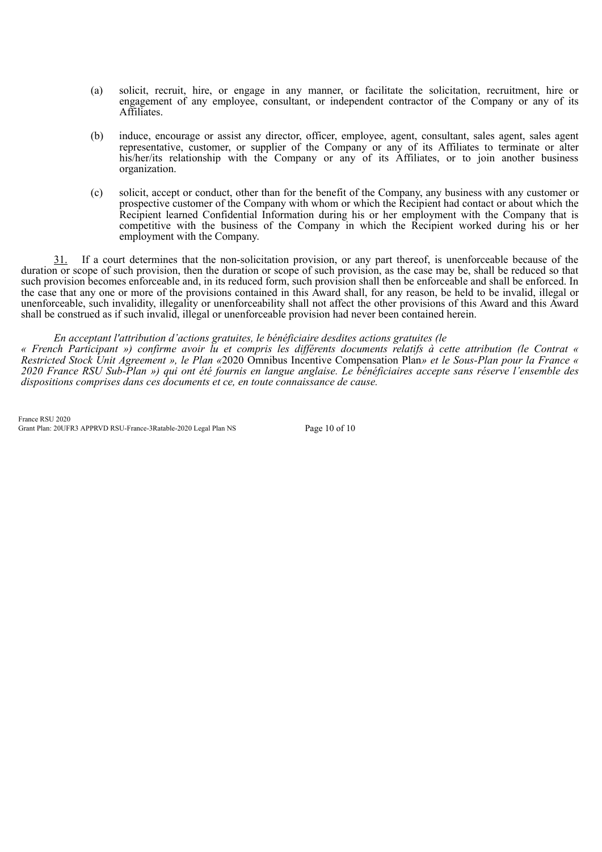- (a) solicit, recruit, hire, or engage in any manner, or facilitate the solicitation, recruitment, hire or engagement of any employee, consultant, or independent contractor of the Company or any of its Affiliates.
- (b) induce, encourage or assist any director, officer, employee, agent, consultant, sales agent, sales agent representative, customer, or supplier of the Company or any of its Affiliates to terminate or alter his/her/its relationship with the Company or any of its Affiliates, or to join another business organization.
- (c) solicit, accept or conduct, other than for the benefit of the Company, any business with any customer or prospective customer of the Company with whom or which the Recipient had contact or about which the Recipient learned Confidential Information during his or her employment with the Company that is competitive with the business of the Company in which the Recipient worked during his or her employment with the Company.

31. If a court determines that the non-solicitation provision, or any part thereof, is unenforceable because of the duration or scope of such provision, then the duration or scope of such provision, as the case may be, shall be reduced so that such provision becomes enforceable and, in its reduced form, such provision shall then be enforceable and shall be enforced. In the case that any one or more of the provisions contained in this Award shall, for any reason, be held to be invalid, illegal or unenforceable, such invalidity, illegality or unenforceability shall not affect the other provisions of this Award and this Award shall be construed as if such invalid, illegal or unenforceable provision had never been contained herein.

#### *En acceptant l'attribution d'actions gratuites, le bénéficiaire desdites actions gratuites (le*

*« French Participant ») confirme avoir lu et compris les différents documents relatifs à cette attribution (le Contrat « Restricted Stock Unit Agreement », le Plan «*2020 Omnibus Incentive Compensation Plan*» et le Sous-Plan pour la France « 2020 France RSU Sub-Plan ») qui ont été fournis en langue anglaise. Le bénéficiaires accepte sans réserve l'ensemble des dispositions comprises dans ces documents et ce, en toute connaissance de cause.*

France RSU 2020 Grant Plan: 20UFR3 APPRVD RSU-France-3Ratable-2020 Legal Plan NS Page 10 of 10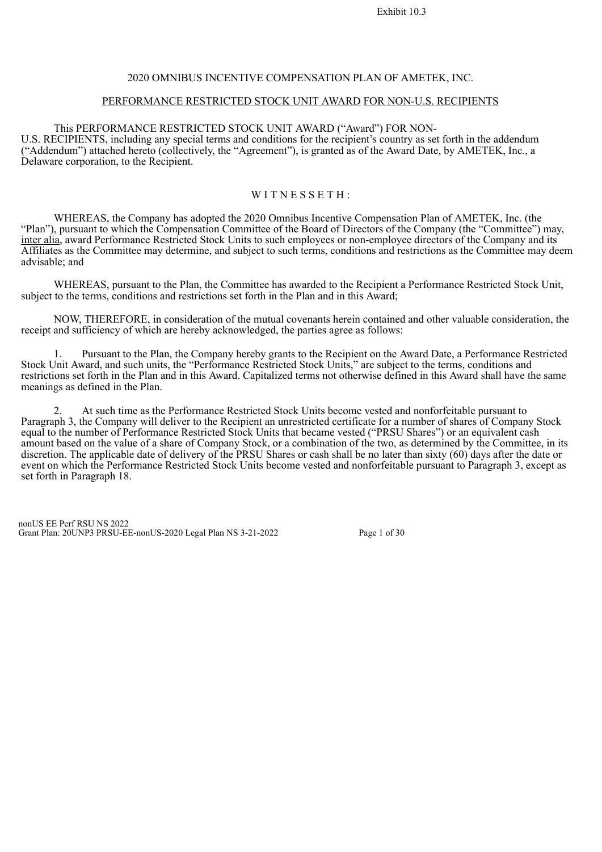Exhibit 10.3

### 2020 OMNIBUS INCENTIVE COMPENSATION PLAN OF AMETEK, INC.

#### PERFORMANCE RESTRICTED STOCK UNIT AWARD FOR NON-U.S. RECIPIENTS

This PERFORMANCE RESTRICTED STOCK UNIT AWARD ("Award") FOR NON-U.S. RECIPIENTS, including any special terms and conditions for the recipient's country as set forth in the addendum ("Addendum") attached hereto (collectively, the "Agreement"), is granted as of the Award Date, by AMETEK, Inc., a Delaware corporation, to the Recipient.

# WITNESSETH:

WHEREAS, the Company has adopted the 2020 Omnibus Incentive Compensation Plan of AMETEK, Inc. (the "Plan"), pursuant to which the Compensation Committee of the Board of Directors of the Company (the "Committee") may, inter alia, award Performance Restricted Stock Units to such employees or non-employee directors of the Company and its Affiliates as the Committee may determine, and subject to such terms, conditions and restrictions as the Committee may deem advisable; and

WHEREAS, pursuant to the Plan, the Committee has awarded to the Recipient a Performance Restricted Stock Unit, subject to the terms, conditions and restrictions set forth in the Plan and in this Award;

NOW, THEREFORE, in consideration of the mutual covenants herein contained and other valuable consideration, the receipt and sufficiency of which are hereby acknowledged, the parties agree as follows:

1. Pursuant to the Plan, the Company hereby grants to the Recipient on the Award Date, a Performance Restricted Stock Unit Award, and such units, the "Performance Restricted Stock Units," are subject to the terms, conditions and restrictions set forth in the Plan and in this Award. Capitalized terms not otherwise defined in this Award shall have the same meanings as defined in the Plan.

2. At such time as the Performance Restricted Stock Units become vested and nonforfeitable pursuant to Paragraph 3, the Company will deliver to the Recipient an unrestricted certificate for a number of shares of Company Stock equal to the number of Performance Restricted Stock Units that became vested ("PRSU Shares") or an equivalent cash amount based on the value of a share of Company Stock, or a combination of the two, as determined by the Committee, in its discretion. The applicable date of delivery of the PRSU Shares or cash shall be no later than sixty (60) days after the date or event on which the Performance Restricted Stock Units become vested and nonforfeitable pursuant to Paragraph 3, except as set forth in Paragraph 18.

nonUS EE Perf RSU NS 2022 Grant Plan: 20UNP3 PRSU-EE-nonUS-2020 Legal Plan NS 3-21-2022 Page 1 of 30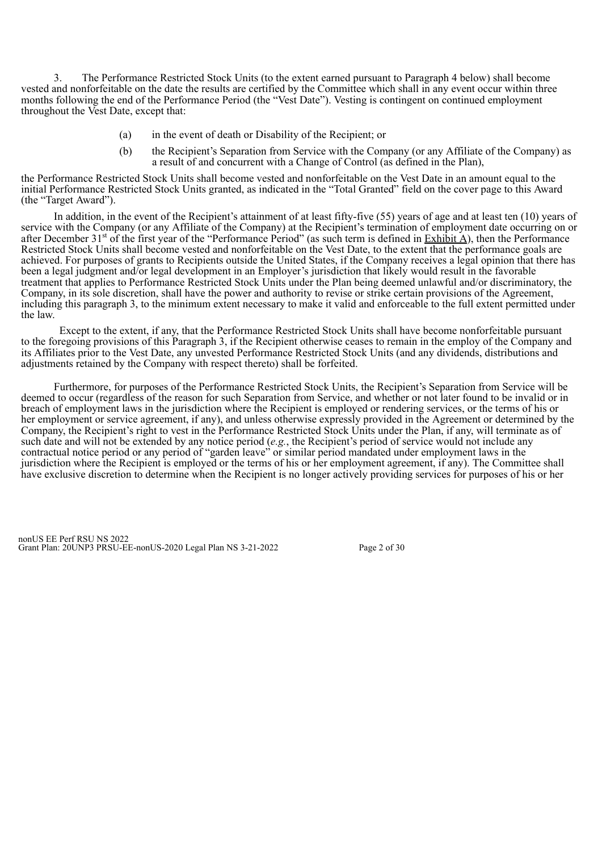3. The Performance Restricted Stock Units (to the extent earned pursuant to Paragraph 4 below) shall become vested and nonforfeitable on the date the results are certified by the Committee which shall in any event occur within three months following the end of the Performance Period (the "Vest Date"). Vesting is contingent on continued employment throughout the Vest Date, except that:

- (a) in the event of death or Disability of the Recipient; or
- (b) the Recipient's Separation from Service with the Company (or any Affiliate of the Company) as a result of and concurrent with a Change of Control (as defined in the Plan),

the Performance Restricted Stock Units shall become vested and nonforfeitable on the Vest Date in an amount equal to the initial Performance Restricted Stock Units granted, as indicated in the "Total Granted" field on the cover page to this Award (the "Target Award").

In addition, in the event of the Recipient's attainment of at least fifty-five (55) years of age and at least ten (10) years of service with the Company (or any Affiliate of the Company) at the Recipient's termination of employment date occurring on or after December 31<sup>st</sup> of the first year of the "Performance Period" (as such term is defined in  $\overline{\text{Exhibit A}}$ ), then the Performance Restricted Stock Units shall become vested and nonforfeitable on the Vest Date, to the extent that the performance goals are achieved. For purposes of grants to Recipients outside the United States, if the Company receives a legal opinion that there has been a legal judgment and/or legal development in an Employer's jurisdiction that likely would result in the favorable treatment that applies to Performance Restricted Stock Units under the Plan being deemed unlawful and/or discriminatory, the Company, in its sole discretion, shall have the power and authority to revise or strike certain provisions of the Agreement, including this paragraph 3, to the minimum extent necessary to make it valid and enforceable to the full extent permitted under the law. st

Except to the extent, if any, that the Performance Restricted Stock Units shall have become nonforfeitable pursuant to the foregoing provisions of this Paragraph 3, if the Recipient otherwise ceases to remain in the employ of the Company and its Affiliates prior to the Vest Date, any unvested Performance Restricted Stock Units (and any dividends, distributions and adjustments retained by the Company with respect thereto) shall be forfeited.

Furthermore, for purposes of the Performance Restricted Stock Units, the Recipient's Separation from Service will be deemed to occur (regardless of the reason for such Separation from Service, and whether or not later found to be invalid or in breach of employment laws in the jurisdiction where the Recipient is employed or rendering services, or the terms of his or her employment or service agreement, if any), and unless otherwise expressly provided in the Agreement or determined by the Company, the Recipient's right to vest in the Performance Restricted Stock Units under the Plan, if any, will terminate as of such date and will not be extended by any notice period (*e.g.*, the Recipient's period of service would not include any contractual notice period or any period of "garden leave" or similar period mandated under employment laws in the jurisdiction where the Recipient is employed or the terms of his or her employment agreement, if any). The Committee shall have exclusive discretion to determine when the Recipient is no longer actively providing services for purposes of his or her

nonUS EE Perf RSU NS 2022 Grant Plan: 20UNP3 PRSU-EE-nonUS-2020 Legal Plan NS 3-21-2022 Page 2 of 30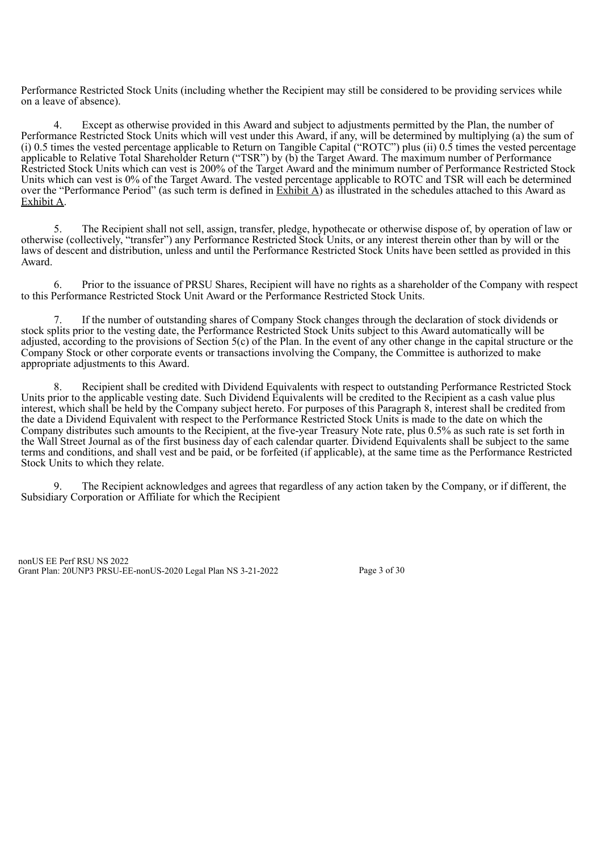Performance Restricted Stock Units (including whether the Recipient may still be considered to be providing services while on a leave of absence).

4. Except as otherwise provided in this Award and subject to adjustments permitted by the Plan, the number of Performance Restricted Stock Units which will vest under this Award, if any, will be determined by multiplying (a) the sum of (i) 0.5 times the vested percentage applicable to Return on Tangible Capital ("ROTC") plus (ii) 0.5 times the vested percentage applicable to Relative Total Shareholder Return ("TSR") by (b) the Target Award. The maximum number of Performance Restricted Stock Units which can vest is 200% of the Target Award and the minimum number of Performance Restricted Stock Units which can vest is 0% of the Target Award. The vested percentage applicable to ROTC and TSR will each be determined over the "Performance Period" (as such term is defined in Exhibit A) as illustrated in the schedules attached to this Award as Exhibit A.

5. The Recipient shall not sell, assign, transfer, pledge, hypothecate or otherwise dispose of, by operation of law or otherwise (collectively, "transfer") any Performance Restricted Stock Units, or any interest therein other than by will or the laws of descent and distribution, unless and until the Performance Restricted Stock Units have been settled as provided in this Award.

6. Prior to the issuance of PRSU Shares, Recipient will have no rights as a shareholder of the Company with respect to this Performance Restricted Stock Unit Award or the Performance Restricted Stock Units.

7. If the number of outstanding shares of Company Stock changes through the declaration of stock dividends or stock splits prior to the vesting date, the Performance Restricted Stock Units subject to this Award automatically will be adjusted, according to the provisions of Section 5(c) of the Plan. In the event of any other change in the capital structure or the Company Stock or other corporate events or transactions involving the Company, the Committee is authorized to make appropriate adjustments to this Award.

8. Recipient shall be credited with Dividend Equivalents with respect to outstanding Performance Restricted Stock Units prior to the applicable vesting date. Such Dividend Equivalents will be credited to the Recipient as a cash value plus interest, which shall be held by the Company subject hereto. For purposes of this Paragraph 8, interest shall be credited from the date a Dividend Equivalent with respect to the Performance Restricted Stock Units is made to the date on which the Company distributes such amounts to the Recipient, at the five-year Treasury Note rate, plus 0.5% as such rate is set forth in the Wall Street Journal as of the first business day of each calendar quarter. Dividend Equivalents shall be subject to the same terms and conditions, and shall vest and be paid, or be forfeited (if applicable), at the same time as the Performance Restricted Stock Units to which they relate.

9. The Recipient acknowledges and agrees that regardless of any action taken by the Company, or if different, the Subsidiary Corporation or Affiliate for which the Recipient

nonUS EE Perf RSU NS 2022 Grant Plan: 20UNP3 PRSU-EE-nonUS-2020 Legal Plan NS 3-21-2022 Page 3 of 30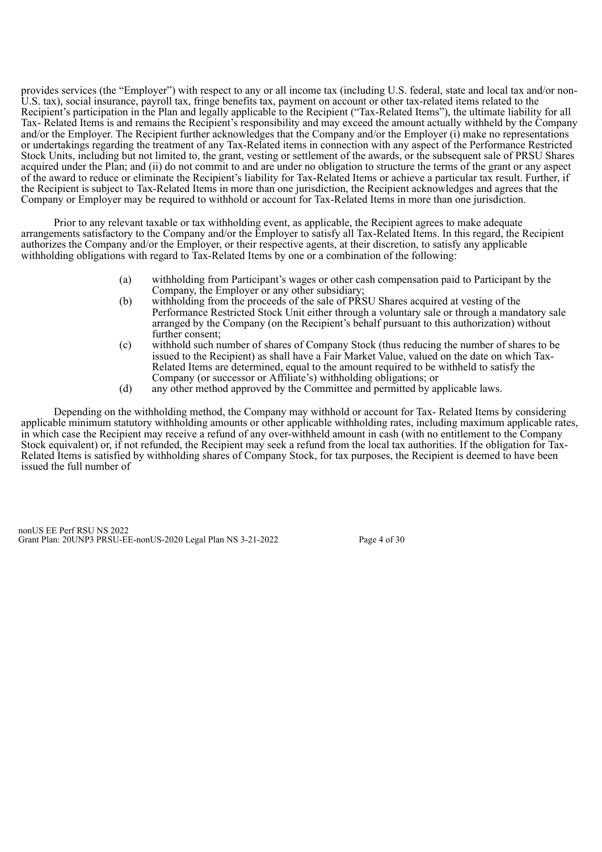provides services (the "Employer") with respect to any or all income tax (including U.S. federal, state and local tax and/or non-U.S. tax), social insurance, payroll tax, fringe benefits tax, payment on account or other tax-related items related to the Recipient's participation in the Plan and legally applicable to the Recipient ("Tax-Related Items"), the ultimate liability for all Tax- Related Items is and remains the Recipient's responsibility and may exceed the amount actually withheld by the Company and/or the Employer. The Recipient further acknowledges that the Company and/or the Employer (i) make no representations or undertakings regarding the treatment of any Tax-Related items in connection with any aspect of the Performance Restricted Stock Units, including but not limited to, the grant, vesting or settlement of the awards, or the subsequent sale of PRSU Shares acquired under the Plan; and (ii) do not commit to and are under no obligation to structure the terms of the grant or any aspect of the award to reduce or eliminate the Recipient's liability for Tax-Related Items or achieve a particular tax result. Further, if the Recipient is subject to Tax-Related Items in more than one jurisdiction, the Recipient acknowledges and agrees that the Company or Employer may be required to withhold or account for Tax-Related Items in more than one jurisdiction.

Prior to any relevant taxable or tax withholding event, as applicable, the Recipient agrees to make adequate arrangements satisfactory to the Company and/or the Employer to satisfy all Tax-Related Items. In this regard, the Recipient authorizes the Company and/or the Employer, or their respective agents, at their discretion, to satisfy any applicable withholding obligations with regard to Tax-Related Items by one or a combination of the following:

- (a) withholding from Participant's wages or other cash compensation paid to Participant by the Company, the Employer or any other subsidiary;
- (b) withholding from the proceeds of the sale of PRSU Shares acquired at vesting of the Performance Restricted Stock Unit either through a voluntary sale or through a mandatory sale arranged by the Company (on the Recipient's behalf pursuant to this authorization) without further consent;
- (c) withhold such number of shares of Company Stock (thus reducing the number of shares to be issued to the Recipient) as shall have a Fair Market Value, valued on the date on which Tax-Related Items are determined, equal to the amount required to be withheld to satisfy the Company (or successor or Affiliate's) withholding obligations; or
- (d) any other method approved by the Committee and permitted by applicable laws.

Depending on the withholding method, the Company may withhold or account for Tax- Related Items by considering applicable minimum statutory withholding amounts or other applicable withholding rates, including maximum applicable rates, in which case the Recipient may receive a refund of any over-withheld amount in cash (with no entitlement to the Company Stock equivalent) or, if not refunded, the Recipient may seek a refund from the local tax authorities. If the obligation for Tax-Related Items is satisfied by withholding shares of Company Stock, for tax purposes, the Recipient is deemed to have been issued the full number of

nonUS EE Perf RSU NS 2022 Grant Plan: 20UNP3 PRSU-EE-nonUS-2020 Legal Plan NS 3-21-2022 Page 4 of 30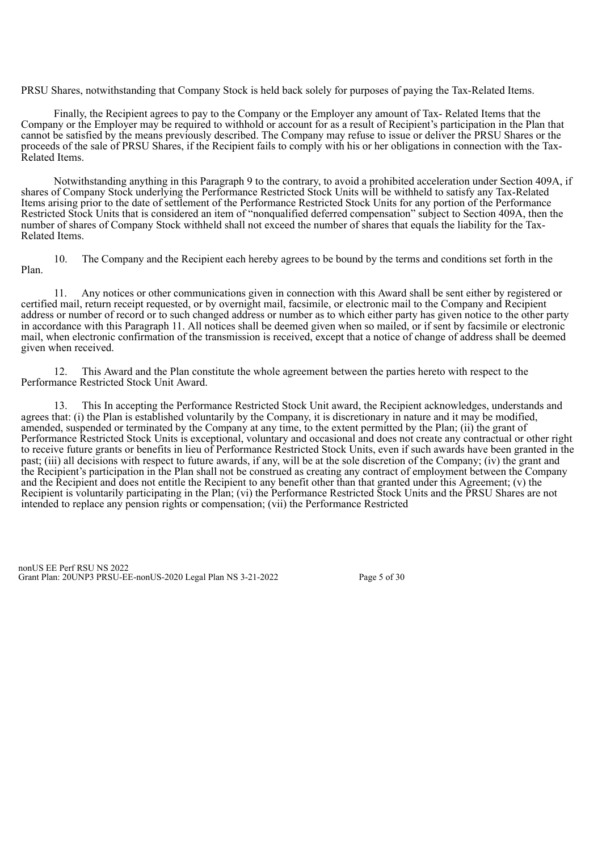PRSU Shares, notwithstanding that Company Stock is held back solely for purposes of paying the Tax-Related Items.

Finally, the Recipient agrees to pay to the Company or the Employer any amount of Tax- Related Items that the Company or the Employer may be required to withhold or account for as a result of Recipient's participation in the Plan that cannot be satisfied by the means previously described. The Company may refuse to issue or deliver the PRSU Shares or the proceeds of the sale of PRSU Shares, if the Recipient fails to comply with his or her obligations in connection with the Tax-Related Items.

Notwithstanding anything in this Paragraph 9 to the contrary, to avoid a prohibited acceleration under Section 409A, if shares of Company Stock underlying the Performance Restricted Stock Units will be withheld to satisfy any Tax-Related Items arising prior to the date of settlement of the Performance Restricted Stock Units for any portion of the Performance Restricted Stock Units that is considered an item of "nonqualified deferred compensation" subject to Section 409A, then the number of shares of Company Stock withheld shall not exceed the number of shares that equals the liability for the Tax-Related Items.

10. The Company and the Recipient each hereby agrees to be bound by the terms and conditions set forth in the Plan.

11. Any notices or other communications given in connection with this Award shall be sent either by registered or certified mail, return receipt requested, or by overnight mail, facsimile, or electronic mail to the Company and Recipient address or number of record or to such changed address or number as to which either party has given notice to the other party in accordance with this Paragraph 11. All notices shall be deemed given when so mailed, or if sent by facsimile or electronic mail, when electronic confirmation of the transmission is received, except that a notice of change of address shall be deemed given when received.

12. This Award and the Plan constitute the whole agreement between the parties hereto with respect to the Performance Restricted Stock Unit Award.

13. This In accepting the Performance Restricted Stock Unit award, the Recipient acknowledges, understands and agrees that: (i) the Plan is established voluntarily by the Company, it is discretionary in nature and it may be modified, amended, suspended or terminated by the Company at any time, to the extent permitted by the Plan; (ii) the grant of Performance Restricted Stock Units is exceptional, voluntary and occasional and does not create any contractual or other right to receive future grants or benefits in lieu of Performance Restricted Stock Units, even if such awards have been granted in the past; (iii) all decisions with respect to future awards, if any, will be at the sole discretion of the Company; (iv) the grant and the Recipient's participation in the Plan shall not be construed as creating any contract of employment between the Company and the Recipient and does not entitle the Recipient to any benefit other than that granted under this Agreement; (v) the Recipient is voluntarily participating in the Plan; (vi) the Performance Restricted Stock Units and the PRSU Shares are not intended to replace any pension rights or compensation; (vii) the Performance Restricted

nonUS EE Perf RSU NS 2022 Grant Plan: 20UNP3 PRSU-EE-nonUS-2020 Legal Plan NS 3-21-2022 Page 5 of 30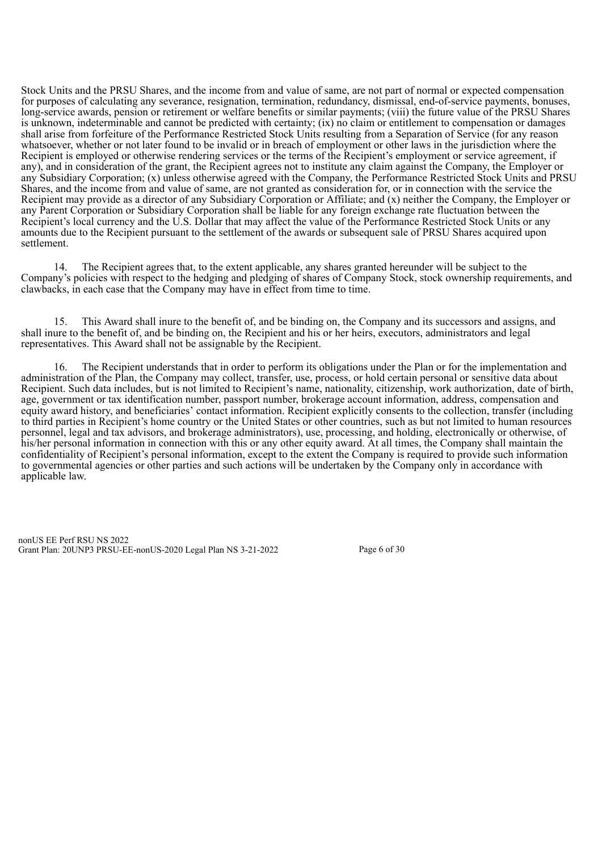Stock Units and the PRSU Shares, and the income from and value of same, are not part of normal or expected compensation for purposes of calculating any severance, resignation, termination, redundancy, dismissal, end-of-service payments, bonuses, long-service awards, pension or retirement or welfare benefits or similar payments; (viii) the future value of the PRSU Shares is unknown, indeterminable and cannot be predicted with certainty; (ix) no claim or entitlement to compensation or damages shall arise from forfeiture of the Performance Restricted Stock Units resulting from a Separation of Service (for any reason whatsoever, whether or not later found to be invalid or in breach of employment or other laws in the jurisdiction where the Recipient is employed or otherwise rendering services or the terms of the Recipient's employment or service agreement, if any), and in consideration of the grant, the Recipient agrees not to institute any claim against the Company, the Employer or any Subsidiary Corporation; (x) unless otherwise agreed with the Company, the Performance Restricted Stock Units and PRSU Shares, and the income from and value of same, are not granted as consideration for, or in connection with the service the Recipient may provide as a director of any Subsidiary Corporation or Affiliate; and (x) neither the Company, the Employer or any Parent Corporation or Subsidiary Corporation shall be liable for any foreign exchange rate fluctuation between the Recipient's local currency and the U.S. Dollar that may affect the value of the Performance Restricted Stock Units or any amounts due to the Recipient pursuant to the settlement of the awards or subsequent sale of PRSU Shares acquired upon settlement.

14. The Recipient agrees that, to the extent applicable, any shares granted hereunder will be subject to the Company's policies with respect to the hedging and pledging of shares of Company Stock, stock ownership requirements, and clawbacks, in each case that the Company may have in effect from time to time.

15. This Award shall inure to the benefit of, and be binding on, the Company and its successors and assigns, and shall inure to the benefit of, and be binding on, the Recipient and his or her heirs, executors, administrators and legal representatives. This Award shall not be assignable by the Recipient.

16. The Recipient understands that in order to perform its obligations under the Plan or for the implementation and administration of the Plan, the Company may collect, transfer, use, process, or hold certain personal or sensitive data about Recipient. Such data includes, but is not limited to Recipient's name, nationality, citizenship, work authorization, date of birth, age, government or tax identification number, passport number, brokerage account information, address, compensation and equity award history, and beneficiaries' contact information. Recipient explicitly consents to the collection, transfer (including to third parties in Recipient's home country or the United States or other countries, such as but not limited to human resources personnel, legal and tax advisors, and brokerage administrators), use, processing, and holding, electronically or otherwise, of his/her personal information in connection with this or any other equity award. At all times, the Company shall maintain the confidentiality of Recipient's personal information, except to the extent the Company is required to provide such information to governmental agencies or other parties and such actions will be undertaken by the Company only in accordance with applicable law.

nonUS EE Perf RSU NS 2022 Grant Plan: 20UNP3 PRSU-EE-nonUS-2020 Legal Plan NS 3-21-2022 Page 6 of 30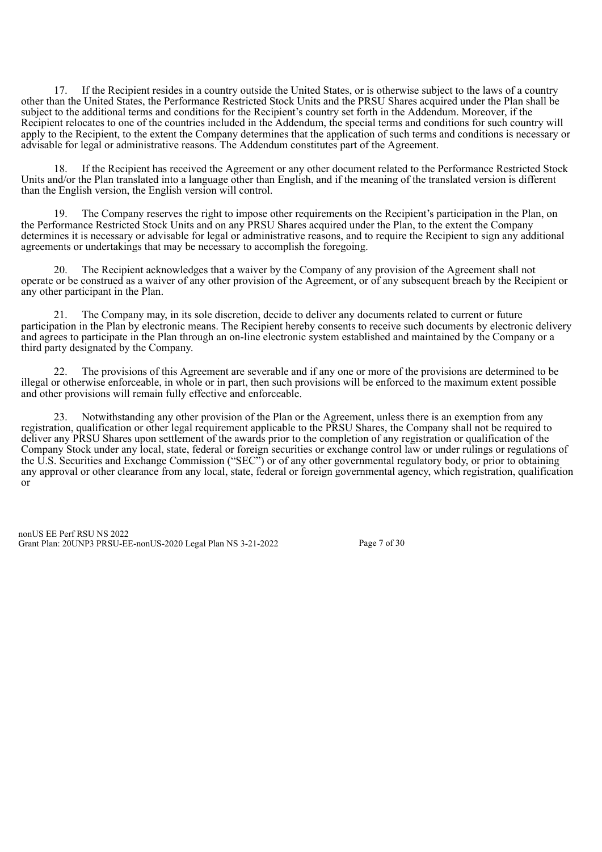17. If the Recipient resides in a country outside the United States, or is otherwise subject to the laws of a country other than the United States, the Performance Restricted Stock Units and the PRSU Shares acquired under the Plan shall be subject to the additional terms and conditions for the Recipient's country set forth in the Addendum. Moreover, if the Recipient relocates to one of the countries included in the Addendum, the special terms and conditions for such country will apply to the Recipient, to the extent the Company determines that the application of such terms and conditions is necessary or advisable for legal or administrative reasons. The Addendum constitutes part of the Agreement.

18. If the Recipient has received the Agreement or any other document related to the Performance Restricted Stock Units and/or the Plan translated into a language other than English, and if the meaning of the translated version is different than the English version, the English version will control.

19. The Company reserves the right to impose other requirements on the Recipient's participation in the Plan, on the Performance Restricted Stock Units and on any PRSU Shares acquired under the Plan, to the extent the Company determines it is necessary or advisable for legal or administrative reasons, and to require the Recipient to sign any additional agreements or undertakings that may be necessary to accomplish the foregoing.

20. The Recipient acknowledges that a waiver by the Company of any provision of the Agreement shall not operate or be construed as a waiver of any other provision of the Agreement, or of any subsequent breach by the Recipient or any other participant in the Plan.

21. The Company may, in its sole discretion, decide to deliver any documents related to current or future participation in the Plan by electronic means. The Recipient hereby consents to receive such documents by electronic delivery and agrees to participate in the Plan through an on-line electronic system established and maintained by the Company or a third party designated by the Company.

22. The provisions of this Agreement are severable and if any one or more of the provisions are determined to be illegal or otherwise enforceable, in whole or in part, then such provisions will be enforced to the maximum extent possible and other provisions will remain fully effective and enforceable.

23. Notwithstanding any other provision of the Plan or the Agreement, unless there is an exemption from any registration, qualification or other legal requirement applicable to the PRSU Shares, the Company shall not be required to deliver any PRSU Shares upon settlement of the awards prior to the completion of any registration or qualification of the Company Stock under any local, state, federal or foreign securities or exchange control law or under rulings or regulations of the U.S. Securities and Exchange Commission ("SEC") or of any other governmental regulatory body, or prior to obtaining any approval or other clearance from any local, state, federal or foreign governmental agency, which registration, qualification or

nonUS EE Perf RSU NS 2022 Grant Plan: 20UNP3 PRSU-EE-nonUS-2020 Legal Plan NS 3-21-2022 Page 7 of 30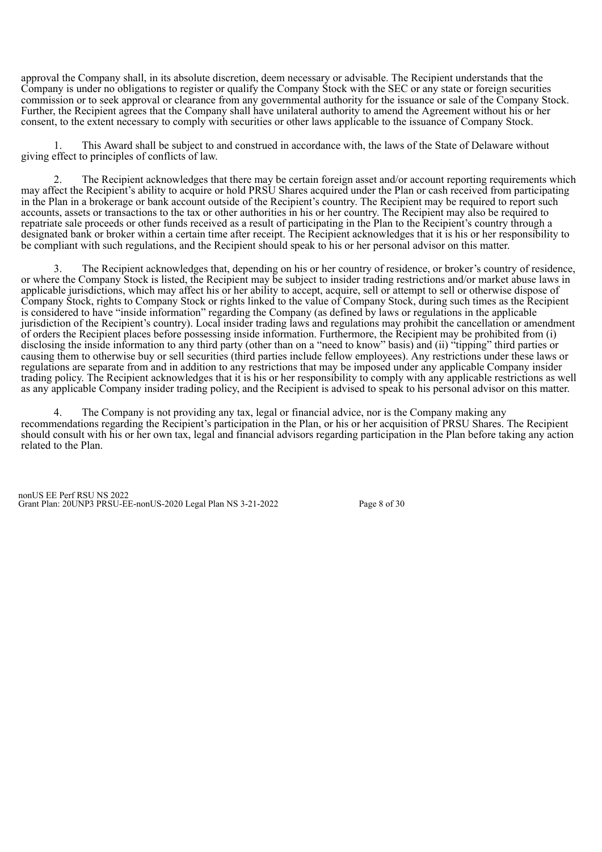approval the Company shall, in its absolute discretion, deem necessary or advisable. The Recipient understands that the Company is under no obligations to register or qualify the Company Stock with the SEC or any state or foreign securities commission or to seek approval or clearance from any governmental authority for the issuance or sale of the Company Stock. Further, the Recipient agrees that the Company shall have unilateral authority to amend the Agreement without his or her consent, to the extent necessary to comply with securities or other laws applicable to the issuance of Company Stock.

1. This Award shall be subject to and construed in accordance with, the laws of the State of Delaware without giving effect to principles of conflicts of law.

The Recipient acknowledges that there may be certain foreign asset and/or account reporting requirements which may affect the Recipient's ability to acquire or hold PRSU Shares acquired under the Plan or cash received from participating in the Plan in a brokerage or bank account outside of the Recipient's country. The Recipient may be required to report such accounts, assets or transactions to the tax or other authorities in his or her country. The Recipient may also be required to repatriate sale proceeds or other funds received as a result of participating in the Plan to the Recipient's country through a designated bank or broker within a certain time after receipt. The Recipient acknowledges that it is his or her responsibility to be compliant with such regulations, and the Recipient should speak to his or her personal advisor on this matter.

3. The Recipient acknowledges that, depending on his or her country of residence, or broker's country of residence, or where the Company Stock is listed, the Recipient may be subject to insider trading restrictions and/or market abuse laws in applicable jurisdictions, which may affect his or her ability to accept, acquire, sell or attempt to sell or otherwise dispose of Company Stock, rights to Company Stock or rights linked to the value of Company Stock, during such times as the Recipient is considered to have "inside information" regarding the Company (as defined by laws or regulations in the applicable jurisdiction of the Recipient's country). Local insider trading laws and regulations may prohibit the cancellation or amendment of orders the Recipient places before possessing inside information. Furthermore, the Recipient may be prohibited from (i) disclosing the inside information to any third party (other than on a "need to know" basis) and (ii) "tipping" third parties or causing them to otherwise buy or sell securities (third parties include fellow employees). Any restrictions under these laws or regulations are separate from and in addition to any restrictions that may be imposed under any applicable Company insider trading policy. The Recipient acknowledges that it is his or her responsibility to comply with any applicable restrictions as well as any applicable Company insider trading policy, and the Recipient is advised to speak to his personal advisor on this matter.

4. The Company is not providing any tax, legal or financial advice, nor is the Company making any recommendations regarding the Recipient's participation in the Plan, or his or her acquisition of PRSU Shares. The Recipient should consult with his or her own tax, legal and financial advisors regarding participation in the Plan before taking any action related to the Plan.

nonUS EE Perf RSU NS 2022 Grant Plan: 20UNP3 PRSU-EE-nonUS-2020 Legal Plan NS 3-21-2022 Page 8 of 30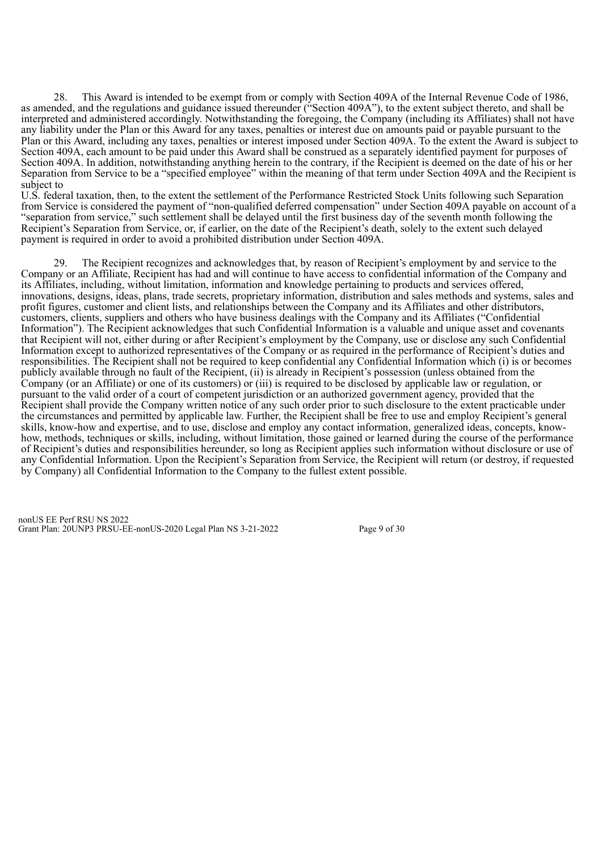28. This Award is intended to be exempt from or comply with Section 409A of the Internal Revenue Code of 1986, as amended, and the regulations and guidance issued thereunder ("Section 409A"), to the extent subject thereto, and shall be interpreted and administered accordingly. Notwithstanding the foregoing, the Company (including its Affiliates) shall not have any liability under the Plan or this Award for any taxes, penalties or interest due on amounts paid or payable pursuant to the Plan or this Award, including any taxes, penalties or interest imposed under Section 409A. To the extent the Award is subject to Section 409A, each amount to be paid under this Award shall be construed as a separately identified payment for purposes of Section 409A. In addition, notwithstanding anything herein to the contrary, if the Recipient is deemed on the date of his or her Separation from Service to be a "specified employee" within the meaning of that term under Section 409A and the Recipient is subject to

U.S. federal taxation, then, to the extent the settlement of the Performance Restricted Stock Units following such Separation from Service is considered the payment of "non-qualified deferred compensation" under Section 409A payable on account of a "separation from service," such settlement shall be delayed until the first business day of the seventh month following the Recipient's Separation from Service, or, if earlier, on the date of the Recipient's death, solely to the extent such delayed payment is required in order to avoid a prohibited distribution under Section 409A.

29. The Recipient recognizes and acknowledges that, by reason of Recipient's employment by and service to the Company or an Affiliate, Recipient has had and will continue to have access to confidential information of the Company and its Affiliates, including, without limitation, information and knowledge pertaining to products and services offered, innovations, designs, ideas, plans, trade secrets, proprietary information, distribution and sales methods and systems, sales and profit figures, customer and client lists, and relationships between the Company and its Affiliates and other distributors, customers, clients, suppliers and others who have business dealings with the Company and its Affiliates ("Confidential Information"). The Recipient acknowledges that such Confidential Information is a valuable and unique asset and covenants that Recipient will not, either during or after Recipient's employment by the Company, use or disclose any such Confidential Information except to authorized representatives of the Company or as required in the performance of Recipient's duties and responsibilities. The Recipient shall not be required to keep confidential any Confidential Information which (i) is or becomes publicly available through no fault of the Recipient, (ii) is already in Recipient's possession (unless obtained from the Company (or an Affiliate) or one of its customers) or (iii) is required to be disclosed by applicable law or regulation, or pursuant to the valid order of a court of competent jurisdiction or an authorized government agency, provided that the Recipient shall provide the Company written notice of any such order prior to such disclosure to the extent practicable under the circumstances and permitted by applicable law. Further, the Recipient shall be free to use and employ Recipient's general skills, know-how and expertise, and to use, disclose and employ any contact information, generalized ideas, concepts, knowhow, methods, techniques or skills, including, without limitation, those gained or learned during the course of the performance of Recipient's duties and responsibilities hereunder, so long as Recipient applies such information without disclosure or use of any Confidential Information. Upon the Recipient's Separation from Service, the Recipient will return (or destroy, if requested by Company) all Confidential Information to the Company to the fullest extent possible.

nonUS EE Perf RSU NS 2022 Grant Plan: 20UNP3 PRSU-EE-nonUS-2020 Legal Plan NS 3-21-2022 Page 9 of 30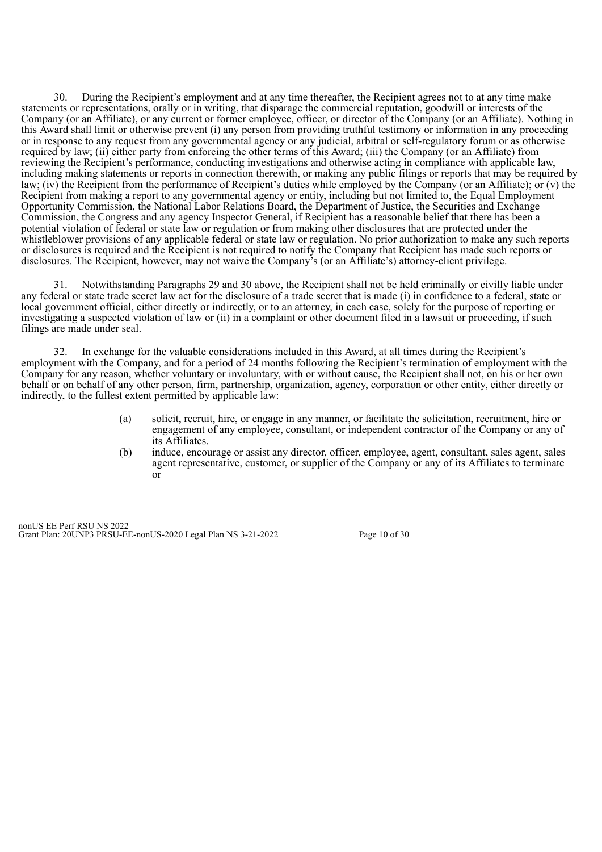30. During the Recipient's employment and at any time thereafter, the Recipient agrees not to at any time make statements or representations, orally or in writing, that disparage the commercial reputation, goodwill or interests of the Company (or an Affiliate), or any current or former employee, officer, or director of the Company (or an Affiliate). Nothing in this Award shall limit or otherwise prevent (i) any person from providing truthful testimony or information in any proceeding or in response to any request from any governmental agency or any judicial, arbitral or self-regulatory forum or as otherwise required by law; (ii) either party from enforcing the other terms of this Award; (iii) the Company (or an Affiliate) from reviewing the Recipient's performance, conducting investigations and otherwise acting in compliance with applicable law, including making statements or reports in connection therewith, or making any public filings or reports that may be required by law; (iv) the Recipient from the performance of Recipient's duties while employed by the Company (or an Affiliate); or (v) the Recipient from making a report to any governmental agency or entity, including but not limited to, the Equal Employment Opportunity Commission, the National Labor Relations Board, the Department of Justice, the Securities and Exchange Commission, the Congress and any agency Inspector General, if Recipient has a reasonable belief that there has been a potential violation of federal or state law or regulation or from making other disclosures that are protected under the whistleblower provisions of any applicable federal or state law or regulation. No prior authorization to make any such reports or disclosures is required and the Recipient is not required to notify the Company that Recipient has made such reports or disclosures. The Recipient, however, may not waive the Company's (or an Affiliate's) attorney-client privilege.

31. Notwithstanding Paragraphs 29 and 30 above, the Recipient shall not be held criminally or civilly liable under any federal or state trade secret law act for the disclosure of a trade secret that is made (i) in confidence to a federal, state or local government official, either directly or indirectly, or to an attorney, in each case, solely for the purpose of reporting or investigating a suspected violation of law or (ii) in a complaint or other document filed in a lawsuit or proceeding, if such filings are made under seal.

32. In exchange for the valuable considerations included in this Award, at all times during the Recipient's employment with the Company, and for a period of 24 months following the Recipient's termination of employment with the Company for any reason, whether voluntary or involuntary, with or without cause, the Recipient shall not, on his or her own behalf or on behalf of any other person, firm, partnership, organization, agency, corporation or other entity, either directly or indirectly, to the fullest extent permitted by applicable law:

- (a) solicit, recruit, hire, or engage in any manner, or facilitate the solicitation, recruitment, hire or engagement of any employee, consultant, or independent contractor of the Company or any of its Affiliates.
- (b) induce, encourage or assist any director, officer, employee, agent, consultant, sales agent, sales agent representative, customer, or supplier of the Company or any of its Affiliates to terminate or

nonUS EE Perf RSU NS 2022 Grant Plan: 20UNP3 PRSU-EE-nonUS-2020 Legal Plan NS 3-21-2022 Page 10 of 30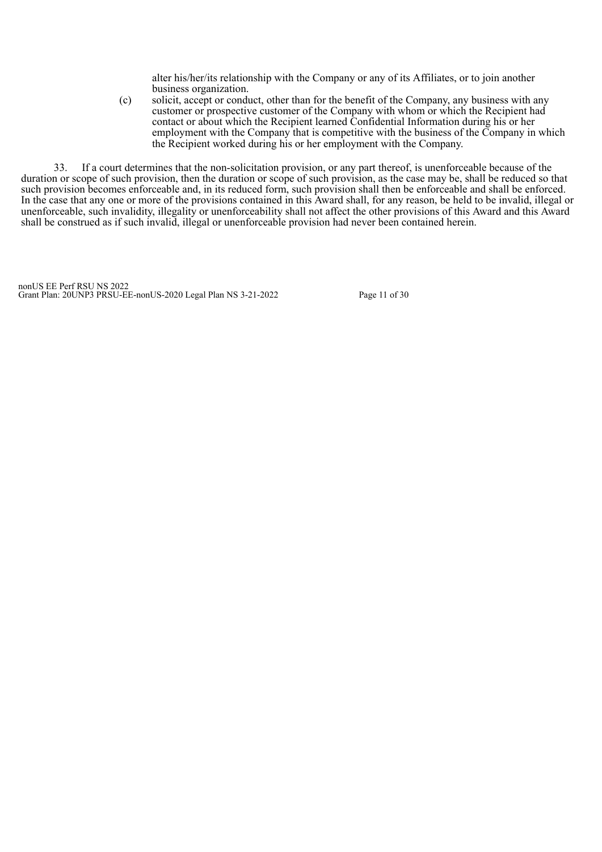alter his/her/its relationship with the Company or any of its Affiliates, or to join another business organization.

(c) solicit, accept or conduct, other than for the benefit of the Company, any business with any customer or prospective customer of the Company with whom or which the Recipient had contact or about which the Recipient learned Confidential Information during his or her employment with the Company that is competitive with the business of the Company in which the Recipient worked during his or her employment with the Company.

33. If a court determines that the non-solicitation provision, or any part thereof, is unenforceable because of the duration or scope of such provision, then the duration or scope of such provision, as the case may be, shall be reduced so that such provision becomes enforceable and, in its reduced form, such provision shall then be enforceable and shall be enforced. In the case that any one or more of the provisions contained in this Award shall, for any reason, be held to be invalid, illegal or unenforceable, such invalidity, illegality or unenforceability shall not affect the other provisions of this Award and this Award shall be construed as if such invalid, illegal or unenforceable provision had never been contained herein.

nonUS EE Perf RSU NS 2022 Grant Plan: 20UNP3 PRSU-EE-nonUS-2020 Legal Plan NS 3-21-2022 Page 11 of 30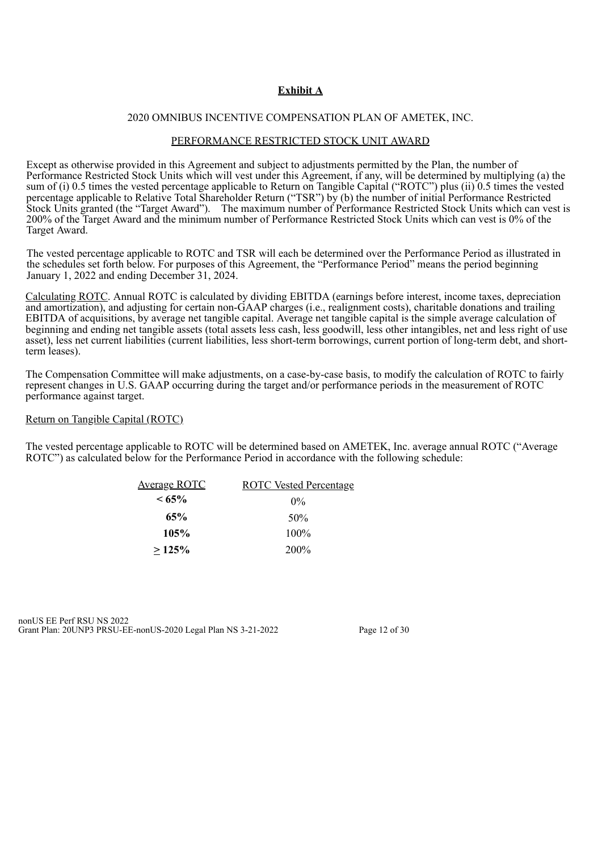# **Exhibit A**

### 2020 OMNIBUS INCENTIVE COMPENSATION PLAN OF AMETEK, INC.

# PERFORMANCE RESTRICTED STOCK UNIT AWARD

Except as otherwise provided in this Agreement and subject to adjustments permitted by the Plan, the number of Performance Restricted Stock Units which will vest under this Agreement, if any, will be determined by multiplying (a) the sum of (i) 0.5 times the vested percentage applicable to Return on Tangible Capital ("ROTC") plus (ii) 0.5 times the vested percentage applicable to Relative Total Shareholder Return ("TSR") by (b) the number of initial Performance Restricted Stock Units granted (the "Target Award"). The maximum number of Performance Restricted Stock Units which can vest is 200% of the Target Award and the minimum number of Performance Restricted Stock Units which can vest is 0% of the Target Award.

The vested percentage applicable to ROTC and TSR will each be determined over the Performance Period as illustrated in the schedules set forth below. For purposes of this Agreement, the "Performance Period" means the period beginning January 1, 2022 and ending December 31, 2024.

Calculating ROTC. Annual ROTC is calculated by dividing EBITDA (earnings before interest, income taxes, depreciation and amortization), and adjusting for certain non-GAAP charges (i.e., realignment costs), charitable donations and trailing EBITDA of acquisitions, by average net tangible capital. Average net tangible capital is the simple average calculation of beginning and ending net tangible assets (total assets less cash, less goodwill, less other intangibles, net and less right of use asset), less net current liabilities (current liabilities, less short-term borrowings, current portion of long-term debt, and shortterm leases).

The Compensation Committee will make adjustments, on a case-by-case basis, to modify the calculation of ROTC to fairly represent changes in U.S. GAAP occurring during the target and/or performance periods in the measurement of ROTC performance against target.

#### Return on Tangible Capital (ROTC)

The vested percentage applicable to ROTC will be determined based on AMETEK, Inc. average annual ROTC ("Average ROTC") as calculated below for the Performance Period in accordance with the following schedule:

| <u>Average ROTC</u> | <b>ROTC Vested Percentage</b> |
|---------------------|-------------------------------|
| $< 65\%$            | $0\%$                         |
| 65%                 | 50%                           |
| 105%                | $100\%$                       |
| >125%               | $200\%$                       |

nonUS EE Perf RSU NS 2022 Grant Plan: 20UNP3 PRSU-EE-nonUS-2020 Legal Plan NS 3-21-2022 Page 12 of 30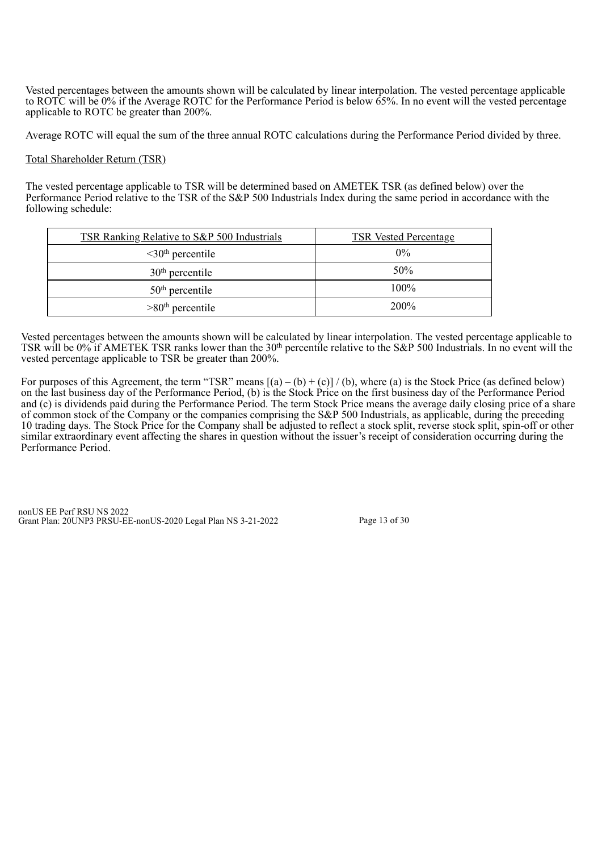Vested percentages between the amounts shown will be calculated by linear interpolation. The vested percentage applicable to ROTC will be 0% if the Average ROTC for the Performance Period is below 65%. In no event will the vested percentage applicable to ROTC be greater than 200%.

Average ROTC will equal the sum of the three annual ROTC calculations during the Performance Period divided by three.

# Total Shareholder Return (TSR)

The vested percentage applicable to TSR will be determined based on AMETEK TSR (as defined below) over the Performance Period relative to the TSR of the S&P 500 Industrials Index during the same period in accordance with the following schedule:

| <b>TSR Ranking Relative to S&amp;P 500 Industrials</b> | <b>TSR Vested Percentage</b> |
|--------------------------------------------------------|------------------------------|
| $\leq 30$ <sup>th</sup> percentile                     | $0\%$                        |
| $30th$ percentile                                      | 50%                          |
| $50th$ percentile                                      | $100\%$                      |
| $>80th$ percentile                                     | 200\%                        |

Vested percentages between the amounts shown will be calculated by linear interpolation. The vested percentage applicable to TSR will be 0% if AMETEK TSR ranks lower than the  $30<sup>th</sup>$  percentile relative to the S&P 500 Industrials. In no event will the vested percentage applicable to TSR be greater than 200%.

For purposes of this Agreement, the term "TSR" means  $[(a) - (b) + (c)] / (b)$ , where (a) is the Stock Price (as defined below) on the last business day of the Performance Period, (b) is the Stock Price on the first business day of the Performance Period and (c) is dividends paid during the Performance Period. The term Stock Price means the average daily closing price of a share of common stock of the Company or the companies comprising the S&P 500 Industrials, as applicable, during the preceding 10 trading days. The Stock Price for the Company shall be adjusted to reflect a stock split, reverse stock split, spin-off or other similar extraordinary event affecting the shares in question without the issuer's receipt of consideration occurring during the Performance Period.

nonUS EE Perf RSU NS 2022 Grant Plan: 20UNP3 PRSU-EE-nonUS-2020 Legal Plan NS 3-21-2022 Page 13 of 30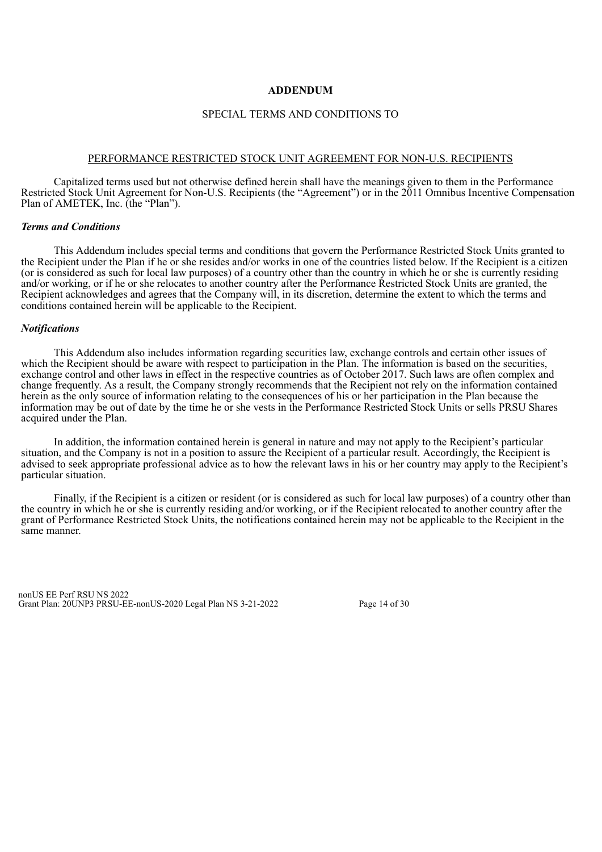### **ADDENDUM**

#### SPECIAL TERMS AND CONDITIONS TO

#### PERFORMANCE RESTRICTED STOCK UNIT AGREEMENT FOR NON-U.S. RECIPIENTS

Capitalized terms used but not otherwise defined herein shall have the meanings given to them in the Performance Restricted Stock Unit Agreement for Non-U.S. Recipients (the "Agreement") or in the 2011 Omnibus Incentive Compensation Plan of AMETEK, Inc. (the "Plan").

#### *Terms and Conditions*

This Addendum includes special terms and conditions that govern the Performance Restricted Stock Units granted to the Recipient under the Plan if he or she resides and/or works in one of the countries listed below. If the Recipient is a citizen (or is considered as such for local law purposes) of a country other than the country in which he or she is currently residing and/or working, or if he or she relocates to another country after the Performance Restricted Stock Units are granted, the Recipient acknowledges and agrees that the Company will, in its discretion, determine the extent to which the terms and conditions contained herein will be applicable to the Recipient.

#### *Notifications*

This Addendum also includes information regarding securities law, exchange controls and certain other issues of which the Recipient should be aware with respect to participation in the Plan. The information is based on the securities, exchange control and other laws in effect in the respective countries as of October 2017. Such laws are often complex and change frequently. As a result, the Company strongly recommends that the Recipient not rely on the information contained herein as the only source of information relating to the consequences of his or her participation in the Plan because the information may be out of date by the time he or she vests in the Performance Restricted Stock Units or sells PRSU Shares acquired under the Plan.

In addition, the information contained herein is general in nature and may not apply to the Recipient's particular situation, and the Company is not in a position to assure the Recipient of a particular result. Accordingly, the Recipient is advised to seek appropriate professional advice as to how the relevant laws in his or her country may apply to the Recipient's particular situation.

Finally, if the Recipient is a citizen or resident (or is considered as such for local law purposes) of a country other than the country in which he or she is currently residing and/or working, or if the Recipient relocated to another country after the grant of Performance Restricted Stock Units, the notifications contained herein may not be applicable to the Recipient in the same manner.

nonUS EE Perf RSU NS 2022 Grant Plan: 20UNP3 PRSU-EE-nonUS-2020 Legal Plan NS 3-21-2022 Page 14 of 30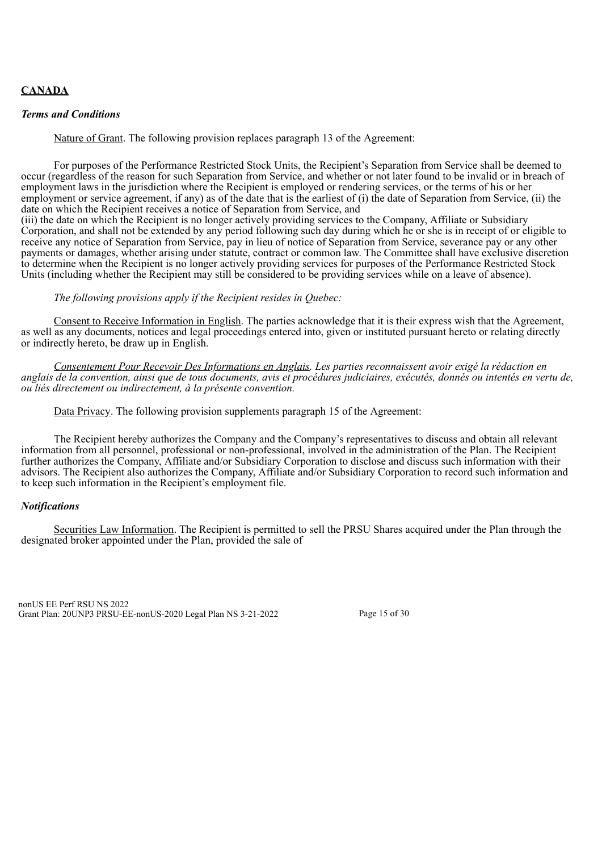# **CANADA**

### *Terms and Conditions*

Nature of Grant. The following provision replaces paragraph 13 of the Agreement:

For purposes of the Performance Restricted Stock Units, the Recipient's Separation from Service shall be deemed to occur (regardless of the reason for such Separation from Service, and whether or not later found to be invalid or in breach of employment laws in the jurisdiction where the Recipient is employed or rendering services, or the terms of his or her employment or service agreement, if any) as of the date that is the earliest of (i) the date of Separation from Service, (ii) the date on which the Recipient receives a notice of Separation from Service, and

(iii) the date on which the Recipient is no longer actively providing services to the Company, Affiliate or Subsidiary Corporation, and shall not be extended by any period following such day during which he or she is in receipt of or eligible to receive any notice of Separation from Service, pay in lieu of notice of Separation from Service, severance pay or any other payments or damages, whether arising under statute, contract or common law. The Committee shall have exclusive discretion to determine when the Recipient is no longer actively providing services for purposes of the Performance Restricted Stock Units (including whether the Recipient may still be considered to be providing services while on a leave of absence).

*The following provisions apply if the Recipient resides in Quebec:*

Consent to Receive Information in English. The parties acknowledge that it is their express wish that the Agreement, as well as any documents, notices and legal proceedings entered into, given or instituted pursuant hereto or relating directly or indirectly hereto, be draw up in English.

*Consentement Pour Recevoir Des Informations en Anglais. Les parties reconnaissent avoir exigé la rédaction en anglais de la convention, ainsi que de tous documents, avis et procédures judiciaires, exécutés, donnés ou intentés en vertu de, ou liés directement ou indirectement, à la présente convention.*

Data Privacy. The following provision supplements paragraph 15 of the Agreement:

The Recipient hereby authorizes the Company and the Company's representatives to discuss and obtain all relevant information from all personnel, professional or non-professional, involved in the administration of the Plan. The Recipient further authorizes the Company, Affiliate and/or Subsidiary Corporation to disclose and discuss such information with their advisors. The Recipient also authorizes the Company, Affiliate and/or Subsidiary Corporation to record such information and to keep such information in the Recipient's employment file.

### *Notifications*

Securities Law Information. The Recipient is permitted to sell the PRSU Shares acquired under the Plan through the designated broker appointed under the Plan, provided the sale of

nonUS EE Perf RSU NS 2022 Grant Plan: 20UNP3 PRSU-EE-nonUS-2020 Legal Plan NS 3-21-2022 Page 15 of 30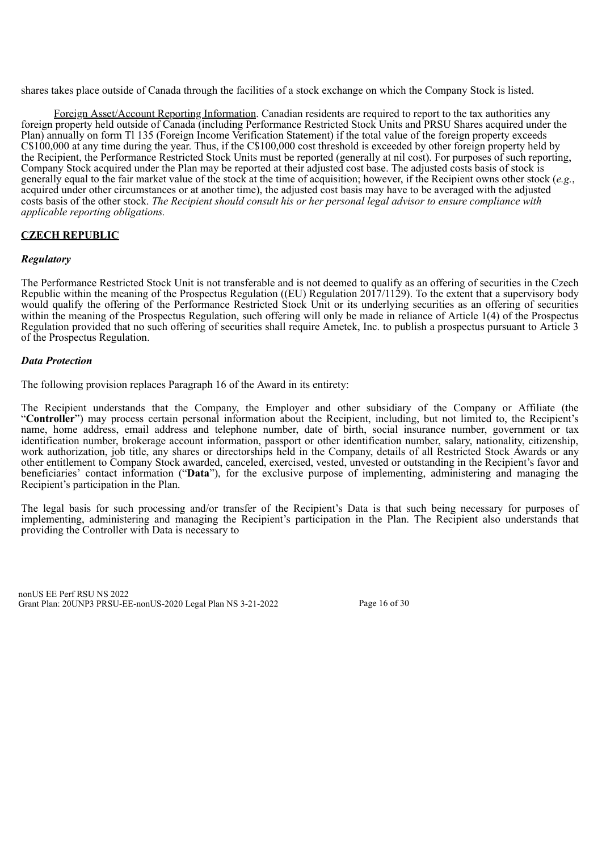shares takes place outside of Canada through the facilities of a stock exchange on which the Company Stock is listed.

Foreign Asset/Account Reporting Information. Canadian residents are required to report to the tax authorities any foreign property held outside of Canada (including Performance Restricted Stock Units and PRSU Shares acquired under the Plan) annually on form Tl 135 (Foreign Income Verification Statement) if the total value of the foreign property exceeds C\$100,000 at any time during the year. Thus, if the C\$100,000 cost threshold is exceeded by other foreign property held by the Recipient, the Performance Restricted Stock Units must be reported (generally at nil cost). For purposes of such reporting, Company Stock acquired under the Plan may be reported at their adjusted cost base. The adjusted costs basis of stock is generally equal to the fair market value of the stock at the time of acquisition; however, if the Recipient owns other stock (*e.g.*, acquired under other circumstances or at another time), the adjusted cost basis may have to be averaged with the adjusted costs basis of the other stock. *The Recipient should consult his or her personal legal advisor to ensure compliance with applicable reporting obligations.*

# **CZECH REPUBLIC**

### *Regulatory*

The Performance Restricted Stock Unit is not transferable and is not deemed to qualify as an offering of securities in the Czech Republic within the meaning of the Prospectus Regulation ((EU) Regulation 2017/1129). To the extent that a supervisory body would qualify the offering of the Performance Restricted Stock Unit or its underlying securities as an offering of securities within the meaning of the Prospectus Regulation, such offering will only be made in reliance of Article 1(4) of the Prospectus Regulation provided that no such offering of securities shall require Ametek, Inc. to publish a prospectus pursuant to Article 3 of the Prospectus Regulation.

### *Data Protection*

The following provision replaces Paragraph 16 of the Award in its entirety:

The Recipient understands that the Company, the Employer and other subsidiary of the Company or Affiliate (the "**Controller**") may process certain personal information about the Recipient, including, but not limited to, the Recipient's name, home address, email address and telephone number, date of birth, social insurance number, government or tax identification number, brokerage account information, passport or other identification number, salary, nationality, citizenship, work authorization, job title, any shares or directorships held in the Company, details of all Restricted Stock Awards or any other entitlement to Company Stock awarded, canceled, exercised, vested, unvested or outstanding in the Recipient's favor and beneficiaries' contact information ("**Data**"), for the exclusive purpose of implementing, administering and managing the Recipient's participation in the Plan.

The legal basis for such processing and/or transfer of the Recipient's Data is that such being necessary for purposes of implementing, administering and managing the Recipient's participation in the Plan. The Recipient also understands that providing the Controller with Data is necessary to

nonUS EE Perf RSU NS 2022 Grant Plan: 20UNP3 PRSU-EE-nonUS-2020 Legal Plan NS 3-21-2022 Page 16 of 30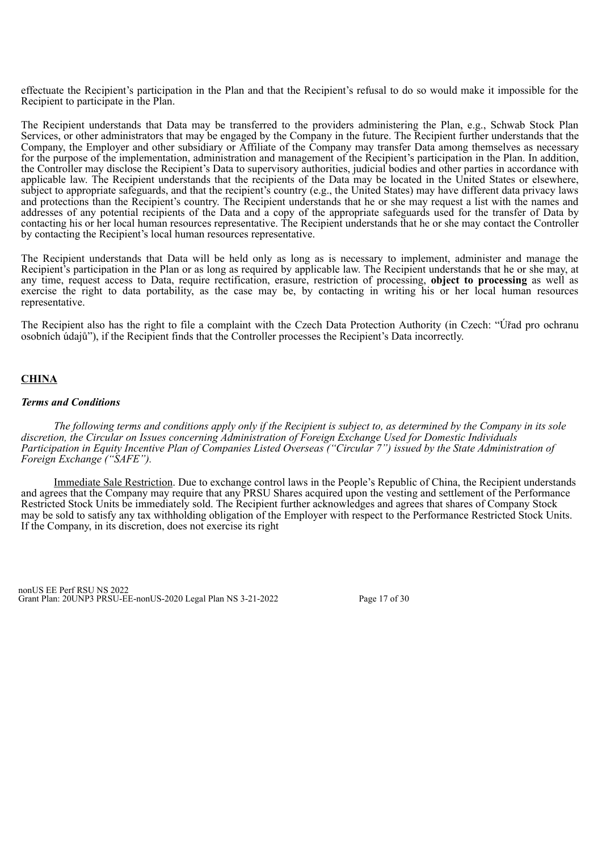effectuate the Recipient's participation in the Plan and that the Recipient's refusal to do so would make it impossible for the Recipient to participate in the Plan.

The Recipient understands that Data may be transferred to the providers administering the Plan, e.g., Schwab Stock Plan Services, or other administrators that may be engaged by the Company in the future. The Recipient further understands that the Company, the Employer and other subsidiary or Affiliate of the Company may transfer Data among themselves as necessary for the purpose of the implementation, administration and management of the Recipient's participation in the Plan. In addition, the Controller may disclose the Recipient's Data to supervisory authorities, judicial bodies and other parties in accordance with applicable law. The Recipient understands that the recipients of the Data may be located in the United States or elsewhere, subject to appropriate safeguards, and that the recipient's country (e.g., the United States) may have different data privacy laws and protections than the Recipient's country. The Recipient understands that he or she may request a list with the names and addresses of any potential recipients of the Data and a copy of the appropriate safeguards used for the transfer of Data by contacting his or her local human resources representative. The Recipient understands that he or she may contact the Controller by contacting the Recipient's local human resources representative.

The Recipient understands that Data will be held only as long as is necessary to implement, administer and manage the Recipient's participation in the Plan or as long as required by applicable law. The Recipient understands that he or she may, at any time, request access to Data, require rectification, erasure, restriction of processing, **object to processing** as well as exercise the right to data portability, as the case may be, by contacting in writing his or her local human resources representative.

The Recipient also has the right to file a complaint with the Czech Data Protection Authority (in Czech: "Úřad pro ochranu osobních údajů"), if the Recipient finds that the Controller processes the Recipient's Data incorrectly.

### **CHINA**

#### *Terms and Conditions*

*The following terms and conditions apply only if the Recipient is subject to, as determined by the Company in its sole discretion, the Circular on Issues concerning Administration of Foreign Exchange Used for Domestic Individuals Participation in Equity Incentive Plan of Companies Listed Overseas ("Circular 7") issued by the State Administration of Foreign Exchange ("SAFE").*

Immediate Sale Restriction. Due to exchange control laws in the People's Republic of China, the Recipient understands and agrees that the Company may require that any PRSU Shares acquired upon the vesting and settlement of the Performance Restricted Stock Units be immediately sold. The Recipient further acknowledges and agrees that shares of Company Stock may be sold to satisfy any tax withholding obligation of the Employer with respect to the Performance Restricted Stock Units. If the Company, in its discretion, does not exercise its right

nonUS EE Perf RSU NS 2022 Grant Plan: 20UNP3 PRSU-EE-nonUS-2020 Legal Plan NS 3-21-2022 Page 17 of 30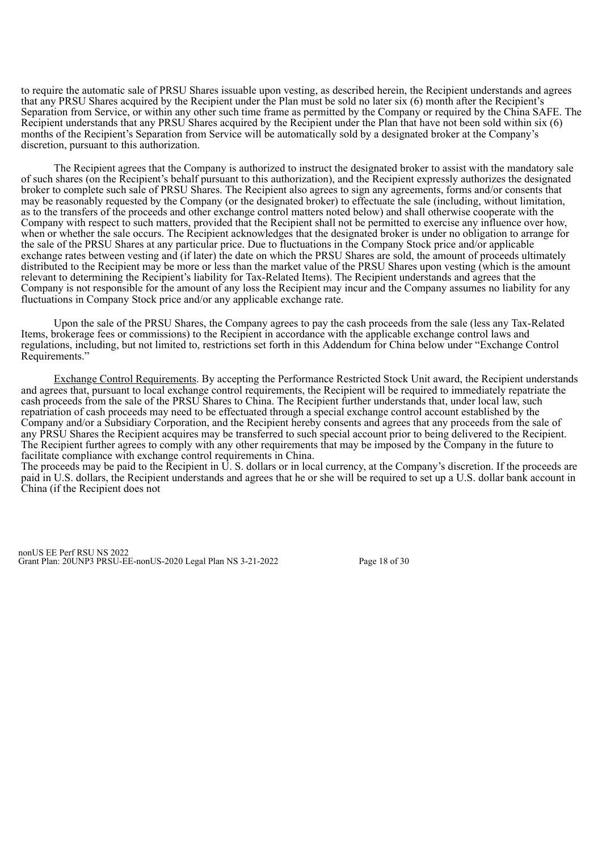to require the automatic sale of PRSU Shares issuable upon vesting, as described herein, the Recipient understands and agrees that any PRSU Shares acquired by the Recipient under the Plan must be sold no later six (6) month after the Recipient's Separation from Service, or within any other such time frame as permitted by the Company or required by the China SAFE. The Recipient understands that any PRSU Shares acquired by the Recipient under the Plan that have not been sold within six (6) months of the Recipient's Separation from Service will be automatically sold by a designated broker at the Company's discretion, pursuant to this authorization.

The Recipient agrees that the Company is authorized to instruct the designated broker to assist with the mandatory sale of such shares (on the Recipient's behalf pursuant to this authorization), and the Recipient expressly authorizes the designated broker to complete such sale of PRSU Shares. The Recipient also agrees to sign any agreements, forms and/or consents that may be reasonably requested by the Company (or the designated broker) to effectuate the sale (including, without limitation, as to the transfers of the proceeds and other exchange control matters noted below) and shall otherwise cooperate with the Company with respect to such matters, provided that the Recipient shall not be permitted to exercise any influence over how, when or whether the sale occurs. The Recipient acknowledges that the designated broker is under no obligation to arrange for the sale of the PRSU Shares at any particular price. Due to fluctuations in the Company Stock price and/or applicable exchange rates between vesting and (if later) the date on which the PRSU Shares are sold, the amount of proceeds ultimately distributed to the Recipient may be more or less than the market value of the PRSU Shares upon vesting (which is the amount relevant to determining the Recipient's liability for Tax-Related Items). The Recipient understands and agrees that the Company is not responsible for the amount of any loss the Recipient may incur and the Company assumes no liability for any fluctuations in Company Stock price and/or any applicable exchange rate.

Upon the sale of the PRSU Shares, the Company agrees to pay the cash proceeds from the sale (less any Tax-Related Items, brokerage fees or commissions) to the Recipient in accordance with the applicable exchange control laws and regulations, including, but not limited to, restrictions set forth in this Addendum for China below under "Exchange Control Requirements."

Exchange Control Requirements. By accepting the Performance Restricted Stock Unit award, the Recipient understands and agrees that, pursuant to local exchange control requirements, the Recipient will be required to immediately repatriate the cash proceeds from the sale of the PRSU Shares to China. The Recipient further understands that, under local law, such repatriation of cash proceeds may need to be effectuated through a special exchange control account established by the Company and/or a Subsidiary Corporation, and the Recipient hereby consents and agrees that any proceeds from the sale of any PRSU Shares the Recipient acquires may be transferred to such special account prior to being delivered to the Recipient. The Recipient further agrees to comply with any other requirements that may be imposed by the Company in the future to facilitate compliance with exchange control requirements in China.

The proceeds may be paid to the Recipient in U.S. dollars or in local currency, at the Company's discretion. If the proceeds are paid in U.S. dollars, the Recipient understands and agrees that he or she will be required to set up a U.S. dollar bank account in China (if the Recipient does not

nonUS EE Perf RSU NS 2022 Grant Plan: 20UNP3 PRSU-EE-nonUS-2020 Legal Plan NS 3-21-2022 Page 18 of 30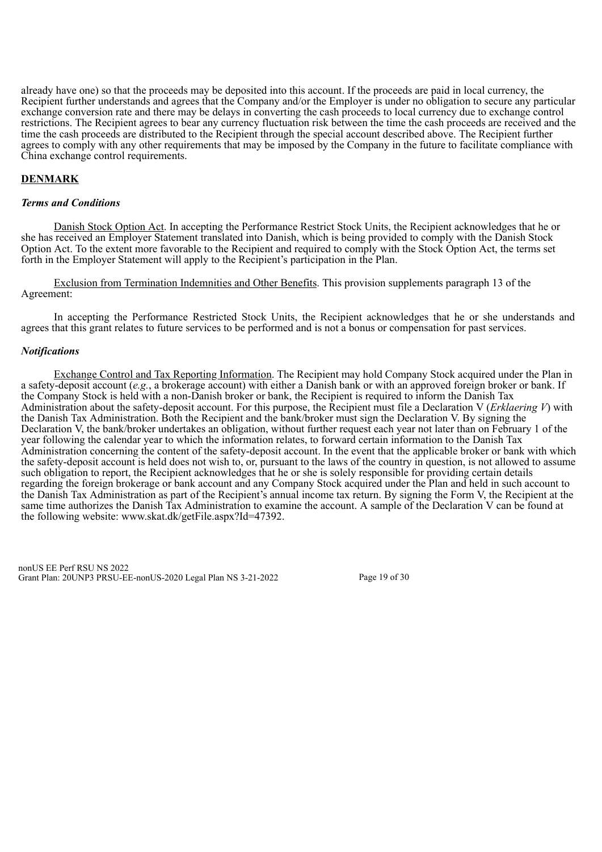already have one) so that the proceeds may be deposited into this account. If the proceeds are paid in local currency, the Recipient further understands and agrees that the Company and/or the Employer is under no obligation to secure any particular exchange conversion rate and there may be delays in converting the cash proceeds to local currency due to exchange control restrictions. The Recipient agrees to bear any currency fluctuation risk between the time the cash proceeds are received and the time the cash proceeds are distributed to the Recipient through the special account described above. The Recipient further agrees to comply with any other requirements that may be imposed by the Company in the future to facilitate compliance with China exchange control requirements.

### **DENMARK**

#### *Terms and Conditions*

Danish Stock Option Act. In accepting the Performance Restrict Stock Units, the Recipient acknowledges that he or she has received an Employer Statement translated into Danish, which is being provided to comply with the Danish Stock Option Act. To the extent more favorable to the Recipient and required to comply with the Stock Option Act, the terms set forth in the Employer Statement will apply to the Recipient's participation in the Plan.

Exclusion from Termination Indemnities and Other Benefits. This provision supplements paragraph 13 of the Agreement:

In accepting the Performance Restricted Stock Units, the Recipient acknowledges that he or she understands and agrees that this grant relates to future services to be performed and is not a bonus or compensation for past services.

#### *Notifications*

Exchange Control and Tax Reporting Information. The Recipient may hold Company Stock acquired under the Plan in a safety-deposit account (*e.g.*, a brokerage account) with either a Danish bank or with an approved foreign broker or bank. If the Company Stock is held with a non-Danish broker or bank, the Recipient is required to inform the Danish Tax Administration about the safety-deposit account. For this purpose, the Recipient must file a Declaration V (*Erklaering V*) with the Danish Tax Administration. Both the Recipient and the bank/broker must sign the Declaration V. By signing the Declaration V, the bank/broker undertakes an obligation, without further request each year not later than on February 1 of the year following the calendar year to which the information relates, to forward certain information to the Danish Tax Administration concerning the content of the safety-deposit account. In the event that the applicable broker or bank with which the safety-deposit account is held does not wish to, or, pursuant to the laws of the country in question, is not allowed to assume such obligation to report, the Recipient acknowledges that he or she is solely responsible for providing certain details regarding the foreign brokerage or bank account and any Company Stock acquired under the Plan and held in such account to the Danish Tax Administration as part of the Recipient's annual income tax return. By signing the Form V, the Recipient at the same time authorizes the Danish Tax Administration to examine the account. A sample of the Declaration V can be found at the following website: www.skat.dk/getFile.aspx?Id=47392.

nonUS EE Perf RSU NS 2022 Grant Plan: 20UNP3 PRSU-EE-nonUS-2020 Legal Plan NS 3-21-2022 Page 19 of 30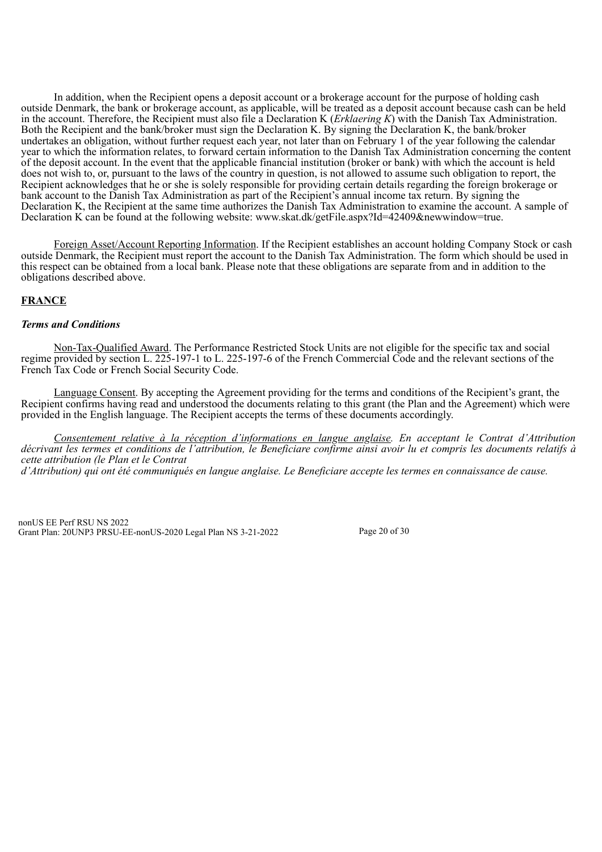In addition, when the Recipient opens a deposit account or a brokerage account for the purpose of holding cash outside Denmark, the bank or brokerage account, as applicable, will be treated as a deposit account because cash can be held in the account. Therefore, the Recipient must also file a Declaration K (*Erklaering K*) with the Danish Tax Administration. Both the Recipient and the bank/broker must sign the Declaration K. By signing the Declaration K, the bank/broker undertakes an obligation, without further request each year, not later than on February 1 of the year following the calendar year to which the information relates, to forward certain information to the Danish Tax Administration concerning the content of the deposit account. In the event that the applicable financial institution (broker or bank) with which the account is held does not wish to, or, pursuant to the laws of the country in question, is not allowed to assume such obligation to report, the Recipient acknowledges that he or she is solely responsible for providing certain details regarding the foreign brokerage or bank account to the Danish Tax Administration as part of the Recipient's annual income tax return. By signing the Declaration K, the Recipient at the same time authorizes the Danish Tax Administration to examine the account. A sample of Declaration K can be found at the following website: www.skat.dk/getFile.aspx?Id=42409&newwindow=true.

Foreign Asset/Account Reporting Information. If the Recipient establishes an account holding Company Stock or cash outside Denmark, the Recipient must report the account to the Danish Tax Administration. The form which should be used in this respect can be obtained from a local bank. Please note that these obligations are separate from and in addition to the obligations described above.

### **FRANCE**

#### *Terms and Conditions*

Non-Tax-Qualified Award. The Performance Restricted Stock Units are not eligible for the specific tax and social regime provided by section L. 225-197-1 to L. 225-197-6 of the French Commercial Code and the relevant sections of the French Tax Code or French Social Security Code.

Language Consent. By accepting the Agreement providing for the terms and conditions of the Recipient's grant, the Recipient confirms having read and understood the documents relating to this grant (the Plan and the Agreement) which were provided in the English language. The Recipient accepts the terms of these documents accordingly.

*Consentement relative à la réception d'informations en langue anglaise. En acceptant le Contrat d'Attribution décrivant les termes et conditions de l'attribution, le Beneficiare confirme ainsi avoir lu et compris les documents relatifs à cette attribution (le Plan et le Contrat*

*d'Attribution) qui ont été communiqués en langue anglaise. Le Beneficiare accepte les termes en connaissance de cause.*

nonUS EE Perf RSU NS 2022 Grant Plan: 20UNP3 PRSU-EE-nonUS-2020 Legal Plan NS 3-21-2022 Page 20 of 30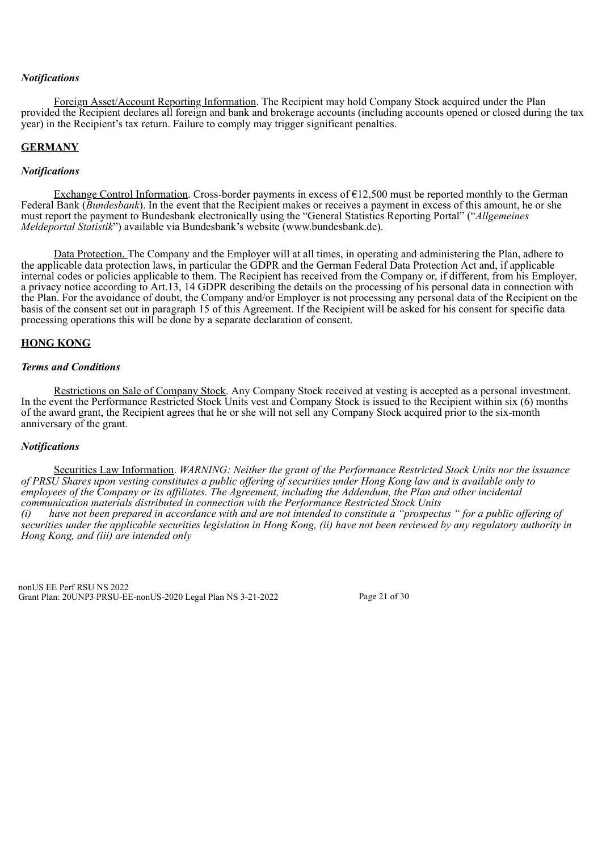### *Notifications*

Foreign Asset/Account Reporting Information. The Recipient may hold Company Stock acquired under the Plan provided the Recipient declares all foreign and bank and brokerage accounts (including accounts opened or closed during the tax year) in the Recipient's tax return. Failure to comply may trigger significant penalties.

### **GERMANY**

#### *Notifications*

Exchange Control Information. Cross-border payments in excess of €12,500 must be reported monthly to the German Federal Bank (*Bundesbank*). In the event that the Recipient makes or receives a payment in excess of this amount, he or she must report the payment to Bundesbank electronically using the "General Statistics Reporting Portal" ("*Allgemeines Meldeportal Statistik*") available via Bundesbank's website (www.bundesbank.de).

Data Protection. The Company and the Employer will at all times, in operating and administering the Plan, adhere to the applicable data protection laws, in particular the GDPR and the German Federal Data Protection Act and, if applicable internal codes or policies applicable to them. The Recipient has received from the Company or, if different, from his Employer, a privacy notice according to Art.13, 14 GDPR describing the details on the processing of his personal data in connection with the Plan. For the avoidance of doubt, the Company and/or Employer is not processing any personal data of the Recipient on the basis of the consent set out in paragraph 15 of this Agreement. If the Recipient will be asked for his consent for specific data processing operations this will be done by a separate declaration of consent.

### **HONG KONG**

#### *Terms and Conditions*

Restrictions on Sale of Company Stock. Any Company Stock received at vesting is accepted as a personal investment. In the event the Performance Restricted Stock Units vest and Company Stock is issued to the Recipient within six (6) months of the award grant, the Recipient agrees that he or she will not sell any Company Stock acquired prior to the six-month anniversary of the grant.

#### *Notifications*

Securities Law Information. *WARNING: Neither the grant of the Performance Restricted Stock Units nor the issuance of PRSU Shares upon vesting constitutes a public offering of securities under Hong Kong law and is available only to employees of the Company or its affiliates. The Agreement, including the Addendum, the Plan and other incidental communication materials distributed in connection with the Performance Restricted Stock Units (i) have not been prepared in accordance with and are not intended to constitute a "prospectus " for a public offering of securities under the applicable securities legislation in Hong Kong, (ii) have not been reviewed by any regulatory authority in Hong Kong, and (iii) are intended only*

nonUS EE Perf RSU NS 2022 Grant Plan: 20UNP3 PRSU-EE-nonUS-2020 Legal Plan NS 3-21-2022 Page 21 of 30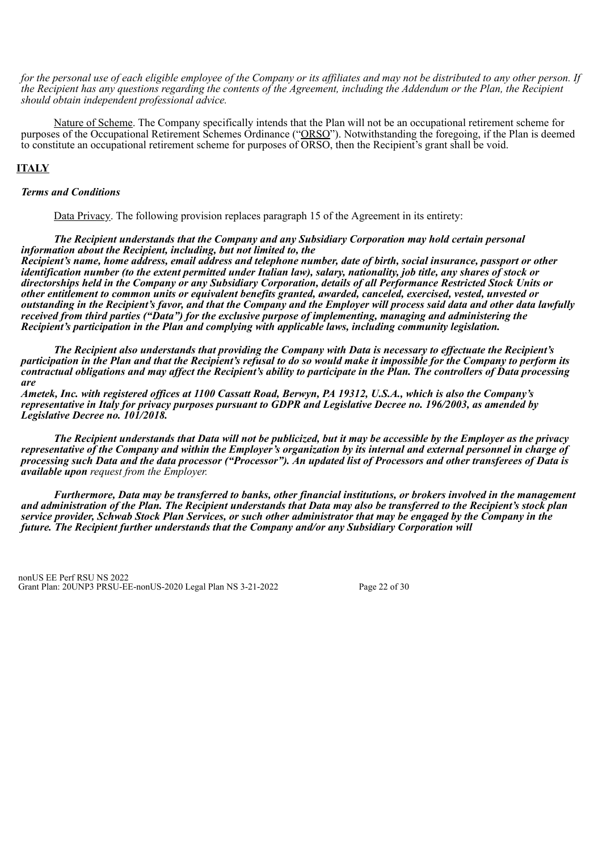*for the personal use of each eligible employee of the Company or its affiliates and may not be distributed to any other person. If the Recipient has any questions regarding the contents of the Agreement, including the Addendum or the Plan, the Recipient should obtain independent professional advice.*

Nature of Scheme. The Company specifically intends that the Plan will not be an occupational retirement scheme for purposes of the Occupational Retirement Schemes Ordinance ("ORSO"). Notwithstanding the foregoing, if the Plan is deemed to constitute an occupational retirement scheme for purposes of ORSO, then the Recipient's grant shall be void.

# **ITALY**

#### *Terms and Conditions*

Data Privacy. The following provision replaces paragraph 15 of the Agreement in its entirety:

*The Recipient understands that the Company and any Subsidiary Corporation may hold certain personal information about the Recipient, including, but not limited to, the*

*Recipient's name, home address, email address and telephone number, date of birth, social insurance, passport or other identification number (to the extent permitted under Italian law), salary, nationality, job title, any shares of stock or directorships held in the Company or any Subsidiary Corporation, details of all Performance Restricted Stock Units or other entitlement to common units or equivalent benefits granted, awarded, canceled, exercised, vested, unvested or outstanding in the Recipient's favor, and that the Company and the Employer will process said data and other data lawfully received from third parties ("Data") for the exclusive purpose of implementing, managing and administering the Recipient's participation in the Plan and complying with applicable laws, including community legislation.*

*The Recipient also understands that providing the Company with Data is necessary to effectuate the Recipient's participation in the Plan and that the Recipient's refusal to do so would make it impossible for the Company to perform its contractual obligations and may affect the Recipient's ability to participate in the Plan. The controllers of Data processing are*

*Ametek, Inc. with registered offices at 1100 Cassatt Road, Berwyn, PA 19312, U.S.A., which is also the Company's representative in Italy for privacy purposes pursuant to GDPR and Legislative Decree no. 196/2003, as amended by Legislative Decree no. 101/2018.*

*The Recipient understands that Data will not be publicized, but it may be accessible by the Employer as the privacy representative of the Company and within the Employer's organization by its internal and external personnel in charge of processing such Data and the data processor ("Processor"). An updated list of Processors and other transferees of Data is available upon request from the Employer.*

*Furthermore, Data may be transferred to banks, other financial institutions, or brokers involved in the management and administration of the Plan. The Recipient understands that Data may also be transferred to the Recipient's stock plan service provider, Schwab Stock Plan Services, or such other administrator that may be engaged by the Company in the future. The Recipient further understands that the Company and/or any Subsidiary Corporation will*

nonUS EE Perf RSU NS 2022 Grant Plan: 20UNP3 PRSU-EE-nonUS-2020 Legal Plan NS 3-21-2022 Page 22 of 30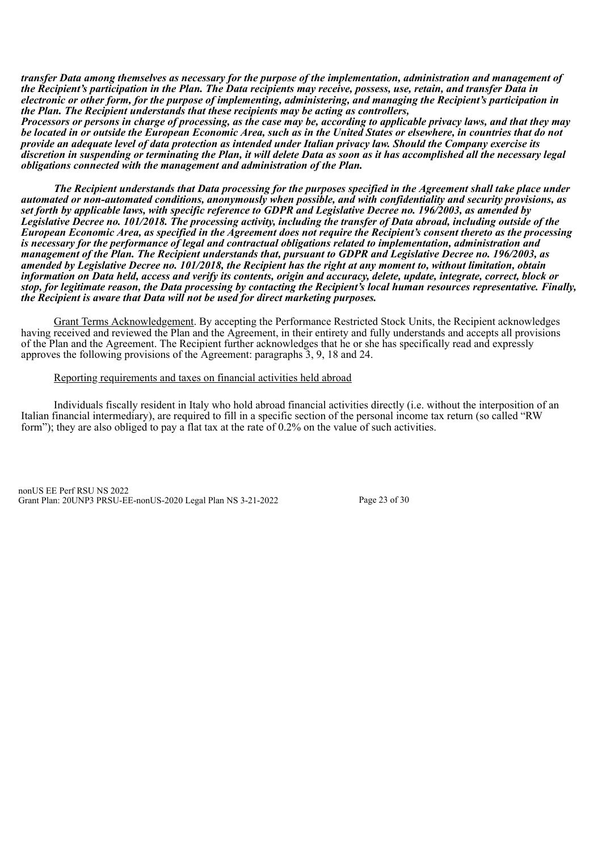*transfer Data among themselves as necessary for the purpose of the implementation, administration and management of the Recipient's participation in the Plan. The Data recipients may receive, possess, use, retain, and transfer Data in electronic or other form, for the purpose of implementing, administering, and managing the Recipient's participation in the Plan. The Recipient understands that these recipients may be acting as controllers,*

*Processors or persons in charge of processing, as the case may be, according to applicable privacy laws, and that they may be located in or outside the European Economic Area, such as in the United States or elsewhere, in countries that do not provide an adequate level of data protection as intended under Italian privacy law. Should the Company exercise its discretion in suspending or terminating the Plan, it will delete Data as soon as it has accomplished all the necessary legal obligations connected with the management and administration of the Plan.*

*The Recipient understands that Data processing for the purposes specified in the Agreement shall take place under automated or non-automated conditions, anonymously when possible, and with confidentiality and security provisions, as set forth by applicable laws, with specific reference to GDPR and Legislative Decree no. 196/2003, as amended by Legislative Decree no. 101/2018. The processing activity, including the transfer of Data abroad, including outside of the European Economic Area, as specified in the Agreement does not require the Recipient's consent thereto as the processing is necessary for the performance of legal and contractual obligations related to implementation, administration and management of the Plan. The Recipient understands that, pursuant to GDPR and Legislative Decree no. 196/2003, as amended by Legislative Decree no. 101/2018, the Recipient has the right at any moment to, without limitation, obtain information on Data held, access and verify its contents, origin and accuracy, delete, update, integrate, correct, block or stop, for legitimate reason, the Data processing by contacting the Recipient's local human resources representative. Finally, the Recipient is aware that Data will not be used for direct marketing purposes.*

Grant Terms Acknowledgement. By accepting the Performance Restricted Stock Units, the Recipient acknowledges having received and reviewed the Plan and the Agreement, in their entirety and fully understands and accepts all provisions of the Plan and the Agreement. The Recipient further acknowledges that he or she has specifically read and expressly approves the following provisions of the Agreement: paragraphs 3, 9, 18 and 24.

#### Reporting requirements and taxes on financial activities held abroad

Individuals fiscally resident in Italy who hold abroad financial activities directly (i.e. without the interposition of an Italian financial intermediary), are required to fill in a specific section of the personal income tax return (so called "RW form"); they are also obliged to pay a flat tax at the rate of 0.2% on the value of such activities.

nonUS EE Perf RSU NS 2022 Grant Plan: 20UNP3 PRSU-EE-nonUS-2020 Legal Plan NS 3-21-2022 Page 23 of 30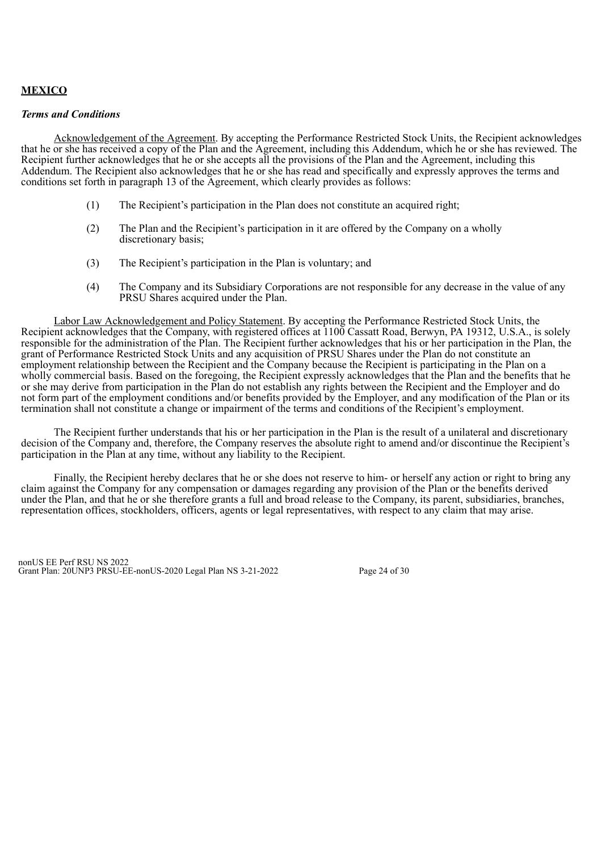# **MEXICO**

### *Terms and Conditions*

Acknowledgement of the Agreement. By accepting the Performance Restricted Stock Units, the Recipient acknowledges that he or she has received a copy of the Plan and the Agreement, including this Addendum, which he or she has reviewed. The Recipient further acknowledges that he or she accepts all the provisions of the Plan and the Agreement, including this Addendum. The Recipient also acknowledges that he or she has read and specifically and expressly approves the terms and conditions set forth in paragraph 13 of the Agreement, which clearly provides as follows:

- (1) The Recipient's participation in the Plan does not constitute an acquired right;
- (2) The Plan and the Recipient's participation in it are offered by the Company on a wholly discretionary basis;
- (3) The Recipient's participation in the Plan is voluntary; and
- (4) The Company and its Subsidiary Corporations are not responsible for any decrease in the value of any PRSU Shares acquired under the Plan.

Labor Law Acknowledgement and Policy Statement. By accepting the Performance Restricted Stock Units, the Recipient acknowledges that the Company, with registered offices at 1100 Cassatt Road, Berwyn, PA 19312, U.S.A., is solely responsible for the administration of the Plan. The Recipient further acknowledges that his or her participation in the Plan, the grant of Performance Restricted Stock Units and any acquisition of PRSU Shares under the Plan do not constitute an employment relationship between the Recipient and the Company because the Recipient is participating in the Plan on a wholly commercial basis. Based on the foregoing, the Recipient expressly acknowledges that the Plan and the benefits that he or she may derive from participation in the Plan do not establish any rights between the Recipient and the Employer and do not form part of the employment conditions and/or benefits provided by the Employer, and any modification of the Plan or its termination shall not constitute a change or impairment of the terms and conditions of the Recipient's employment.

The Recipient further understands that his or her participation in the Plan is the result of a unilateral and discretionary decision of the Company and, therefore, the Company reserves the absolute right to amend and/or discontinue the Recipient's participation in the Plan at any time, without any liability to the Recipient.

Finally, the Recipient hereby declares that he or she does not reserve to him- or herself any action or right to bring any claim against the Company for any compensation or damages regarding any provision of the Plan or the benefits derived under the Plan, and that he or she therefore grants a full and broad release to the Company, its parent, subsidiaries, branches, representation offices, stockholders, officers, agents or legal representatives, with respect to any claim that may arise.

nonUS EE Perf RSU NS 2022 Grant Plan: 20UNP3 PRSU-EE-nonUS-2020 Legal Plan NS 3-21-2022 Page 24 of 30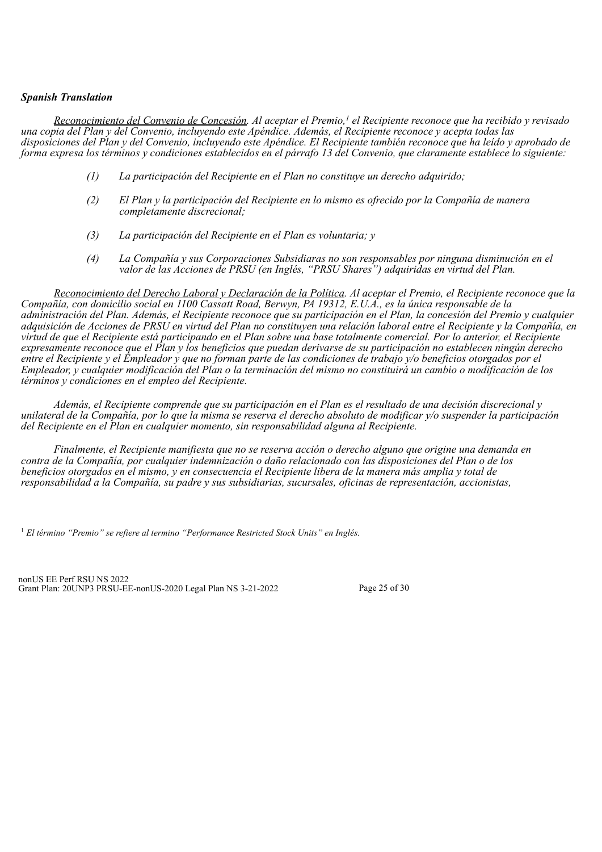### *Spanish Translation*

Reconocimiento del Convenio de Concesión. Al aceptar el Premio,<sup>1</sup> el Recipiente reconoce que ha recibido y revisado *una copia del Plan y del Convenio, incluyendo este Apéndice. Además, el Recipiente reconoce y acepta todas las disposiciones del Plan y del Convenio, incluyendo este Apéndice. El Recipiente también reconoce que ha leído y aprobado de forma expresa los términos y condiciones establecidos en el párrafo 13 del Convenio, que claramente establece lo siguiente:*

- *(1) La participación del Recipiente en el Plan no constituye un derecho adquirido;*
- *(2) El Plan y la participación del Recipiente en lo mismo es ofrecido por la Compañía de manera completamente discrecional;*
- *(3) La participación del Recipiente en el Plan es voluntaria; y*
- *(4) La Compañía y sus Corporaciones Subsidiaras no son responsables por ninguna disminución en el valor de las Acciones de PRSU (en Inglés, "PRSU Shares") adquiridas en virtud del Plan.*

*Reconocimiento del Derecho Laboral y Declaración de la Política. Al aceptar el Premio, el Recipiente reconoce que la Compañía, con domicilio social en 1100 Cassatt Road, Berwyn, PA 19312, E.U.A., es la única responsable de la administración del Plan. Además, el Recipiente reconoce que su participación en el Plan, la concesión del Premio y cualquier adquisición de Acciones de PRSU en virtud del Plan no constituyen una relación laboral entre el Recipiente y la Compañía, en virtud de que el Recipiente está participando en el Plan sobre una base totalmente comercial. Por lo anterior, el Recipiente expresamente reconoce que el Plan y los beneficios que puedan derivarse de su participación no establecen ningún derecho entre el Recipiente y el Empleador y que no forman parte de las condiciones de trabajo y/o beneficios otorgados por el Empleador, y cualquier modificación del Plan o la terminación del mismo no constituirá un cambio o modificación de los términos y condiciones en el empleo del Recipiente.*

*Además, el Recipiente comprende que su participación en el Plan es el resultado de una decisión discrecional y unilateral de la Compañía, por lo que la misma se reserva el derecho absoluto de modificar y/o suspender la participación del Recipiente en el Plan en cualquier momento, sin responsabilidad alguna al Recipiente.*

*Finalmente, el Recipiente manifiesta que no se reserva acción o derecho alguno que origine una demanda en contra de la Compañía, por cualquier indemnización o daño relacionado con las disposiciones del Plan o de los beneficios otorgados en el mismo, y en consecuencia el Recipiente libera de la manera más amplia y total de responsabilidad a la Compañía, su padre y sus subsidiarias, sucursales, oficinas de representación, accionistas,*

*El término "Premio" se refiere al termino "Performance Restricted Stock Units" en Inglés.* 1

nonUS EE Perf RSU NS 2022 Grant Plan: 20UNP3 PRSU-EE-nonUS-2020 Legal Plan NS 3-21-2022 Page 25 of 30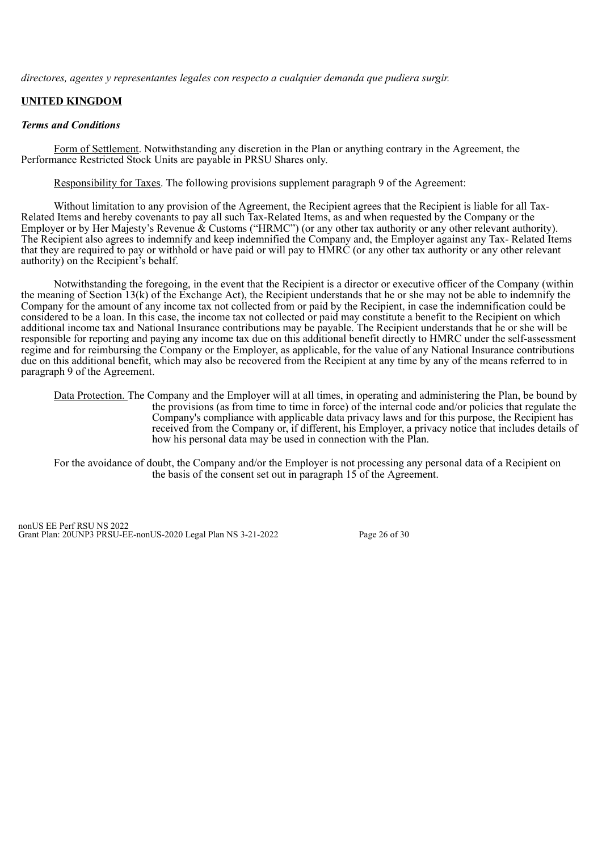*directores, agentes y representantes legales con respecto a cualquier demanda que pudiera surgir.*

# **UNITED KINGDOM**

### *Terms and Conditions*

Form of Settlement. Notwithstanding any discretion in the Plan or anything contrary in the Agreement, the Performance Restricted Stock Units are payable in PRSU Shares only.

Responsibility for Taxes. The following provisions supplement paragraph 9 of the Agreement:

Without limitation to any provision of the Agreement, the Recipient agrees that the Recipient is liable for all Tax-Related Items and hereby covenants to pay all such Tax-Related Items, as and when requested by the Company or the Employer or by Her Majesty's Revenue & Customs ("HRMC") (or any other tax authority or any other relevant authority). The Recipient also agrees to indemnify and keep indemnified the Company and, the Employer against any Tax- Related Items that they are required to pay or withhold or have paid or will pay to HMRC (or any other tax authority or any other relevant authority) on the Recipient's behalf.

Notwithstanding the foregoing, in the event that the Recipient is a director or executive officer of the Company (within the meaning of Section 13(k) of the Exchange Act), the Recipient understands that he or she may not be able to indemnify the Company for the amount of any income tax not collected from or paid by the Recipient, in case the indemnification could be considered to be a loan. In this case, the income tax not collected or paid may constitute a benefit to the Recipient on which additional income tax and National Insurance contributions may be payable. The Recipient understands that he or she will be responsible for reporting and paying any income tax due on this additional benefit directly to HMRC under the self-assessment regime and for reimbursing the Company or the Employer, as applicable, for the value of any National Insurance contributions due on this additional benefit, which may also be recovered from the Recipient at any time by any of the means referred to in paragraph 9 of the Agreement.

Data Protection. The Company and the Employer will at all times, in operating and administering the Plan, be bound by the provisions (as from time to time in force) of the internal code and/or policies that regulate the Company's compliance with applicable data privacy laws and for this purpose, the Recipient has received from the Company or, if different, his Employer, a privacy notice that includes details of how his personal data may be used in connection with the Plan.

For the avoidance of doubt, the Company and/or the Employer is not processing any personal data of a Recipient on the basis of the consent set out in paragraph 15 of the Agreement.

nonUS EE Perf RSU NS 2022 Grant Plan: 20UNP3 PRSU-EE-nonUS-2020 Legal Plan NS 3-21-2022 Page 26 of 30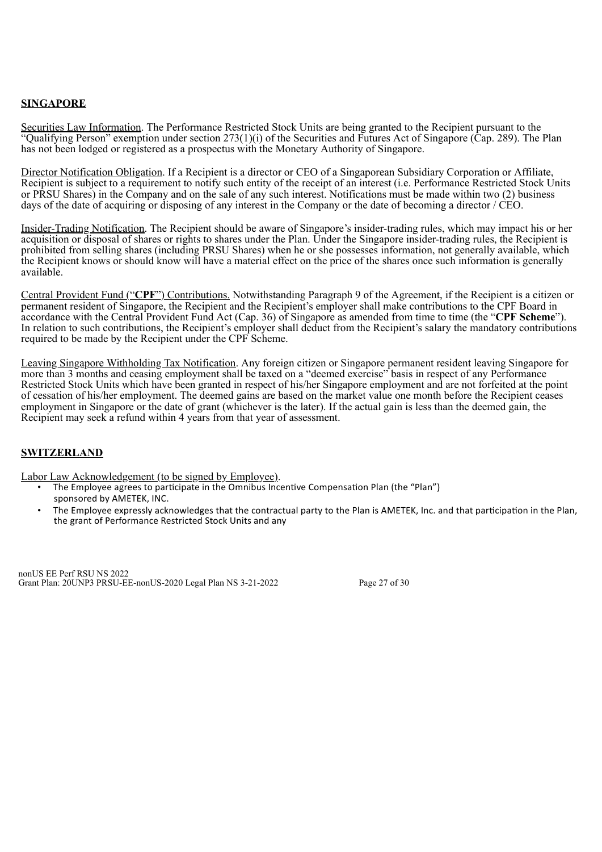# **SINGAPORE**

Securities Law Information. The Performance Restricted Stock Units are being granted to the Recipient pursuant to the "Qualifying Person" exemption under section  $273(1)(i)$  of the Securities and Futures Act of Singapore (Cap. 289). The Plan has not been lodged or registered as a prospectus with the Monetary Authority of Singapore.

Director Notification Obligation. If a Recipient is a director or CEO of a Singaporean Subsidiary Corporation or Affiliate, Recipient is subject to a requirement to notify such entity of the receipt of an interest (i.e. Performance Restricted Stock Units or PRSU Shares) in the Company and on the sale of any such interest. Notifications must be made within two (2) business days of the date of acquiring or disposing of any interest in the Company or the date of becoming a director / CEO.

Insider-Trading Notification. The Recipient should be aware of Singapore's insider-trading rules, which may impact his or her acquisition or disposal of shares or rights to shares under the Plan. Under the Singapore insider-trading rules, the Recipient is prohibited from selling shares (including PRSU Shares) when he or she possesses information, not generally available, which the Recipient knows or should know will have a material effect on the price of the shares once such information is generally available.

Central Provident Fund ("**CPF**") Contributions. Notwithstanding Paragraph 9 of the Agreement, if the Recipient is a citizen or permanent resident of Singapore, the Recipient and the Recipient's employer shall make contributions to the CPF Board in accordance with the Central Provident Fund Act (Cap. 36) of Singapore as amended from time to time (the "**CPF Scheme**"). In relation to such contributions, the Recipient's employer shall deduct from the Recipient's salary the mandatory contributions required to be made by the Recipient under the CPF Scheme.

Leaving Singapore Withholding Tax Notification. Any foreign citizen or Singapore permanent resident leaving Singapore for more than 3 months and ceasing employment shall be taxed on a "deemed exercise" basis in respect of any Performance Restricted Stock Units which have been granted in respect of his/her Singapore employment and are not forfeited at the point of cessation of his/her employment. The deemed gains are based on the market value one month before the Recipient ceases employment in Singapore or the date of grant (whichever is the later). If the actual gain is less than the deemed gain, the Recipient may seek a refund within 4 years from that year of assessment.

# **SWITZERLAND**

Labor Law Acknowledgement (to be signed by Employee).

- The Employee agrees to participate in the Omnibus Incentive Compensation Plan (the "Plan") sponsored by AMETEK, INC.
- The Employee expressly acknowledges that the contractual party to the Plan is AMETEK, Inc. and that participation in the Plan, the grant of Performance Restricted Stock Units and any

nonUS EE Perf RSU NS 2022 Grant Plan: 20UNP3 PRSU-EE-nonUS-2020 Legal Plan NS 3-21-2022 Page 27 of 30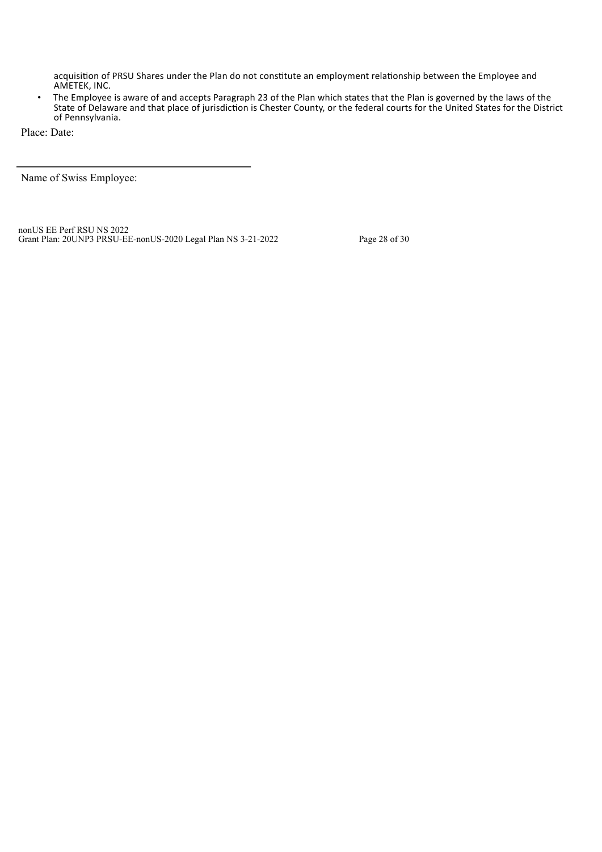acquisition of PRSU Shares under the Plan do not constitute an employment relationship between the Employee and AMETEK, INC.

• The Employee is aware of and accepts Paragraph 23 of the Plan which states that the Plan is governed by the laws of the State of Delaware and that place of jurisdiction is Chester County, or the federal courts for the United States for the District of Pennsylvania.

Place: Date:

Name of Swiss Employee:

nonUS EE Perf RSU NS 2022 Grant Plan: 20UNP3 PRSU-EE-nonUS-2020 Legal Plan NS 3-21-2022 Page 28 of 30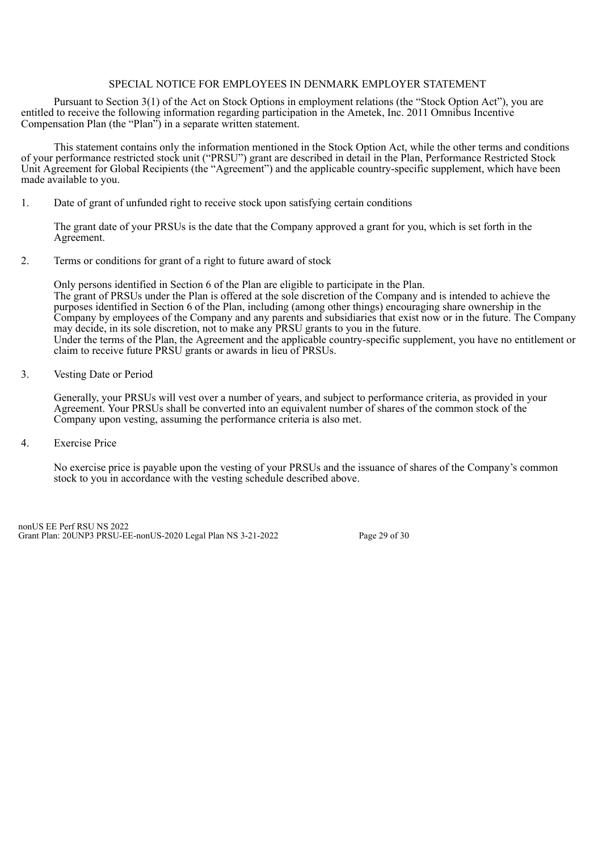# SPECIAL NOTICE FOR EMPLOYEES IN DENMARK EMPLOYER STATEMENT

Pursuant to Section 3(1) of the Act on Stock Options in employment relations (the "Stock Option Act"), you are entitled to receive the following information regarding participation in the Ametek, Inc. 2011 Omnibus Incentive Compensation Plan (the "Plan") in a separate written statement.

This statement contains only the information mentioned in the Stock Option Act, while the other terms and conditions of your performance restricted stock unit ("PRSU") grant are described in detail in the Plan, Performance Restricted Stock Unit Agreement for Global Recipients (the "Agreement") and the applicable country-specific supplement, which have been made available to you.

1. Date of grant of unfunded right to receive stock upon satisfying certain conditions

The grant date of your PRSUs is the date that the Company approved a grant for you, which is set forth in the Agreement.

2. Terms or conditions for grant of a right to future award of stock

Only persons identified in Section 6 of the Plan are eligible to participate in the Plan. The grant of PRSUs under the Plan is offered at the sole discretion of the Company and is intended to achieve the purposes identified in Section 6 of the Plan, including (among other things) encouraging share ownership in the Company by employees of the Company and any parents and subsidiaries that exist now or in the future. The Company may decide, in its sole discretion, not to make any PRSU grants to you in the future. Under the terms of the Plan, the Agreement and the applicable country-specific supplement, you have no entitlement or claim to receive future PRSU grants or awards in lieu of PRSUs.

3. Vesting Date or Period

Generally, your PRSUs will vest over a number of years, and subject to performance criteria, as provided in your Agreement. Your PRSUs shall be converted into an equivalent number of shares of the common stock of the Company upon vesting, assuming the performance criteria is also met.

4. Exercise Price

No exercise price is payable upon the vesting of your PRSUs and the issuance of shares of the Company's common stock to you in accordance with the vesting schedule described above.

nonUS EE Perf RSU NS 2022 Grant Plan: 20UNP3 PRSU-EE-nonUS-2020 Legal Plan NS 3-21-2022 Page 29 of 30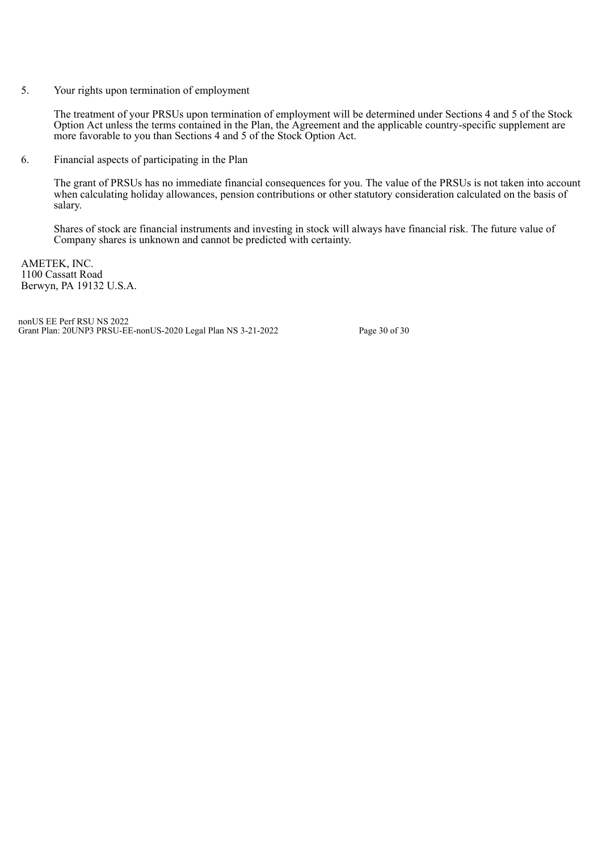# 5. Your rights upon termination of employment

The treatment of your PRSUs upon termination of employment will be determined under Sections 4 and 5 of the Stock Option Act unless the terms contained in the Plan, the Agreement and the applicable country-specific supplement are more favorable to you than Sections 4 and 5 of the Stock Option Act.

6. Financial aspects of participating in the Plan

The grant of PRSUs has no immediate financial consequences for you. The value of the PRSUs is not taken into account when calculating holiday allowances, pension contributions or other statutory consideration calculated on the basis of salary.

Shares of stock are financial instruments and investing in stock will always have financial risk. The future value of Company shares is unknown and cannot be predicted with certainty.

AMETEK, INC. 1100 Cassatt Road Berwyn, PA 19132 U.S.A.

nonUS EE Perf RSU NS 2022 Grant Plan: 20UNP3 PRSU-EE-nonUS-2020 Legal Plan NS 3-21-2022 Page 30 of 30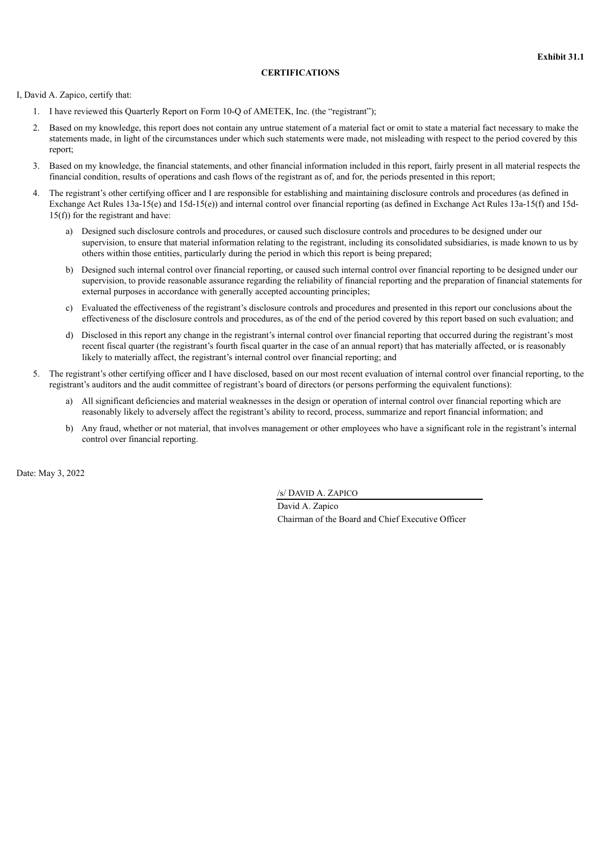# **CERTIFICATIONS**

I, David A. Zapico, certify that:

- 1. I have reviewed this Quarterly Report on Form 10-Q of AMETEK, Inc. (the "registrant");
- 2. Based on my knowledge, this report does not contain any untrue statement of a material fact or omit to state a material fact necessary to make the statements made, in light of the circumstances under which such statements were made, not misleading with respect to the period covered by this report;
- 3. Based on my knowledge, the financial statements, and other financial information included in this report, fairly present in all material respects the financial condition, results of operations and cash flows of the registrant as of, and for, the periods presented in this report;
- 4. The registrant's other certifying officer and I are responsible for establishing and maintaining disclosure controls and procedures (as defined in Exchange Act Rules 13a-15(e) and 15d-15(e)) and internal control over financial reporting (as defined in Exchange Act Rules 13a-15(f) and 15d-15(f)) for the registrant and have:
	- a) Designed such disclosure controls and procedures, or caused such disclosure controls and procedures to be designed under our supervision, to ensure that material information relating to the registrant, including its consolidated subsidiaries, is made known to us by others within those entities, particularly during the period in which this report is being prepared;
	- b) Designed such internal control over financial reporting, or caused such internal control over financial reporting to be designed under our supervision, to provide reasonable assurance regarding the reliability of financial reporting and the preparation of financial statements for external purposes in accordance with generally accepted accounting principles;
	- c) Evaluated the effectiveness of the registrant's disclosure controls and procedures and presented in this report our conclusions about the effectiveness of the disclosure controls and procedures, as of the end of the period covered by this report based on such evaluation; and
	- d) Disclosed in this report any change in the registrant's internal control over financial reporting that occurred during the registrant's most recent fiscal quarter (the registrant's fourth fiscal quarter in the case of an annual report) that has materially affected, or is reasonably likely to materially affect, the registrant's internal control over financial reporting; and
- 5. The registrant's other certifying officer and I have disclosed, based on our most recent evaluation of internal control over financial reporting, to the registrant's auditors and the audit committee of registrant's board of directors (or persons performing the equivalent functions):
	- a) All significant deficiencies and material weaknesses in the design or operation of internal control over financial reporting which are reasonably likely to adversely affect the registrant's ability to record, process, summarize and report financial information; and
	- b) Any fraud, whether or not material, that involves management or other employees who have a significant role in the registrant's internal control over financial reporting.

Date: May 3, 2022

/s/ DAVID A. ZAPICO

David A. Zapico Chairman of the Board and Chief Executive Officer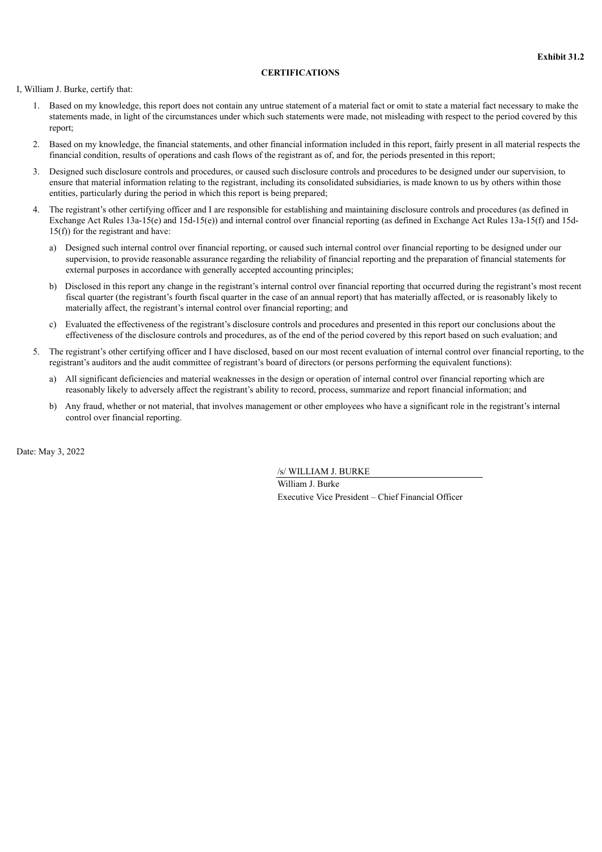### **CERTIFICATIONS**

I, William J. Burke, certify that:

- 1. Based on my knowledge, this report does not contain any untrue statement of a material fact or omit to state a material fact necessary to make the statements made, in light of the circumstances under which such statements were made, not misleading with respect to the period covered by this report;
- 2. Based on my knowledge, the financial statements, and other financial information included in this report, fairly present in all material respects the financial condition, results of operations and cash flows of the registrant as of, and for, the periods presented in this report;
- 3. Designed such disclosure controls and procedures, or caused such disclosure controls and procedures to be designed under our supervision, to ensure that material information relating to the registrant, including its consolidated subsidiaries, is made known to us by others within those entities, particularly during the period in which this report is being prepared;
- 4. The registrant's other certifying officer and I are responsible for establishing and maintaining disclosure controls and procedures (as defined in Exchange Act Rules 13a-15(e) and 15d-15(e)) and internal control over financial reporting (as defined in Exchange Act Rules 13a-15(f) and 15d-15(f)) for the registrant and have:
	- a) Designed such internal control over financial reporting, or caused such internal control over financial reporting to be designed under our supervision, to provide reasonable assurance regarding the reliability of financial reporting and the preparation of financial statements for external purposes in accordance with generally accepted accounting principles;
	- b) Disclosed in this report any change in the registrant's internal control over financial reporting that occurred during the registrant's most recent fiscal quarter (the registrant's fourth fiscal quarter in the case of an annual report) that has materially affected, or is reasonably likely to materially affect, the registrant's internal control over financial reporting; and
	- c) Evaluated the effectiveness of the registrant's disclosure controls and procedures and presented in this report our conclusions about the effectiveness of the disclosure controls and procedures, as of the end of the period covered by this report based on such evaluation; and
- 5. The registrant's other certifying officer and I have disclosed, based on our most recent evaluation of internal control over financial reporting, to the registrant's auditors and the audit committee of registrant's board of directors (or persons performing the equivalent functions):
	- a) All significant deficiencies and material weaknesses in the design or operation of internal control over financial reporting which are reasonably likely to adversely affect the registrant's ability to record, process, summarize and report financial information; and
	- b) Any fraud, whether or not material, that involves management or other employees who have a significant role in the registrant's internal control over financial reporting.

Date: May 3, 2022

/s/ WILLIAM J. BURKE

William J. Burke Executive Vice President – Chief Financial Officer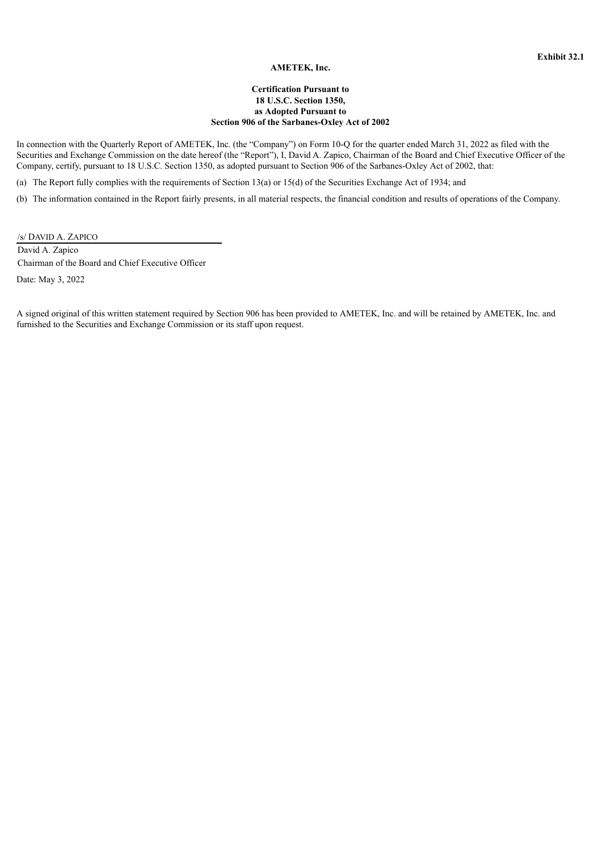#### **AMETEK, Inc.**

# **Certification Pursuant to 18 U.S.C. Section 1350, as Adopted Pursuant to Section 906 of the Sarbanes-Oxley Act of 2002**

In connection with the Quarterly Report of AMETEK, Inc. (the "Company") on Form 10-Q for the quarter ended March 31, 2022 as filed with the Securities and Exchange Commission on the date hereof (the "Report"), I, David A. Zapico, Chairman of the Board and Chief Executive Officer of the Company, certify, pursuant to 18 U.S.C. Section 1350, as adopted pursuant to Section 906 of the Sarbanes-Oxley Act of 2002, that:

(a) The Report fully complies with the requirements of Section 13(a) or 15(d) of the Securities Exchange Act of 1934; and

(b) The information contained in the Report fairly presents, in all material respects, the financial condition and results of operations of the Company.

/s/ DAVID A. ZAPICO David A. Zapico Chairman of the Board and Chief Executive Officer Date: May 3, 2022

A signed original of this written statement required by Section 906 has been provided to AMETEK, Inc. and will be retained by AMETEK, Inc. and furnished to the Securities and Exchange Commission or its staff upon request.